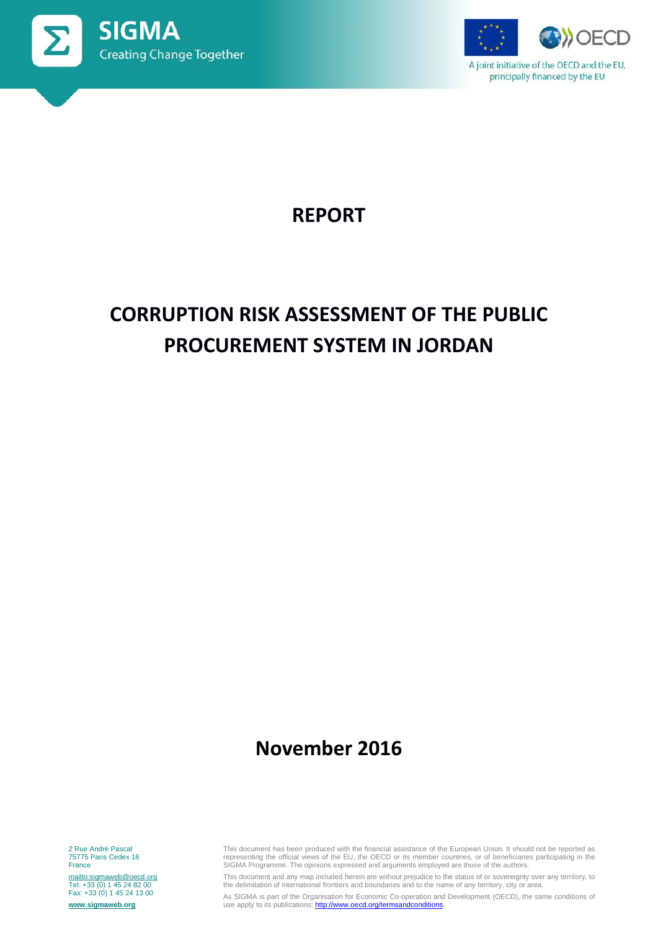



A joint initiative of the OECD and the EU, principally financed by the EU

# **REPORT**

# **CORRUPTION RISK ASSESSMENT OF THE PUBLIC PROCUREMENT SYSTEM IN JORDAN**

# **November 2016**

2 Rue André Pascal 75775 Paris Cedex 16 **France** 

<mailto:sigmaweb@oecd.org> Tel: +33 (0) 1 45 24 82 00 Fax: +33 (0) 1 45 24 13 00 **[www.sigmaweb.org](http://www.sigmaweb.org/)**

This document has been produced with the financial assistance of the European Union. It should not be reported as<br>representing the official views of the EU, the OECD or its member countries, or of beneficiaries participati

This document and any map included herein are without prejudice to the status of or sovereignty over any territory, to the delimitation of international frontiers and boundaries and to the name of any territory, city or area.

As SIGMA is part of the Organisation for Economic Co-operation and Development (OECD), the same conditions of use apply to its publications[: http://www.oecd.org/termsandconditions.](http://www.oecd.org/termsandconditions)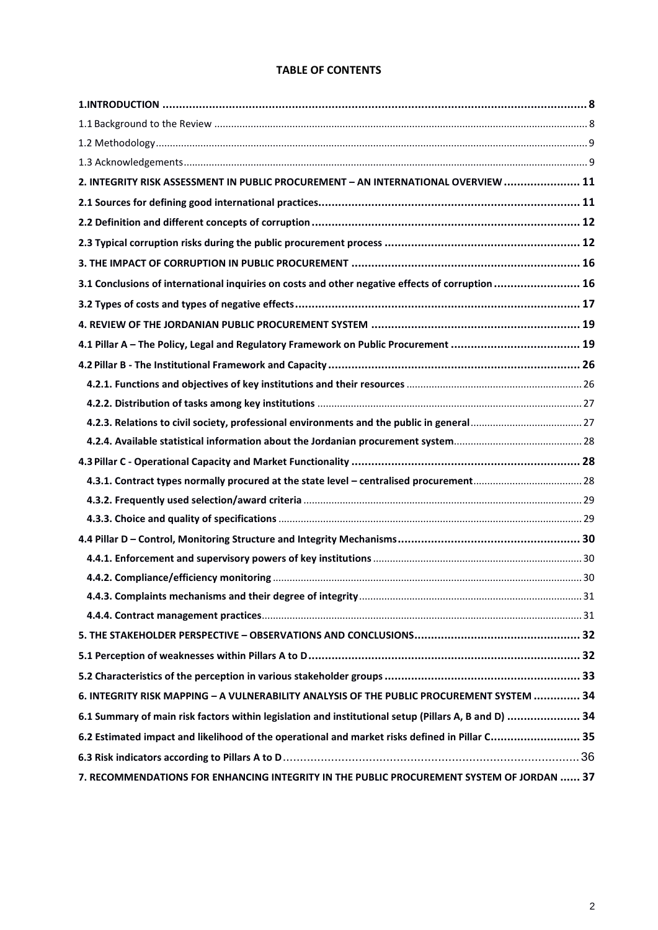# **TABLE OF CONTENTS**

| 2. INTEGRITY RISK ASSESSMENT IN PUBLIC PROCUREMENT - AN INTERNATIONAL OVERVIEW  11                   |  |
|------------------------------------------------------------------------------------------------------|--|
|                                                                                                      |  |
|                                                                                                      |  |
|                                                                                                      |  |
|                                                                                                      |  |
| 3.1 Conclusions of international inquiries on costs and other negative effects of corruption  16     |  |
|                                                                                                      |  |
|                                                                                                      |  |
| 4.1 Pillar A - The Policy, Legal and Regulatory Framework on Public Procurement  19                  |  |
|                                                                                                      |  |
|                                                                                                      |  |
|                                                                                                      |  |
|                                                                                                      |  |
|                                                                                                      |  |
|                                                                                                      |  |
|                                                                                                      |  |
|                                                                                                      |  |
|                                                                                                      |  |
|                                                                                                      |  |
|                                                                                                      |  |
|                                                                                                      |  |
|                                                                                                      |  |
|                                                                                                      |  |
|                                                                                                      |  |
|                                                                                                      |  |
|                                                                                                      |  |
| 6. INTEGRITY RISK MAPPING - A VULNERABILITY ANALYSIS OF THE PUBLIC PROCUREMENT SYSTEM  34            |  |
| 6.1 Summary of main risk factors within legislation and institutional setup (Pillars A, B and D)  34 |  |
| 6.2 Estimated impact and likelihood of the operational and market risks defined in Pillar C 35       |  |
|                                                                                                      |  |
| 7. RECOMMENDATIONS FOR ENHANCING INTEGRITY IN THE PUBLIC PROCUREMENT SYSTEM OF JORDAN  37            |  |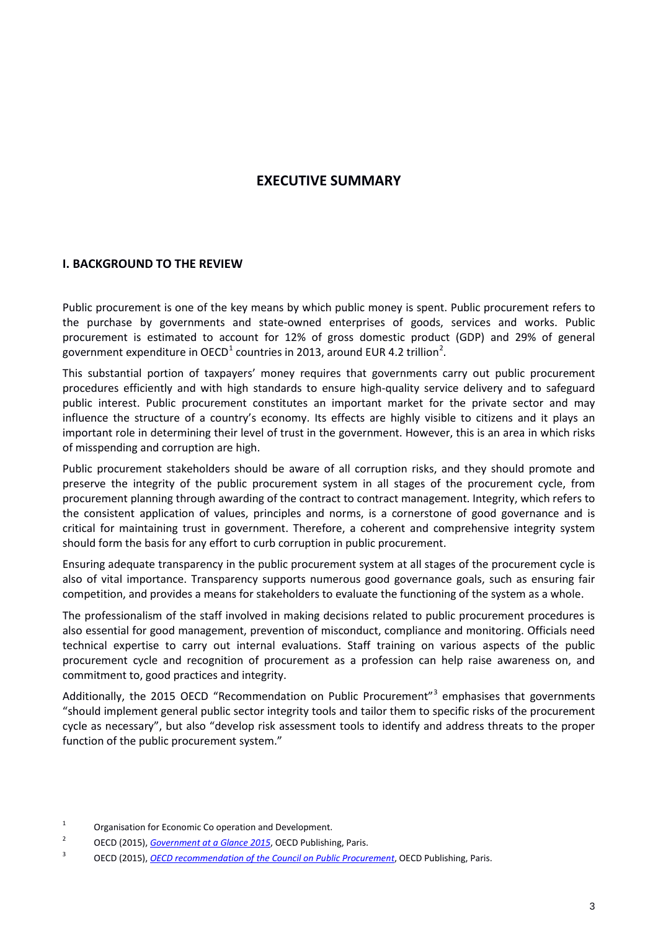# **EXECUTIVE SUMMARY**

## **I. BACKGROUND TO THE REVIEW**

Public procurement is one of the key means by which public money is spent. Public procurement refers to the purchase by governments and state-owned enterprises of goods, services and works. Public procurement is estimated to account for 12% of gross domestic product (GDP) and 29% of general government expenditure in OECD<sup>[1](#page-2-0)</sup> countries in [2](#page-2-1)013, around EUR 4.2 trillion<sup>2</sup>.

This substantial portion of taxpayers' money requires that governments carry out public procurement procedures efficiently and with high standards to ensure high-quality service delivery and to safeguard public interest. Public procurement constitutes an important market for the private sector and may influence the structure of a country's economy. Its effects are highly visible to citizens and it plays an important role in determining their level of trust in the government. However, this is an area in which risks of misspending and corruption are high.

Public procurement stakeholders should be aware of all corruption risks, and they should promote and preserve the integrity of the public procurement system in all stages of the procurement cycle, from procurement planning through awarding of the contract to contract management. Integrity, which refers to the consistent application of values, principles and norms, is a cornerstone of good governance and is critical for maintaining trust in government. Therefore, a coherent and comprehensive integrity system should form the basis for any effort to curb corruption in public procurement.

Ensuring adequate transparency in the public procurement system at all stages of the procurement cycle is also of vital importance. Transparency supports numerous good governance goals, such as ensuring fair competition, and provides a means for stakeholders to evaluate the functioning of the system as a whole.

The professionalism of the staff involved in making decisions related to public procurement procedures is also essential for good management, prevention of misconduct, compliance and monitoring. Officials need technical expertise to carry out internal evaluations. Staff training on various aspects of the public procurement cycle and recognition of procurement as a profession can help raise awareness on, and commitment to, good practices and integrity.

Additionally, the 2015 OECD "Recommendation on Public Procurement"<sup>[3](#page-2-2)</sup> emphasises that governments "should implement general public sector integrity tools and tailor them to specific risks of the procurement cycle as necessary", but also "develop risk assessment tools to identify and address threats to the proper function of the public procurement system."

<span id="page-2-0"></span><sup>&</sup>lt;sup>1</sup> Organisation for Economic Co operation and Development.

<span id="page-2-1"></span><sup>2</sup> OECD (2015), *[Government at a Glance 2015](http://dx.doi.org/10.1787/gov_glance-2015-en)*, OECD Publishing, Paris.

<span id="page-2-2"></span><sup>3</sup> OECD (2015), *[OECD recommendation of the Council on Public Procurement](http://www.oecd.org/corruption/recommendation-on-public-procurement.htm)*, OECD Publishing, Paris.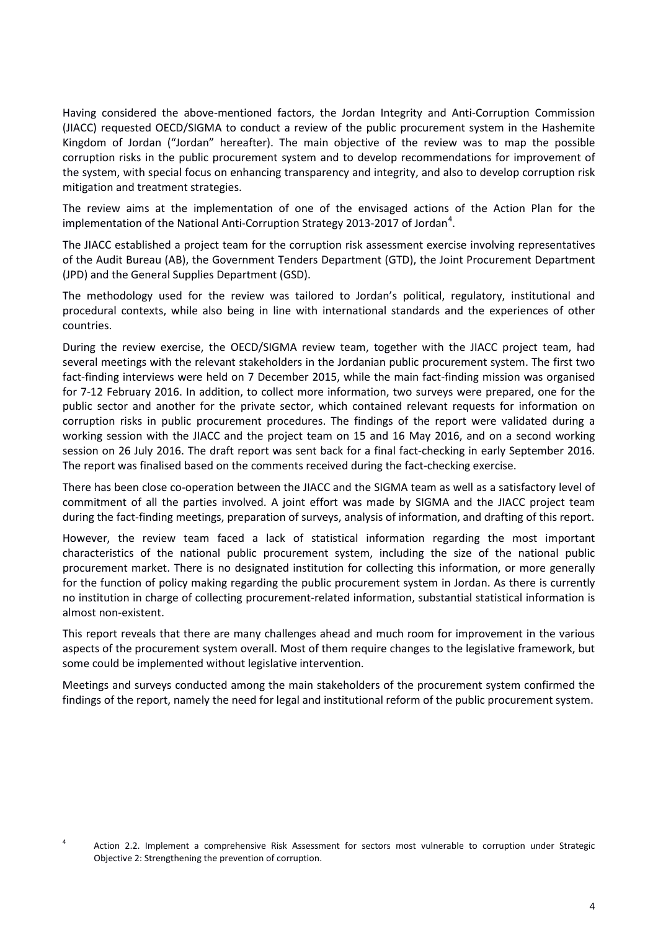Having considered the above-mentioned factors, the Jordan Integrity and Anti-Corruption Commission (JIACC) requested OECD/SIGMA to conduct a review of the public procurement system in the Hashemite Kingdom of Jordan ("Jordan" hereafter). The main objective of the review was to map the possible corruption risks in the public procurement system and to develop recommendations for improvement of the system, with special focus on enhancing transparency and integrity, and also to develop corruption risk mitigation and treatment strategies.

The review aims at the implementation of one of the envisaged actions of the Action Plan for the implementation of the National Anti-Corruption Strategy 2013-2017 of Jordan<sup>[4](#page-3-0)</sup>.

The JIACC established a project team for the corruption risk assessment exercise involving representatives of the Audit Bureau (AB), the Government Tenders Department (GTD), the Joint Procurement Department (JPD) and the General Supplies Department (GSD).

The methodology used for the review was tailored to Jordan's political, regulatory, institutional and procedural contexts, while also being in line with international standards and the experiences of other countries.

During the review exercise, the OECD/SIGMA review team, together with the JIACC project team, had several meetings with the relevant stakeholders in the Jordanian public procurement system. The first two fact-finding interviews were held on 7 December 2015, while the main fact-finding mission was organised for 7-12 February 2016. In addition, to collect more information, two surveys were prepared, one for the public sector and another for the private sector, which contained relevant requests for information on corruption risks in public procurement procedures. The findings of the report were validated during a working session with the JIACC and the project team on 15 and 16 May 2016, and on a second working session on 26 July 2016. The draft report was sent back for a final fact-checking in early September 2016. The report was finalised based on the comments received during the fact-checking exercise.

There has been close co-operation between the JIACC and the SIGMA team as well as a satisfactory level of commitment of all the parties involved. A joint effort was made by SIGMA and the JIACC project team during the fact-finding meetings, preparation of surveys, analysis of information, and drafting of this report.

However, the review team faced a lack of statistical information regarding the most important characteristics of the national public procurement system, including the size of the national public procurement market. There is no designated institution for collecting this information, or more generally for the function of policy making regarding the public procurement system in Jordan. As there is currently no institution in charge of collecting procurement-related information, substantial statistical information is almost non-existent.

This report reveals that there are many challenges ahead and much room for improvement in the various aspects of the procurement system overall. Most of them require changes to the legislative framework, but some could be implemented without legislative intervention.

Meetings and surveys conducted among the main stakeholders of the procurement system confirmed the findings of the report, namely the need for legal and institutional reform of the public procurement system.

<span id="page-3-0"></span><sup>4</sup> Action 2.2. Implement a comprehensive Risk Assessment for sectors most vulnerable to corruption under Strategic Objective 2: Strengthening the prevention of corruption.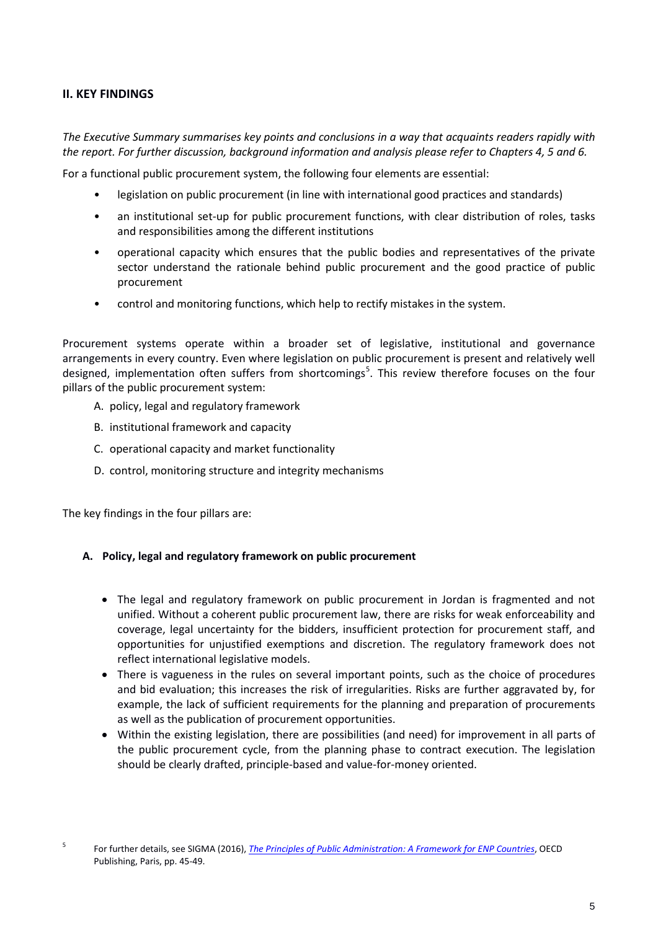# **II. KEY FINDINGS**

*The Executive Summary summarises key points and conclusions in a way that acquaints readers rapidly with the report. For further discussion, background information and analysis please refer to Chapters 4, 5 and 6.*

For a functional public procurement system, the following four elements are essential:

- legislation on public procurement (in line with international good practices and standards)
- an institutional set-up for public procurement functions, with clear distribution of roles, tasks and responsibilities among the different institutions
- operational capacity which ensures that the public bodies and representatives of the private sector understand the rationale behind public procurement and the good practice of public procurement
- control and monitoring functions, which help to rectify mistakes in the system.

Procurement systems operate within a broader set of legislative, institutional and governance arrangements in every country. Even where legislation on public procurement is present and relatively well designed, implementation often suffers from shortcomings<sup>[5](#page-4-0)</sup>. This review therefore focuses on the four pillars of the public procurement system:

- A. policy, legal and regulatory framework
- B. institutional framework and capacity
- C. operational capacity and market functionality
- D. control, monitoring structure and integrity mechanisms

The key findings in the four pillars are:

#### **A. Policy, legal and regulatory framework on public procurement**

- The legal and regulatory framework on public procurement in Jordan is fragmented and not unified. Without a coherent public procurement law, there are risks for weak enforceability and coverage, legal uncertainty for the bidders, insufficient protection for procurement staff, and opportunities for unjustified exemptions and discretion. The regulatory framework does not reflect international legislative models.
- There is vagueness in the rules on several important points, such as the choice of procedures and bid evaluation; this increases the risk of irregularities. Risks are further aggravated by, for example, the lack of sufficient requirements for the planning and preparation of procurements as well as the publication of procurement opportunities.
- Within the existing legislation, there are possibilities (and need) for improvement in all parts of the public procurement cycle, from the planning phase to contract execution. The legislation should be clearly drafted, principle-based and value-for-money oriented.

<span id="page-4-0"></span><sup>5</sup> For further details, see SIGMA (2016), *[The Principles of Public Administration: A Framework for ENP Countries](http://www.sigmaweb.org/publications/Principles%20-ENP-Eng.pdf#page=46)*, OECD Publishing, Paris, pp. 45-49.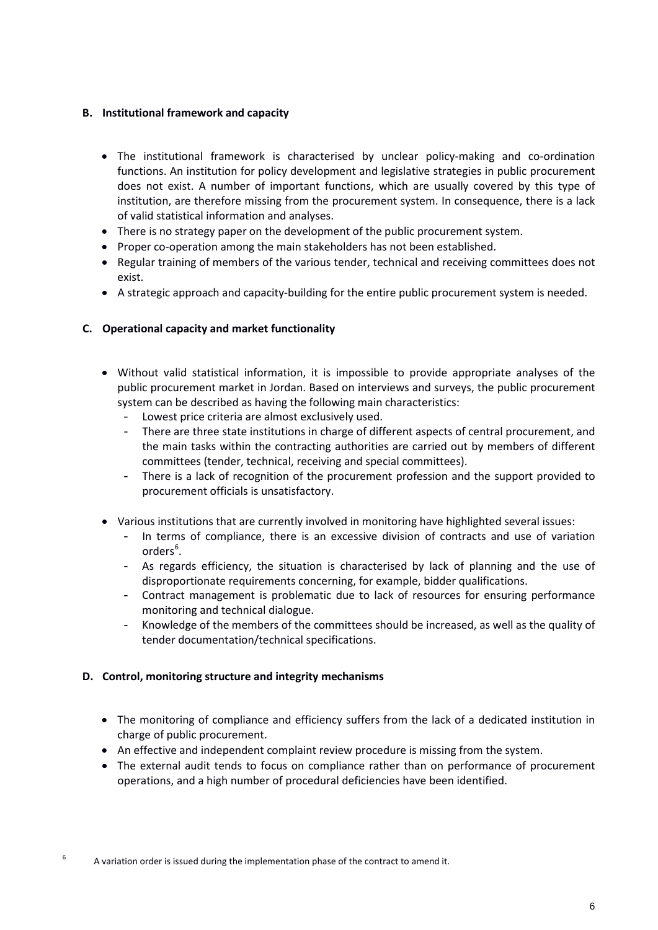# **B. Institutional framework and capacity**

- The institutional framework is characterised by unclear policy-making and co-ordination functions. An institution for policy development and legislative strategies in public procurement does not exist. A number of important functions, which are usually covered by this type of institution, are therefore missing from the procurement system. In consequence, there is a lack of valid statistical information and analyses.
- There is no strategy paper on the development of the public procurement system.
- Proper co-operation among the main stakeholders has not been established.
- Regular training of members of the various tender, technical and receiving committees does not exist.
- A strategic approach and capacity-building for the entire public procurement system is needed.

# **C. Operational capacity and market functionality**

- Without valid statistical information, it is impossible to provide appropriate analyses of the public procurement market in Jordan. Based on interviews and surveys, the public procurement system can be described as having the following main characteristics:
	- Lowest price criteria are almost exclusively used.
	- There are three state institutions in charge of different aspects of central procurement, and the main tasks within the contracting authorities are carried out by members of different committees (tender, technical, receiving and special committees).
	- There is a lack of recognition of the procurement profession and the support provided to procurement officials is unsatisfactory.
- Various institutions that are currently involved in monitoring have highlighted several issues:
	- In terms of compliance, there is an excessive division of contracts and use of variation orders<sup>[6](#page-5-0)</sup>.
	- As regards efficiency, the situation is characterised by lack of planning and the use of disproportionate requirements concerning, for example, bidder qualifications.
	- Contract management is problematic due to lack of resources for ensuring performance monitoring and technical dialogue.
	- Knowledge of the members of the committees should be increased, as well as the quality of tender documentation/technical specifications.

# **D. Control, monitoring structure and integrity mechanisms**

- The monitoring of compliance and efficiency suffers from the lack of a dedicated institution in charge of public procurement.
- An effective and independent complaint review procedure is missing from the system.
- The external audit tends to focus on compliance rather than on performance of procurement operations, and a high number of procedural deficiencies have been identified.
- <span id="page-5-0"></span><sup>6</sup> A variation order is issued during the implementation phase of the contract to amend it.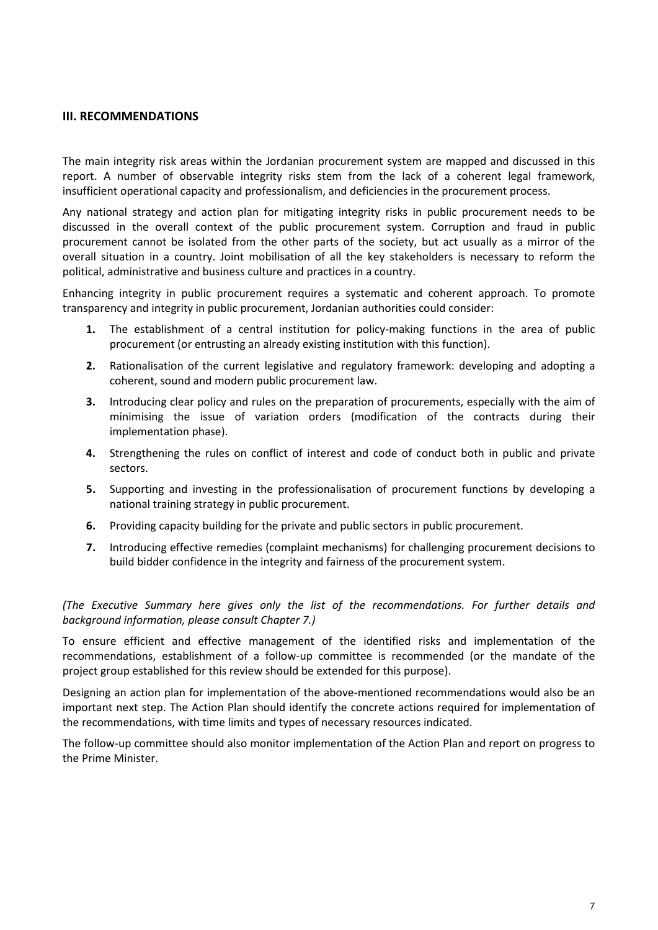#### **III. RECOMMENDATIONS**

The main integrity risk areas within the Jordanian procurement system are mapped and discussed in this report. A number of observable integrity risks stem from the lack of a coherent legal framework, insufficient operational capacity and professionalism, and deficiencies in the procurement process.

Any national strategy and action plan for mitigating integrity risks in public procurement needs to be discussed in the overall context of the public procurement system. Corruption and fraud in public procurement cannot be isolated from the other parts of the society, but act usually as a mirror of the overall situation in a country. Joint mobilisation of all the key stakeholders is necessary to reform the political, administrative and business culture and practices in a country.

Enhancing integrity in public procurement requires a systematic and coherent approach. To promote transparency and integrity in public procurement, Jordanian authorities could consider:

- **1.** The establishment of a central institution for policy-making functions in the area of public procurement (or entrusting an already existing institution with this function).
- **2.** Rationalisation of the current legislative and regulatory framework: developing and adopting a coherent, sound and modern public procurement law.
- **3.** Introducing clear policy and rules on the preparation of procurements, especially with the aim of minimising the issue of variation orders (modification of the contracts during their implementation phase).
- **4.** Strengthening the rules on conflict of interest and code of conduct both in public and private sectors.
- **5.** Supporting and investing in the professionalisation of procurement functions by developing a national training strategy in public procurement.
- **6.** Providing capacity building for the private and public sectors in public procurement.
- **7.** Introducing effective remedies (complaint mechanisms) for challenging procurement decisions to build bidder confidence in the integrity and fairness of the procurement system.

*(The Executive Summary here gives only the list of the recommendations. For further details and background information, please consult Chapter 7.)*

To ensure efficient and effective management of the identified risks and implementation of the recommendations, establishment of a follow-up committee is recommended (or the mandate of the project group established for this review should be extended for this purpose).

Designing an action plan for implementation of the above-mentioned recommendations would also be an important next step. The Action Plan should identify the concrete actions required for implementation of the recommendations, with time limits and types of necessary resources indicated.

The follow-up committee should also monitor implementation of the Action Plan and report on progress to the Prime Minister.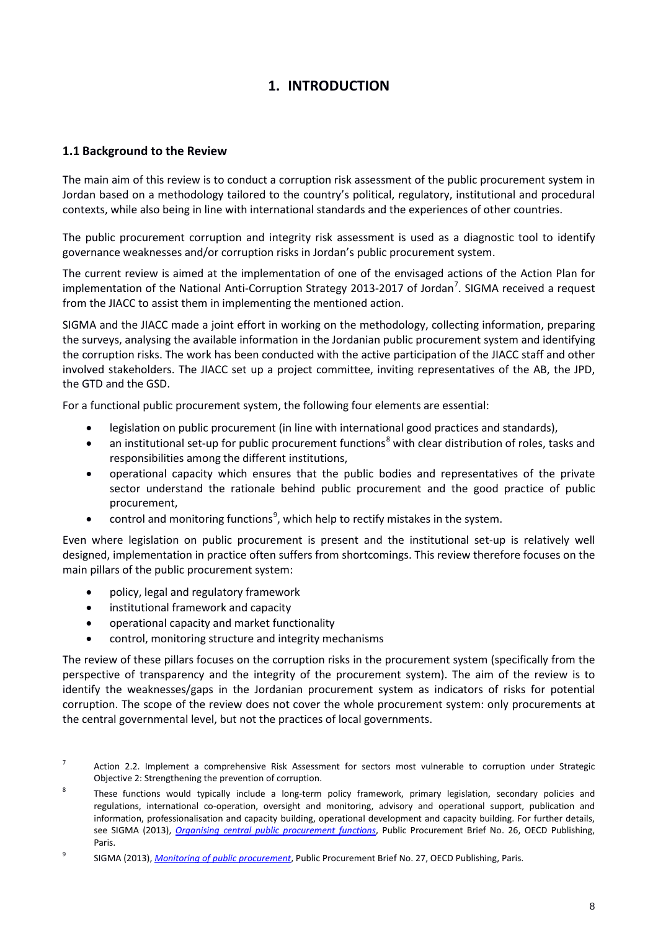# **1. INTRODUCTION**

# <span id="page-7-1"></span><span id="page-7-0"></span>**1.1 Background to the Review**

The main aim of this review is to conduct a corruption risk assessment of the public procurement system in Jordan based on a methodology tailored to the country's political, regulatory, institutional and procedural contexts, while also being in line with international standards and the experiences of other countries.

The public procurement corruption and integrity risk assessment is used as a diagnostic tool to identify governance weaknesses and/or corruption risks in Jordan's public procurement system.

The current review is aimed at the implementation of one of the envisaged actions of the Action Plan for implementation of the National Anti-Corruption Strategy 2013-201[7](#page-7-2) of Jordan<sup>7</sup>. SIGMA received a request from the JIACC to assist them in implementing the mentioned action.

SIGMA and the JIACC made a joint effort in working on the methodology, collecting information, preparing the surveys, analysing the available information in the Jordanian public procurement system and identifying the corruption risks. The work has been conducted with the active participation of the JIACC staff and other involved stakeholders. The JIACC set up a project committee, inviting representatives of the AB, the JPD, the GTD and the GSD.

For a functional public procurement system, the following four elements are essential:

- legislation on public procurement (in line with international good practices and standards),
- an institutional set-up for public procurement functions<sup>[8](#page-7-3)</sup> with clear distribution of roles, tasks and responsibilities among the different institutions,
- operational capacity which ensures that the public bodies and representatives of the private sector understand the rationale behind public procurement and the good practice of public procurement,
- control and monitoring functions<sup>[9](#page-7-4)</sup>, which help to rectify mistakes in the system.

Even where legislation on public procurement is present and the institutional set-up is relatively well designed, implementation in practice often suffers from shortcomings. This review therefore focuses on the main pillars of the public procurement system:

- policy, legal and regulatory framework
- institutional framework and capacity
- operational capacity and market functionality
- control, monitoring structure and integrity mechanisms

The review of these pillars focuses on the corruption risks in the procurement system (specifically from the perspective of transparency and the integrity of the procurement system). The aim of the review is to identify the weaknesses/gaps in the Jordanian procurement system as indicators of risks for potential corruption. The scope of the review does not cover the whole procurement system: only procurements at the central governmental level, but not the practices of local governments.

<span id="page-7-2"></span><sup>&</sup>lt;sup>7</sup> Action 2.2. Implement a comprehensive Risk Assessment for sectors most vulnerable to corruption under Strategic Objective 2: Strengthening the prevention of corruption.

<span id="page-7-3"></span>These functions would typically include a long-term policy framework, primary legislation, secondary policies and regulations, international co-operation, oversight and monitoring, advisory and operational support, publication and information, professionalisation and capacity building, operational development and capacity building. For further details, see SIGMA (2013), *[Organising central public procurement functions](http://www.sigmaweb.org/publications/Public-Procurement-Policy-Brief-26-200117.pdf)*, Public Procurement Brief No. 26, OECD Publishing, Paris.

<span id="page-7-4"></span><sup>9</sup> SIGMA (2013), *[Monitoring of public procurement](http://www.sigmaweb.org/publications/Public-Procurement-Policy-Brief-27-200117.pdf)*, Public Procurement Brief No. 27, OECD Publishing, Paris.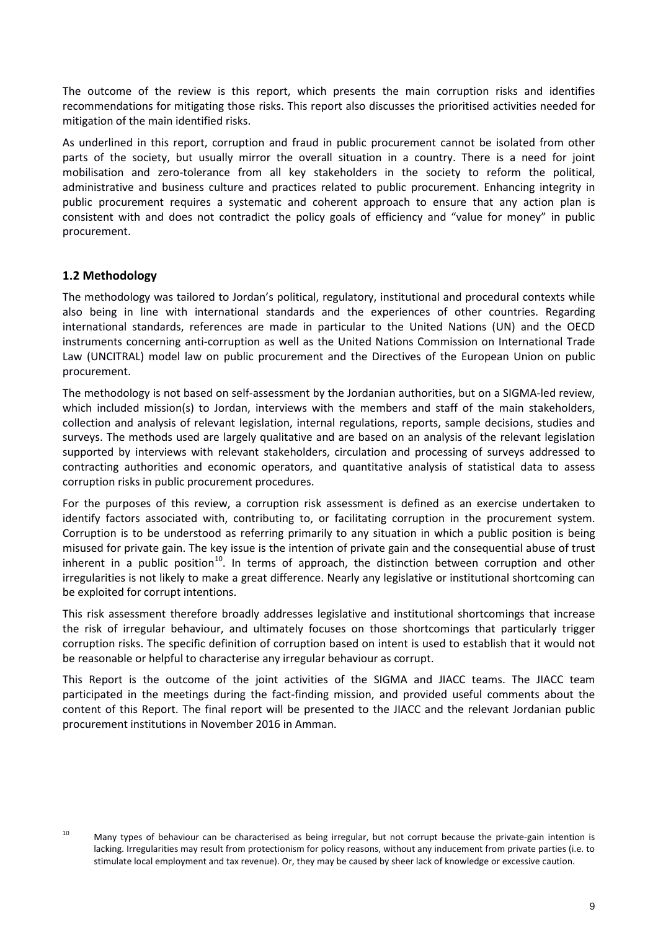The outcome of the review is this report, which presents the main corruption risks and identifies recommendations for mitigating those risks. This report also discusses the prioritised activities needed for mitigation of the main identified risks.

As underlined in this report, corruption and fraud in public procurement cannot be isolated from other parts of the society, but usually mirror the overall situation in a country. There is a need for joint mobilisation and zero-tolerance from all key stakeholders in the society to reform the political, administrative and business culture and practices related to public procurement. Enhancing integrity in public procurement requires a systematic and coherent approach to ensure that any action plan is consistent with and does not contradict the policy goals of efficiency and "value for money" in public procurement.

# <span id="page-8-0"></span>**1.2 Methodology**

The methodology was tailored to Jordan's political, regulatory, institutional and procedural contexts while also being in line with international standards and the experiences of other countries. Regarding international standards, references are made in particular to the United Nations (UN) and the OECD instruments concerning anti-corruption as well as the United Nations Commission on International Trade Law (UNCITRAL) model law on public procurement and the Directives of the European Union on public procurement.

The methodology is not based on self-assessment by the Jordanian authorities, but on a SIGMA-led review, which included mission(s) to Jordan, interviews with the members and staff of the main stakeholders, collection and analysis of relevant legislation, internal regulations, reports, sample decisions, studies and surveys. The methods used are largely qualitative and are based on an analysis of the relevant legislation supported by interviews with relevant stakeholders, circulation and processing of surveys addressed to contracting authorities and economic operators, and quantitative analysis of statistical data to assess corruption risks in public procurement procedures.

For the purposes of this review, a corruption risk assessment is defined as an exercise undertaken to identify factors associated with, contributing to, or facilitating corruption in the procurement system. Corruption is to be understood as referring primarily to any situation in which a public position is being misused for private gain. The key issue is the intention of private gain and the consequential abuse of trust inherent in a public position<sup>[10](#page-8-2)</sup>. In terms of approach, the distinction between corruption and other irregularities is not likely to make a great difference. Nearly any legislative or institutional shortcoming can be exploited for corrupt intentions.

This risk assessment therefore broadly addresses legislative and institutional shortcomings that increase the risk of irregular behaviour, and ultimately focuses on those shortcomings that particularly trigger corruption risks. The specific definition of corruption based on intent is used to establish that it would not be reasonable or helpful to characterise any irregular behaviour as corrupt.

<span id="page-8-1"></span>This Report is the outcome of the joint activities of the SIGMA and JIACC teams. The JIACC team participated in the meetings during the fact-finding mission, and provided useful comments about the content of this Report. The final report will be presented to the JIACC and the relevant Jordanian public procurement institutions in November 2016 in Amman.

<span id="page-8-2"></span>

 $10$  Many types of behaviour can be characterised as being irregular, but not corrupt because the private-gain intention is lacking. Irregularities may result from protectionism for policy reasons, without any inducement from private parties (i.e. to stimulate local employment and tax revenue). Or, they may be caused by sheer lack of knowledge or excessive caution.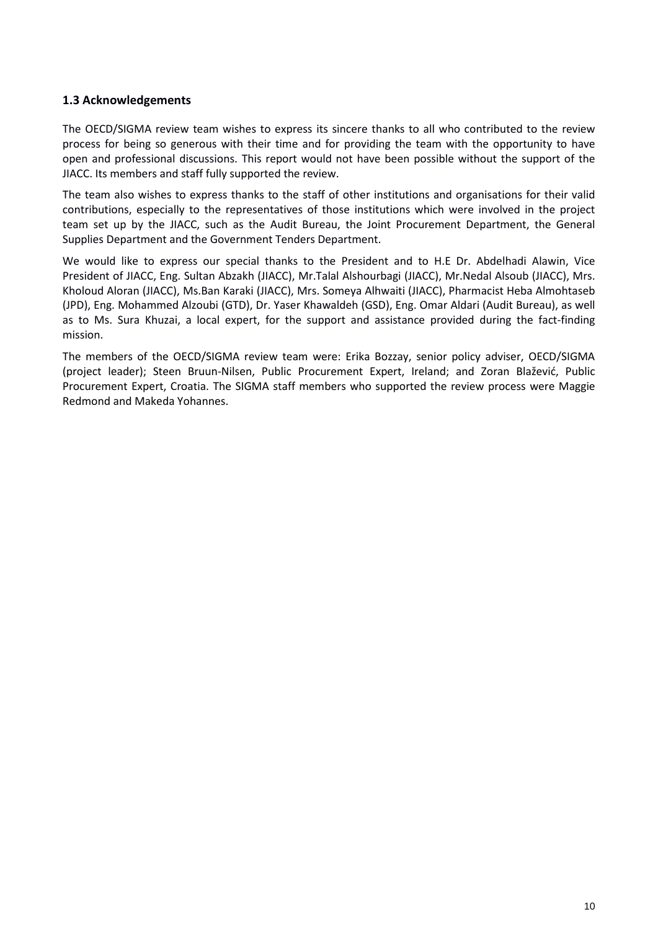# **1.3 Acknowledgements**

The OECD/SIGMA review team wishes to express its sincere thanks to all who contributed to the review process for being so generous with their time and for providing the team with the opportunity to have open and professional discussions. This report would not have been possible without the support of the JIACC. Its members and staff fully supported the review.

The team also wishes to express thanks to the staff of other institutions and organisations for their valid contributions, especially to the representatives of those institutions which were involved in the project team set up by the JIACC, such as the Audit Bureau, the Joint Procurement Department, the General Supplies Department and the Government Tenders Department.

We would like to express our special thanks to the President and to H.E Dr. Abdelhadi Alawin, Vice President of JIACC, Eng. Sultan Abzakh (JIACC), Mr.Talal Alshourbagi (JIACC), Mr.Nedal Alsoub (JIACC), Mrs. Kholoud Aloran (JIACC), Ms.Ban Karaki (JIACC), Mrs. Someya Alhwaiti (JIACC), Pharmacist Heba Almohtaseb (JPD), Eng. Mohammed Alzoubi (GTD), Dr. Yaser Khawaldeh (GSD), Eng. Omar Aldari (Audit Bureau), as well as to Ms. Sura Khuzai, a local expert, for the support and assistance provided during the fact-finding mission.

The members of the OECD/SIGMA review team were: Erika Bozzay, senior policy adviser, OECD/SIGMA (project leader); Steen Bruun-Nilsen, Public Procurement Expert, Ireland; and Zoran Blažević, Public Procurement Expert, Croatia. The SIGMA staff members who supported the review process were Maggie Redmond and Makeda Yohannes.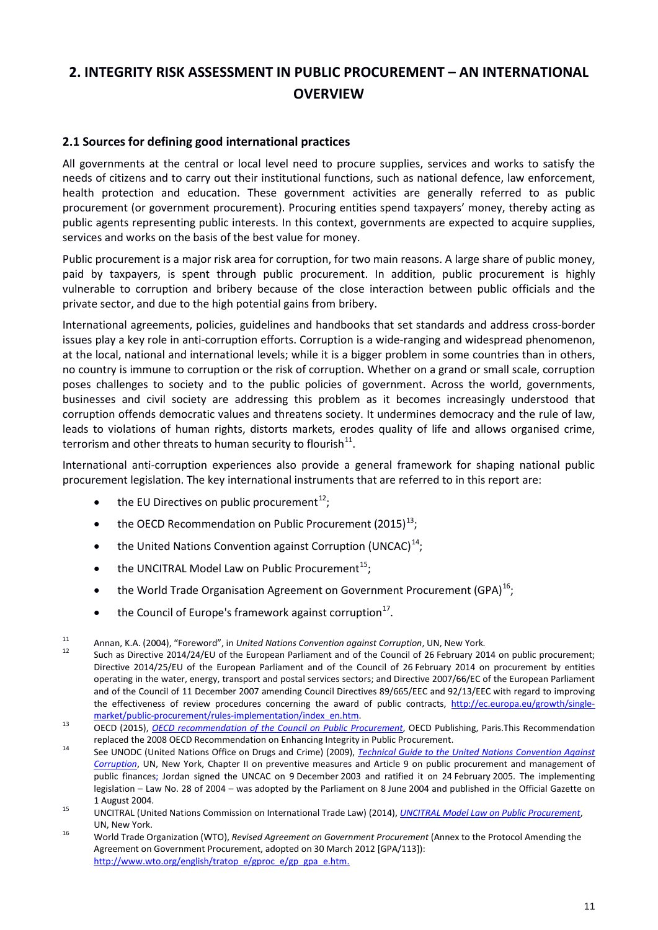# <span id="page-10-0"></span>**2. INTEGRITY RISK ASSESSMENT IN PUBLIC PROCUREMENT – AN INTERNATIONAL OVERVIEW**

# <span id="page-10-1"></span>**2.1 Sources for defining good international practices**

All governments at the central or local level need to procure supplies, services and works to satisfy the needs of citizens and to carry out their institutional functions, such as national defence, law enforcement, health protection and education. These government activities are generally referred to as public procurement (or government procurement). Procuring entities spend taxpayers' money, thereby acting as public agents representing public interests. In this context, governments are expected to acquire supplies, services and works on the basis of the best value for money.

Public procurement is a major risk area for corruption, for two main reasons. A large share of public money, paid by taxpayers, is spent through public procurement. In addition, public procurement is highly vulnerable to corruption and bribery because of the close interaction between public officials and the private sector, and due to the high potential gains from bribery.

International agreements, policies, guidelines and handbooks that set standards and address cross-border issues play a key role in anti-corruption efforts. Corruption is a wide-ranging and widespread phenomenon, at the local, national and international levels; while it is a bigger problem in some countries than in others, no country is immune to corruption or the risk of corruption. Whether on a grand or small scale, corruption poses challenges to society and to the public policies of government. Across the world, governments, businesses and civil society are addressing this problem as it becomes increasingly understood that corruption offends democratic values and threatens society. It undermines democracy and the rule of law, leads to violations of human rights, distorts markets, erodes quality of life and allows organised crime, terrorism and other threats to human security to flourish $11$ .

International anti-corruption experiences also provide a general framework for shaping national public procurement legislation. The key international instruments that are referred to in this report are:

- the EU Directives on public procurement<sup>[12](#page-10-3)</sup>;
- the OECD Recommendation on Public Procurement  $(2015)^{13}$  $(2015)^{13}$  $(2015)^{13}$ ;
- the United Nations Convention against Corruption (UNCAC)<sup>14</sup>;
- the UNCITRAL Model Law on Public Procurement<sup>15</sup>;
- the World Trade Organisation Agreement on Government Procurement (GPA)<sup>[16](#page-10-7)</sup>;
- $\bullet$  the Council of Europe's framework against corruption<sup>[17](#page-10-8)</sup>.
- 

<span id="page-10-3"></span><span id="page-10-2"></span><sup>&</sup>lt;sup>11</sup> Annan, K.A. (2004), "Foreword", in *United Nations Convention against Corruption*, UN, New York.<br><sup>12</sup> Such as Directive 2014/24/EU of the European Parliament and of the Council of 26 February 2014 on public procureme Directive 2014/25/EU of the European Parliament and of the Council of 26 February 2014 on procurement by entities operating in the water, energy, transport and postal services sectors; and Directive 2007/66/EC of the European Parliament and of the Council of 11 December 2007 amending Council Directives 89/665/EEC and 92/13/EEC with regard to improving the effectiveness of review procedures concerning the award of public contracts, [http://ec.europa.eu/growth/single](http://ec.europa.eu/growth/single-market/public-procurement/rules-implementation/index_en.htm)[market/public-procurement/rules-implementation/index\\_en.htm.](http://ec.europa.eu/growth/single-market/public-procurement/rules-implementation/index_en.htm)<br><sup>13</sup> OECD (2015), *[OECD recommendation of the Council on Public Procurement](http://www.oecd.org/corruption/recommendation-on-public-procurement.htm)*, OECD Publishing, Paris.This Recommendation

<span id="page-10-4"></span>replaced the 2008 OECD Recommendation on Enhancing Integrity in Public Procurement. 14 See UNODC (United Nations Office on Drugs and Crime) (2009), *[Technical Guide to the United Nations Convention Against](http://www.unodc.org/documents/corruption/Technical_Guide_UNCAC.pdf)* 

<span id="page-10-8"></span><span id="page-10-5"></span>*[Corruption](http://www.unodc.org/documents/corruption/Technical_Guide_UNCAC.pdf)*, UN, New York, Chapter II on preventive measures and Article 9 on public procurement and management of public finances; Jordan signed the UNCAC on 9 December 2003 and ratified it on 24 February 2005. The implementing legislation – Law No. 28 of 2004 – was adopted by the Parliament on 8 June 2004 and published in the Official Gazette on

<span id="page-10-6"></span><sup>1</sup> August 2004. 15 UNCITRAL (United Nations Commission on International Trade Law) (2014), *[UNCITRAL Model Law on Public Procurement](https://www.uncitral.org/pdf/english/texts/procurem/ml-procurement-2011/2011-Model-Law-on-Public-Procurement-e.pdf.)*,

<span id="page-10-7"></span>UN, New York. <sup>16</sup> World Trade Organization (WTO), *Revised Agreement on Government Procurement* (Annex to the Protocol Amending the Agreement on Government Procurement, adopted on 30 March 2012 [GPA/113]): [http://www.wto.org/english/tratop\\_e/gproc\\_e/gp\\_gpa\\_e.htm.](http://www.wto.org/english/tratop_e/gproc_e/gp_gpa_e.htm)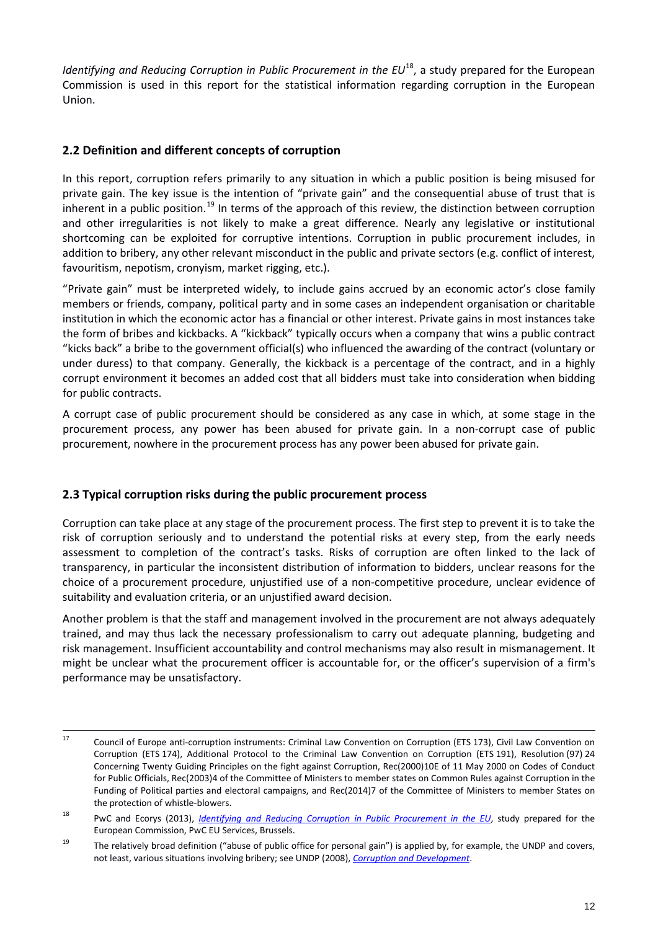*Identifying and Reducing Corruption in Public Procurement in the EU*<sup>[18](#page-11-2)</sup>, a study prepared for the European Commission is used in this report for the statistical information regarding corruption in the European Union.

# <span id="page-11-0"></span>**2.2 Definition and different concepts of corruption**

In this report, corruption refers primarily to any situation in which a public position is being misused for private gain. The key issue is the intention of "private gain" and the consequential abuse of trust that is inherent in a public position.<sup>[19](#page-11-3)</sup> In terms of the approach of this review, the distinction between corruption and other irregularities is not likely to make a great difference. Nearly any legislative or institutional shortcoming can be exploited for corruptive intentions. Corruption in public procurement includes, in addition to bribery, any other relevant misconduct in the public and private sectors (e.g. conflict of interest, favouritism, nepotism, cronyism, market rigging, etc.).

"Private gain" must be interpreted widely, to include gains accrued by an economic actor's close family members or friends, company, political party and in some cases an independent organisation or charitable institution in which the economic actor has a financial or other interest. Private gains in most instances take the form of bribes and kickbacks. A "kickback" typically occurs when a company that wins a public contract "kicks back" a bribe to the government official(s) who influenced the awarding of the contract (voluntary or under duress) to that company. Generally, the kickback is a percentage of the contract, and in a highly corrupt environment it becomes an added cost that all bidders must take into consideration when bidding for public contracts.

A corrupt case of public procurement should be considered as any case in which, at some stage in the procurement process, any power has been abused for private gain. In a non-corrupt case of public procurement, nowhere in the procurement process has any power been abused for private gain.

# <span id="page-11-1"></span>**2.3 Typical corruption risks during the public procurement process**

Corruption can take place at any stage of the procurement process. The first step to prevent it is to take the risk of corruption seriously and to understand the potential risks at every step, from the early needs assessment to completion of the contract's tasks. Risks of corruption are often linked to the lack of transparency, in particular the inconsistent distribution of information to bidders, unclear reasons for the choice of a procurement procedure, unjustified use of a non-competitive procedure, unclear evidence of suitability and evaluation criteria, or an unjustified award decision.

Another problem is that the staff and management involved in the procurement are not always adequately trained, and may thus lack the necessary professionalism to carry out adequate planning, budgeting and risk management. Insufficient accountability and control mechanisms may also result in mismanagement. It might be unclear what the procurement officer is accountable for, or the officer's supervision of a firm's performance may be unsatisfactory.

<sup>17</sup> Council of Europe anti-corruption instruments: Criminal Law Convention on Corruption (ETS 173), Civil Law Convention on Corruption (ETS 174), Additional Protocol to the Criminal Law Convention on Corruption (ETS 191), Resolution (97) 24 Concerning Twenty Guiding Principles on the fight against Corruption, Rec(2000)10E of 11 May 2000 on Codes of Conduct for Public Officials, Rec(2003)4 of the Committee of Ministers to member states on Common Rules against Corruption in the Funding of Political parties and electoral campaigns, and Rec(2014)7 of the Committee of Ministers to member States on the protection of whistle-blowers.

<span id="page-11-2"></span><sup>18</sup> PwC and Ecorys (2013), *[Identifying and Reducing Corruption in Public Procurement in the EU](https://ec.europa.eu/anti-fraud/sites/antifraud/files/docs/body/identifying_reducing_corruption_in_public_procurement_en.pdf)*, study prepared for the European Commission, PwC EU Services, Brussels.

<span id="page-11-3"></span><sup>&</sup>lt;sup>19</sup> The relatively broad definition ("abuse of public office for personal gain") is applied by, for example, the UNDP and covers, not least, various situations involving bribery; see UNDP (2008), *[Corruption and Development](http://www.pogar.org/publications/finances/anticor/Corruption-and-Development-Primer-08e.pdf)*.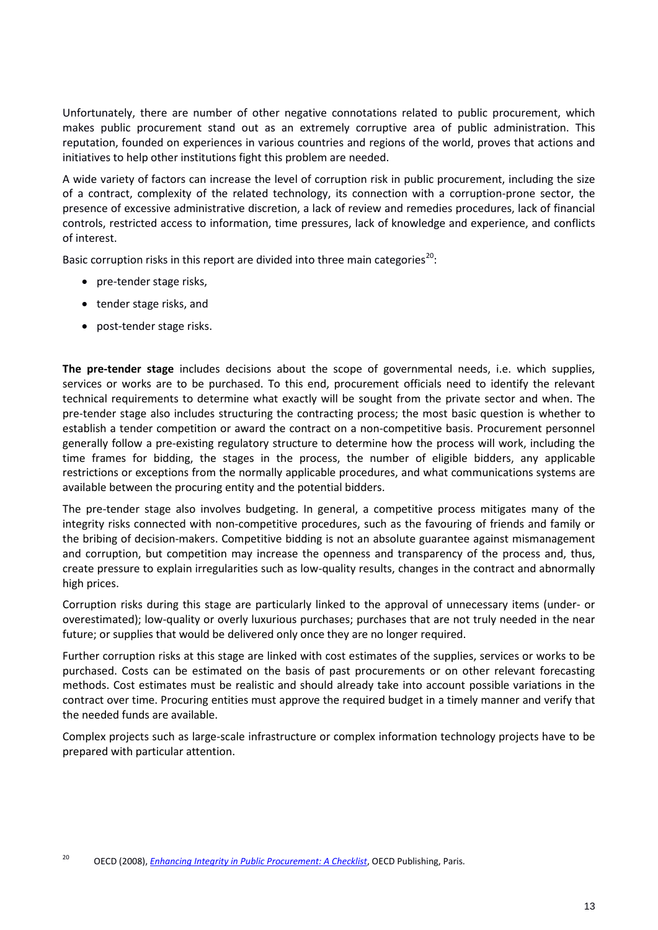Unfortunately, there are number of other negative connotations related to public procurement, which makes public procurement stand out as an extremely corruptive area of public administration. This reputation, founded on experiences in various countries and regions of the world, proves that actions and initiatives to help other institutions fight this problem are needed.

A wide variety of factors can increase the level of corruption risk in public procurement, including the size of a contract, complexity of the related technology, its connection with a corruption-prone sector, the presence of excessive administrative discretion, a lack of review and remedies procedures, lack of financial controls, restricted access to information, time pressures, lack of knowledge and experience, and conflicts of interest.

Basic corruption risks in this report are divided into three main categories<sup>[20](#page-12-0)</sup>:

- pre-tender stage risks,
- tender stage risks, and
- post-tender stage risks.

**The pre-tender stage** includes decisions about the scope of governmental needs, i.e. which supplies, services or works are to be purchased. To this end, procurement officials need to identify the relevant technical requirements to determine what exactly will be sought from the private sector and when. The pre-tender stage also includes structuring the contracting process; the most basic question is whether to establish a tender competition or award the contract on a non-competitive basis. Procurement personnel generally follow a pre-existing regulatory structure to determine how the process will work, including the time frames for bidding, the stages in the process, the number of eligible bidders, any applicable restrictions or exceptions from the normally applicable procedures, and what communications systems are available between the procuring entity and the potential bidders.

The pre-tender stage also involves budgeting. In general, a competitive process mitigates many of the integrity risks connected with non-competitive procedures, such as the favouring of friends and family or the bribing of decision-makers. Competitive bidding is not an absolute guarantee against mismanagement and corruption, but competition may increase the openness and transparency of the process and, thus, create pressure to explain irregularities such as low-quality results, changes in the contract and abnormally high prices.

Corruption risks during this stage are particularly linked to the approval of unnecessary items (under- or overestimated); low-quality or overly luxurious purchases; purchases that are not truly needed in the near future; or supplies that would be delivered only once they are no longer required.

Further corruption risks at this stage are linked with cost estimates of the supplies, services or works to be purchased. Costs can be estimated on the basis of past procurements or on other relevant forecasting methods. Cost estimates must be realistic and should already take into account possible variations in the contract over time. Procuring entities must approve the required budget in a timely manner and verify that the needed funds are available.

Complex projects such as large-scale infrastructure or complex information technology projects have to be prepared with particular attention.

<span id="page-12-0"></span><sup>20</sup> OECD (2008), *[Enhancing Integrity in Public Procurement: A Checklist](http://www.oecd.org/gov/41760991.pdf)*, OECD Publishing, Paris.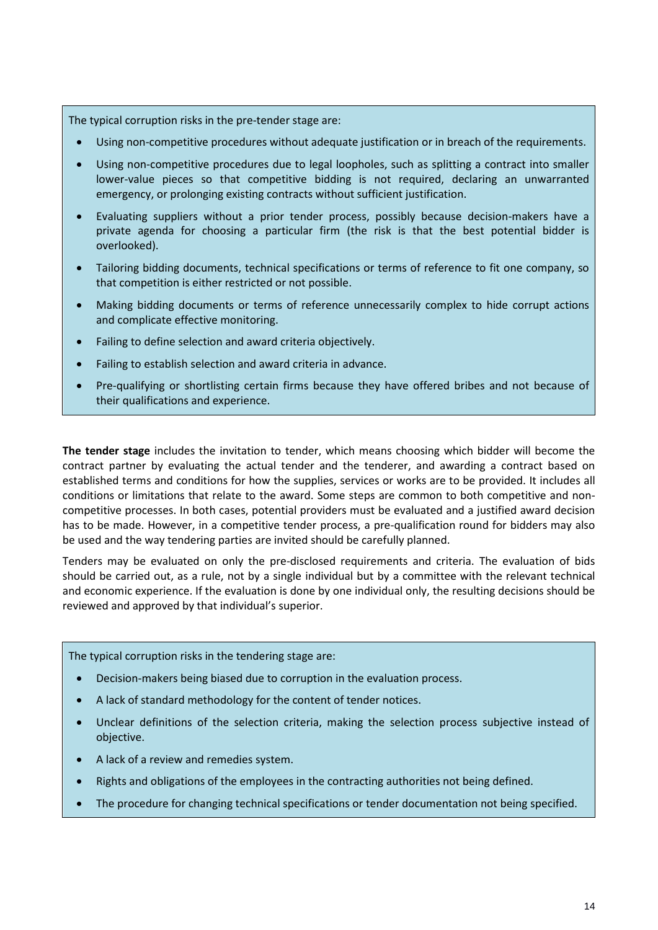The typical corruption risks in the pre-tender stage are:

- Using non-competitive procedures without adequate justification or in breach of the requirements.
- Using non-competitive procedures due to legal loopholes, such as splitting a contract into smaller lower-value pieces so that competitive bidding is not required, declaring an unwarranted emergency, or prolonging existing contracts without sufficient justification.
- Evaluating suppliers without a prior tender process, possibly because decision-makers have a private agenda for choosing a particular firm (the risk is that the best potential bidder is overlooked).
- Tailoring bidding documents, technical specifications or terms of reference to fit one company, so that competition is either restricted or not possible.
- Making bidding documents or terms of reference unnecessarily complex to hide corrupt actions and complicate effective monitoring.
- Failing to define selection and award criteria objectively.
- Failing to establish selection and award criteria in advance.
- Pre-qualifying or shortlisting certain firms because they have offered bribes and not because of their qualifications and experience.

**The tender stage** includes the invitation to tender, which means choosing which bidder will become the contract partner by evaluating the actual tender and the tenderer, and awarding a contract based on established terms and conditions for how the supplies, services or works are to be provided. It includes all conditions or limitations that relate to the award. Some steps are common to both competitive and noncompetitive processes. In both cases, potential providers must be evaluated and a justified award decision has to be made. However, in a competitive tender process, a pre-qualification round for bidders may also be used and the way tendering parties are invited should be carefully planned.

Tenders may be evaluated on only the pre-disclosed requirements and criteria. The evaluation of bids should be carried out, as a rule, not by a single individual but by a committee with the relevant technical and economic experience. If the evaluation is done by one individual only, the resulting decisions should be reviewed and approved by that individual's superior.

#### The typical corruption risks in the tendering stage are:

- Decision-makers being biased due to corruption in the evaluation process.
- A lack of standard methodology for the content of tender notices.
- Unclear definitions of the selection criteria, making the selection process subjective instead of objective.
- A lack of a review and remedies system.
- Rights and obligations of the employees in the contracting authorities not being defined.
- The procedure for changing technical specifications or tender documentation not being specified.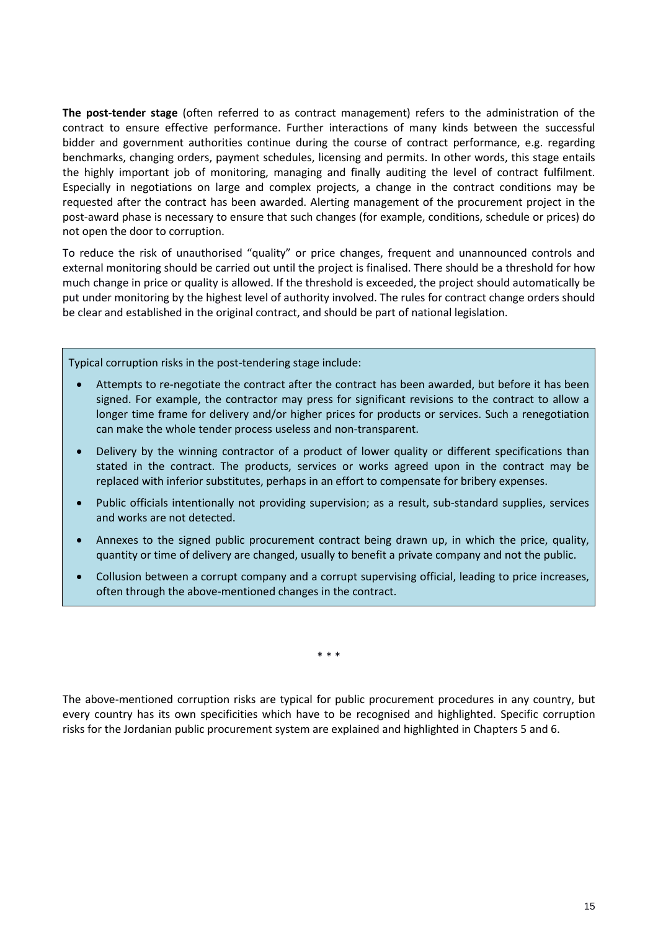**The post-tender stage** (often referred to as contract management) refers to the administration of the contract to ensure effective performance. Further interactions of many kinds between the successful bidder and government authorities continue during the course of contract performance, e.g. regarding benchmarks, changing orders, payment schedules, licensing and permits. In other words, this stage entails the highly important job of monitoring, managing and finally auditing the level of contract fulfilment. Especially in negotiations on large and complex projects, a change in the contract conditions may be requested after the contract has been awarded. Alerting management of the procurement project in the post-award phase is necessary to ensure that such changes (for example, conditions, schedule or prices) do not open the door to corruption.

To reduce the risk of unauthorised "quality" or price changes, frequent and unannounced controls and external monitoring should be carried out until the project is finalised. There should be a threshold for how much change in price or quality is allowed. If the threshold is exceeded, the project should automatically be put under monitoring by the highest level of authority involved. The rules for contract change orders should be clear and established in the original contract, and should be part of national legislation.

Typical corruption risks in the post-tendering stage include:

- Attempts to re-negotiate the contract after the contract has been awarded, but before it has been signed. For example, the contractor may press for significant revisions to the contract to allow a longer time frame for delivery and/or higher prices for products or services. Such a renegotiation can make the whole tender process useless and non-transparent.
- Delivery by the winning contractor of a product of lower quality or different specifications than stated in the contract. The products, services or works agreed upon in the contract may be replaced with inferior substitutes, perhaps in an effort to compensate for bribery expenses.
- Public officials intentionally not providing supervision; as a result, sub-standard supplies, services and works are not detected.
- Annexes to the signed public procurement contract being drawn up, in which the price, quality, quantity or time of delivery are changed, usually to benefit a private company and not the public.
- Collusion between a corrupt company and a corrupt supervising official, leading to price increases, often through the above-mentioned changes in the contract.

\* \* \*

The above-mentioned corruption risks are typical for public procurement procedures in any country, but every country has its own specificities which have to be recognised and highlighted. Specific corruption risks for the Jordanian public procurement system are explained and highlighted in Chapters 5 and 6.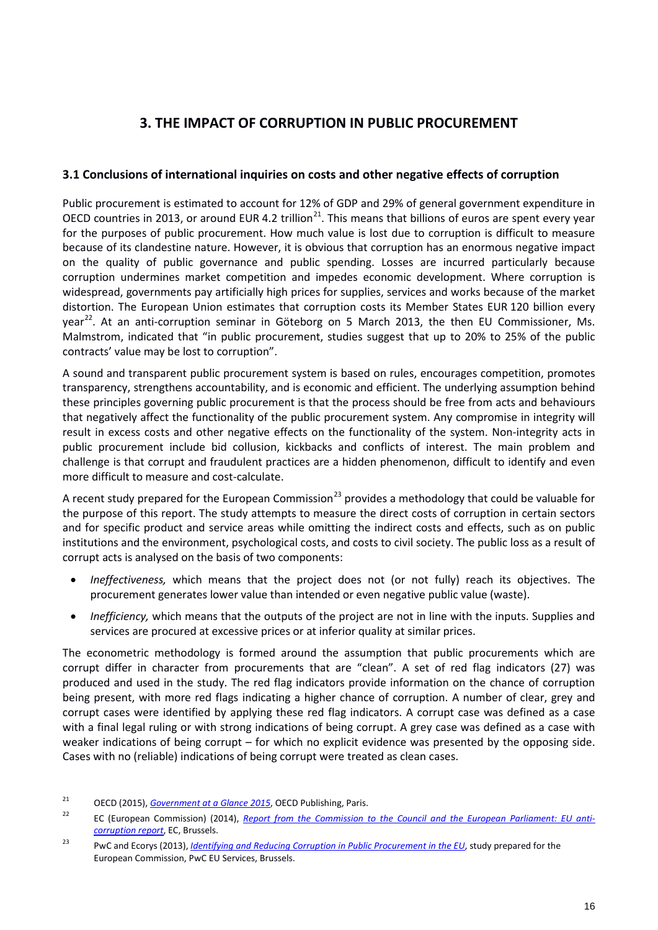# <span id="page-15-0"></span>**3. THE IMPACT OF CORRUPTION IN PUBLIC PROCUREMENT**

# <span id="page-15-1"></span>**3.1 Conclusions of international inquiries on costs and other negative effects of corruption**

Public procurement is estimated to account for 12% of GDP and 29% of general government expenditure in OECD countries in 2013, or around EUR 4.2 trillion<sup>21</sup>. This means that billions of euros are spent every year for the purposes of public procurement. How much value is lost due to corruption is difficult to measure because of its clandestine nature. However, it is obvious that corruption has an enormous negative impact on the quality of public governance and public spending. Losses are incurred particularly because corruption undermines market competition and impedes economic development. Where corruption is widespread, governments pay artificially high prices for supplies, services and works because of the market distortion. The European Union estimates that corruption costs its Member States EUR 120 billion every year<sup>22</sup>. At an anti-corruption seminar in Göteborg on 5 March 2013, the then EU Commissioner, Ms. Malmstrom, indicated that "in public procurement, studies suggest that up to 20% to 25% of the public contracts' value may be lost to corruption".

A sound and transparent public procurement system is based on rules, encourages competition, promotes transparency, strengthens accountability, and is economic and efficient. The underlying assumption behind these principles governing public procurement is that the process should be free from acts and behaviours that negatively affect the functionality of the public procurement system. Any compromise in integrity will result in excess costs and other negative effects on the functionality of the system. Non-integrity acts in public procurement include bid collusion, kickbacks and conflicts of interest. The main problem and challenge is that corrupt and fraudulent practices are a hidden phenomenon, difficult to identify and even more difficult to measure and cost-calculate.

A recent study prepared for the European Commission<sup>[23](#page-15-4)</sup> provides a methodology that could be valuable for the purpose of this report. The study attempts to measure the direct costs of corruption in certain sectors and for specific product and service areas while omitting the indirect costs and effects, such as on public institutions and the environment, psychological costs, and costs to civil society. The public loss as a result of corrupt acts is analysed on the basis of two components:

- *Ineffectiveness,* which means that the project does not (or not fully) reach its objectives. The procurement generates lower value than intended or even negative public value (waste).
- *Inefficiency,* which means that the outputs of the project are not in line with the inputs. Supplies and services are procured at excessive prices or at inferior quality at similar prices.

The econometric methodology is formed around the assumption that public procurements which are corrupt differ in character from procurements that are "clean". A set of red flag indicators (27) was produced and used in the study. The red flag indicators provide information on the chance of corruption being present, with more red flags indicating a higher chance of corruption. A number of clear, grey and corrupt cases were identified by applying these red flag indicators. A corrupt case was defined as a case with a final legal ruling or with strong indications of being corrupt. A grey case was defined as a case with weaker indications of being corrupt – for which no explicit evidence was presented by the opposing side. Cases with no (reliable) indications of being corrupt were treated as clean cases.

<span id="page-15-2"></span><sup>21</sup> OECD (2015), *[Government at a Glance 2015](http://dx.doi.org/10.1787/gov_glance-2015-en)*, OECD Publishing, Paris.

<span id="page-15-3"></span><sup>&</sup>lt;sup>22</sup> EC (European Commission) (2014), *[Report from the Commission to the Council and the European Parliament: EU anti](https://ec.europa.eu/home-affairs/sites/homeaffairs/files/e-library/documents/policies/organized-crime-and-human-trafficking/corruption/docs/acr_2014_en.pdf)[corruption report](https://ec.europa.eu/home-affairs/sites/homeaffairs/files/e-library/documents/policies/organized-crime-and-human-trafficking/corruption/docs/acr_2014_en.pdf)*, EC, Brussels.

<span id="page-15-4"></span><sup>23</sup> PwC and Ecorys (2013), *[Identifying and Reducing Corruption in Public Procurement in the EU](https://ec.europa.eu/anti-fraud/sites/antifraud/files/docs/body/identifying_reducing_corruption_in_public_procurement_en.pdf)*, study prepared for the European Commission, PwC EU Services, Brussels.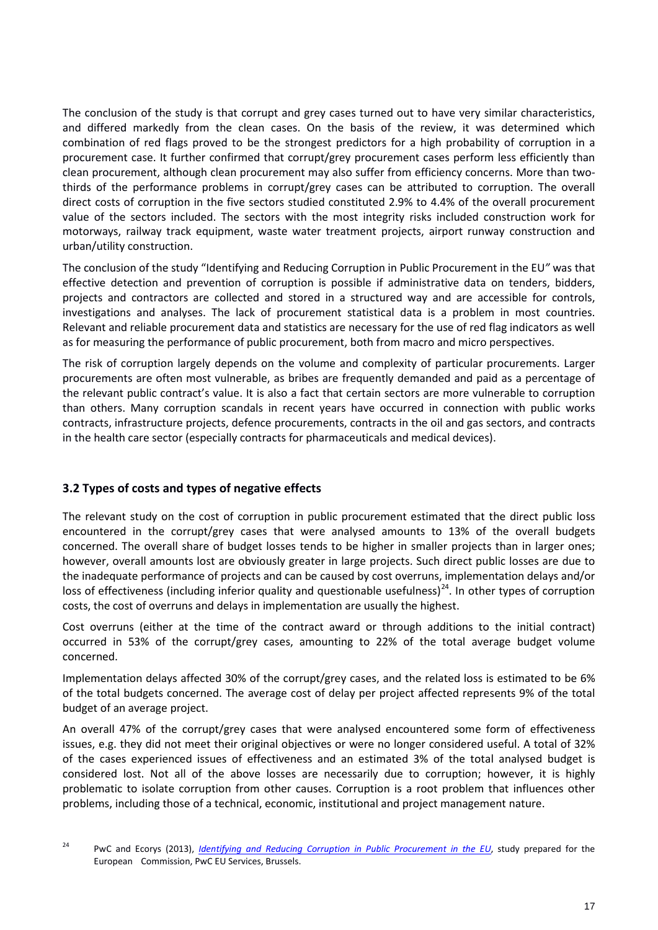The conclusion of the study is that corrupt and grey cases turned out to have very similar characteristics, and differed markedly from the clean cases. On the basis of the review, it was determined which combination of red flags proved to be the strongest predictors for a high probability of corruption in a procurement case. It further confirmed that corrupt/grey procurement cases perform less efficiently than clean procurement, although clean procurement may also suffer from efficiency concerns. More than twothirds of the performance problems in corrupt/grey cases can be attributed to corruption. The overall direct costs of corruption in the five sectors studied constituted 2.9% to 4.4% of the overall procurement value of the sectors included. The sectors with the most integrity risks included construction work for motorways, railway track equipment, waste water treatment projects, airport runway construction and urban/utility construction.

The conclusion of the study "Identifying and Reducing Corruption in Public Procurement in the EU*"* was that effective detection and prevention of corruption is possible if administrative data on tenders, bidders, projects and contractors are collected and stored in a structured way and are accessible for controls, investigations and analyses. The lack of procurement statistical data is a problem in most countries. Relevant and reliable procurement data and statistics are necessary for the use of red flag indicators as well as for measuring the performance of public procurement, both from macro and micro perspectives.

The risk of corruption largely depends on the volume and complexity of particular procurements. Larger procurements are often most vulnerable, as bribes are frequently demanded and paid as a percentage of the relevant public contract's value. It is also a fact that certain sectors are more vulnerable to corruption than others. Many corruption scandals in recent years have occurred in connection with public works contracts, infrastructure projects, defence procurements, contracts in the oil and gas sectors, and contracts in the health care sector (especially contracts for pharmaceuticals and medical devices).

# <span id="page-16-0"></span>**3.2 Types of costs and types of negative effects**

The relevant study on the cost of corruption in public procurement estimated that the direct public loss encountered in the corrupt/grey cases that were analysed amounts to 13% of the overall budgets concerned. The overall share of budget losses tends to be higher in smaller projects than in larger ones; however, overall amounts lost are obviously greater in large projects. Such direct public losses are due to the inadequate performance of projects and can be caused by cost overruns, implementation delays and/or loss of effectiveness (including inferior quality and questionable usefulness)<sup>[24](#page-16-1)</sup>. In other types of corruption costs, the cost of overruns and delays in implementation are usually the highest.

Cost overruns (either at the time of the contract award or through additions to the initial contract) occurred in 53% of the corrupt/grey cases, amounting to 22% of the total average budget volume concerned.

Implementation delays affected 30% of the corrupt/grey cases, and the related loss is estimated to be 6% of the total budgets concerned. The average cost of delay per project affected represents 9% of the total budget of an average project.

An overall 47% of the corrupt/grey cases that were analysed encountered some form of effectiveness issues, e.g. they did not meet their original objectives or were no longer considered useful. A total of 32% of the cases experienced issues of effectiveness and an estimated 3% of the total analysed budget is considered lost. Not all of the above losses are necessarily due to corruption; however, it is highly problematic to isolate corruption from other causes. Corruption is a root problem that influences other problems, including those of a technical, economic, institutional and project management nature.

<span id="page-16-1"></span><sup>&</sup>lt;sup>24</sup> PwC and Ecorys (2013), *[Identifying and Reducing Corruption in Public Procurement in the EU](https://ec.europa.eu/anti-fraud/sites/antifraud/files/docs/body/identifying_reducing_corruption_in_public_procurement_en.pdf)*, study prepared for the European Commission, PwC EU Services, Brussels.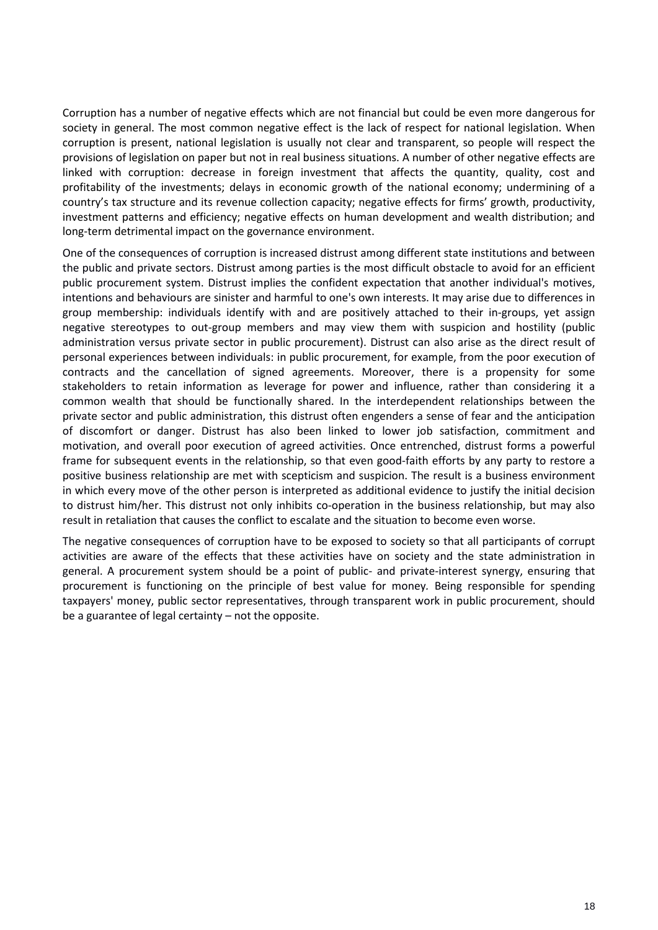Corruption has a number of negative effects which are not financial but could be even more dangerous for society in general. The most common negative effect is the lack of respect for national legislation. When corruption is present, national legislation is usually not clear and transparent, so people will respect the provisions of legislation on paper but not in real business situations. A number of other negative effects are linked with corruption: decrease in foreign investment that affects the quantity, quality, cost and profitability of the investments; delays in economic growth of the national economy; undermining of a country's tax structure and its revenue collection capacity; negative effects for firms' growth, productivity, investment patterns and efficiency; negative effects on human development and wealth distribution; and long-term detrimental impact on the governance environment.

One of the consequences of corruption is increased distrust among different state institutions and between the public and private sectors. Distrust among parties is the most difficult obstacle to avoid for an efficient public procurement system. Distrust implies the confident expectation that another individual's motives, intentions and behaviours are sinister and harmful to one's own interests. It may arise due to differences in group membership: individuals identify with and are positively attached to their in-groups, yet assign negative stereotypes to out-group members and may view them with suspicion and hostility (public administration versus private sector in public procurement). Distrust can also arise as the direct result of personal experiences between individuals: in public procurement, for example, from the poor execution of contracts and the cancellation of signed agreements. Moreover, there is a propensity for some stakeholders to retain information as leverage for power and influence, rather than considering it a common wealth that should be functionally shared. In the interdependent relationships between the private sector and public administration, this distrust often engenders a sense of fear and the anticipation of discomfort or danger. Distrust has also been linked to lower job satisfaction, commitment and motivation, and overall poor execution of agreed activities. Once entrenched, distrust forms a powerful frame for subsequent events in the relationship, so that even good-faith efforts by any party to restore a positive business relationship are met with scepticism and suspicion. The result is a business environment in which every move of the other person is interpreted as additional evidence to justify the initial decision to distrust him/her. This distrust not only inhibits co-operation in the business relationship, but may also result in retaliation that causes the conflict to escalate and the situation to become even worse.

The negative consequences of corruption have to be exposed to society so that all participants of corrupt activities are aware of the effects that these activities have on society and the state administration in general. A procurement system should be a point of public- and private-interest synergy, ensuring that procurement is functioning on the principle of best value for money*.* Being responsible for spending taxpayers' money, public sector representatives, through transparent work in public procurement, should be a guarantee of legal certainty – not the opposite.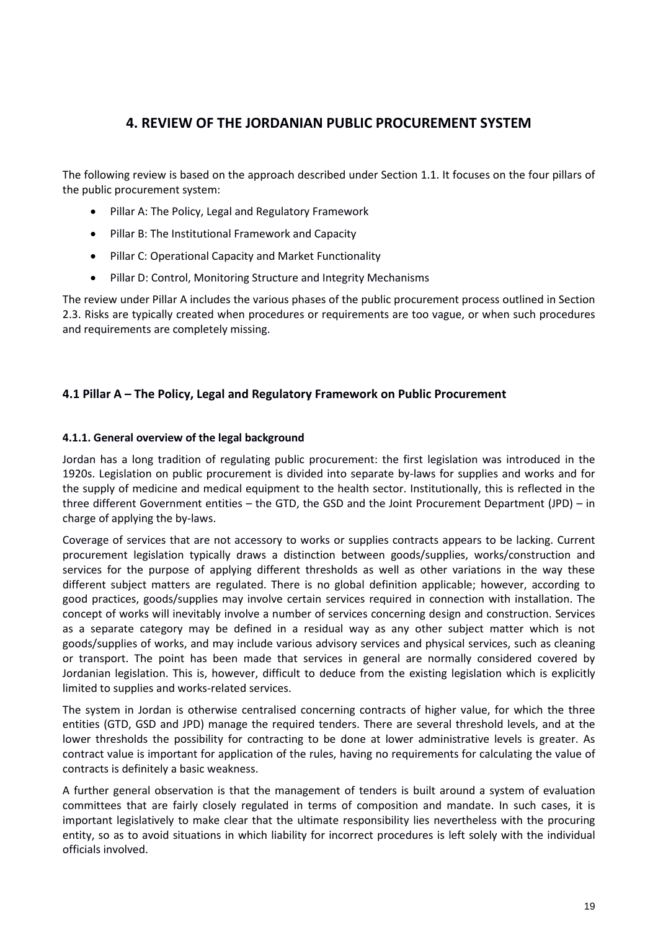# <span id="page-18-0"></span>**4. REVIEW OF THE JORDANIAN PUBLIC PROCUREMENT SYSTEM**

The following review is based on the approach described under Section 1.1. It focuses on the four pillars of the public procurement system:

- Pillar A: The Policy, Legal and Regulatory Framework
- Pillar B: The Institutional Framework and Capacity
- Pillar C: Operational Capacity and Market Functionality
- Pillar D: Control, Monitoring Structure and Integrity Mechanisms

The review under Pillar A includes the various phases of the public procurement process outlined in Section 2.3. Risks are typically created when procedures or requirements are too vague, or when such procedures and requirements are completely missing.

# <span id="page-18-1"></span>**4.1 Pillar A – The Policy, Legal and Regulatory Framework on Public Procurement**

## **4.1.1. General overview of the legal background**

Jordan has a long tradition of regulating public procurement: the first legislation was introduced in the 1920s. Legislation on public procurement is divided into separate by-laws for supplies and works and for the supply of medicine and medical equipment to the health sector. Institutionally, this is reflected in the three different Government entities – the GTD, the GSD and the Joint Procurement Department (JPD) – in charge of applying the by-laws.

Coverage of services that are not accessory to works or supplies contracts appears to be lacking. Current procurement legislation typically draws a distinction between goods/supplies, works/construction and services for the purpose of applying different thresholds as well as other variations in the way these different subject matters are regulated. There is no global definition applicable; however, according to good practices, goods/supplies may involve certain services required in connection with installation. The concept of works will inevitably involve a number of services concerning design and construction. Services as a separate category may be defined in a residual way as any other subject matter which is not goods/supplies of works, and may include various advisory services and physical services, such as cleaning or transport. The point has been made that services in general are normally considered covered by Jordanian legislation. This is, however, difficult to deduce from the existing legislation which is explicitly limited to supplies and works-related services.

The system in Jordan is otherwise centralised concerning contracts of higher value, for which the three entities (GTD, GSD and JPD) manage the required tenders. There are several threshold levels, and at the lower thresholds the possibility for contracting to be done at lower administrative levels is greater. As contract value is important for application of the rules, having no requirements for calculating the value of contracts is definitely a basic weakness.

A further general observation is that the management of tenders is built around a system of evaluation committees that are fairly closely regulated in terms of composition and mandate. In such cases, it is important legislatively to make clear that the ultimate responsibility lies nevertheless with the procuring entity, so as to avoid situations in which liability for incorrect procedures is left solely with the individual officials involved.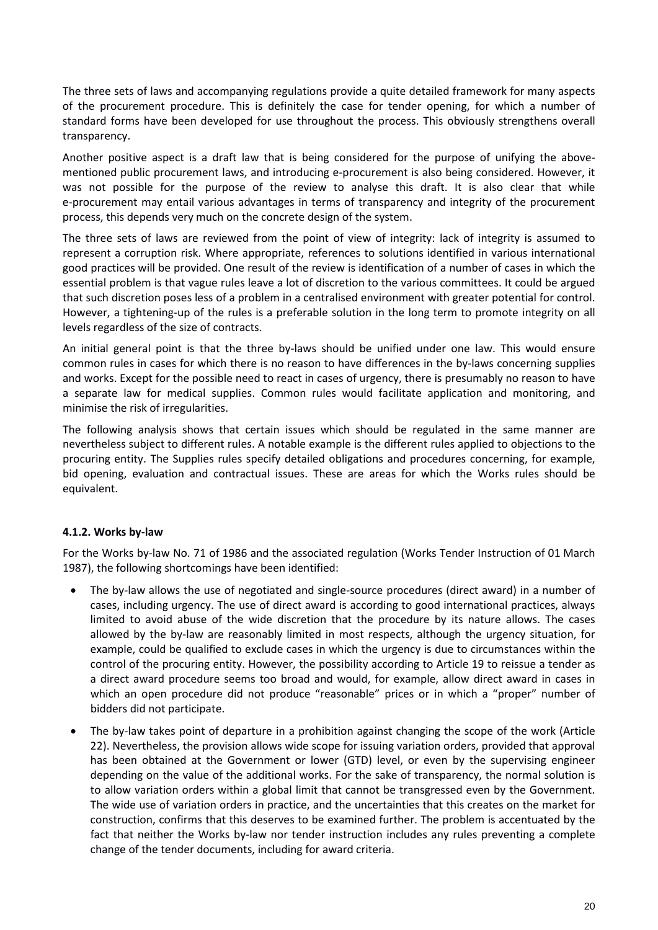The three sets of laws and accompanying regulations provide a quite detailed framework for many aspects of the procurement procedure. This is definitely the case for tender opening, for which a number of standard forms have been developed for use throughout the process. This obviously strengthens overall transparency.

Another positive aspect is a draft law that is being considered for the purpose of unifying the abovementioned public procurement laws, and introducing e-procurement is also being considered. However, it was not possible for the purpose of the review to analyse this draft. It is also clear that while e-procurement may entail various advantages in terms of transparency and integrity of the procurement process, this depends very much on the concrete design of the system.

The three sets of laws are reviewed from the point of view of integrity: lack of integrity is assumed to represent a corruption risk. Where appropriate, references to solutions identified in various international good practices will be provided. One result of the review is identification of a number of cases in which the essential problem is that vague rules leave a lot of discretion to the various committees. It could be argued that such discretion poses less of a problem in a centralised environment with greater potential for control. However, a tightening-up of the rules is a preferable solution in the long term to promote integrity on all levels regardless of the size of contracts.

An initial general point is that the three by-laws should be unified under one law. This would ensure common rules in cases for which there is no reason to have differences in the by-laws concerning supplies and works. Except for the possible need to react in cases of urgency, there is presumably no reason to have a separate law for medical supplies. Common rules would facilitate application and monitoring, and minimise the risk of irregularities.

The following analysis shows that certain issues which should be regulated in the same manner are nevertheless subject to different rules. A notable example is the different rules applied to objections to the procuring entity. The Supplies rules specify detailed obligations and procedures concerning, for example, bid opening, evaluation and contractual issues. These are areas for which the Works rules should be equivalent.

# **4.1.2. Works by-law**

For the Works by-law No. 71 of 1986 and the associated regulation (Works Tender Instruction of 01 March 1987), the following shortcomings have been identified:

- The by-law allows the use of negotiated and single-source procedures (direct award) in a number of cases, including urgency. The use of direct award is according to good international practices, always limited to avoid abuse of the wide discretion that the procedure by its nature allows. The cases allowed by the by-law are reasonably limited in most respects, although the urgency situation, for example, could be qualified to exclude cases in which the urgency is due to circumstances within the control of the procuring entity. However, the possibility according to Article 19 to reissue a tender as a direct award procedure seems too broad and would, for example, allow direct award in cases in which an open procedure did not produce "reasonable" prices or in which a "proper" number of bidders did not participate.
- The by-law takes point of departure in a prohibition against changing the scope of the work (Article 22). Nevertheless, the provision allows wide scope for issuing variation orders, provided that approval has been obtained at the Government or lower (GTD) level, or even by the supervising engineer depending on the value of the additional works. For the sake of transparency, the normal solution is to allow variation orders within a global limit that cannot be transgressed even by the Government. The wide use of variation orders in practice, and the uncertainties that this creates on the market for construction, confirms that this deserves to be examined further. The problem is accentuated by the fact that neither the Works by-law nor tender instruction includes any rules preventing a complete change of the tender documents, including for award criteria.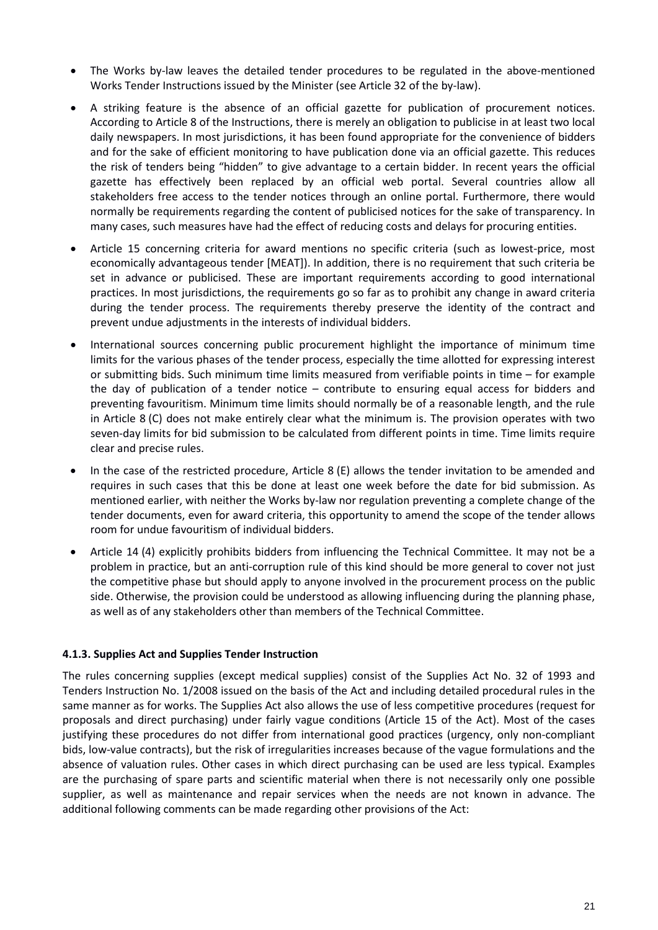- The Works by-law leaves the detailed tender procedures to be regulated in the above-mentioned Works Tender Instructions issued by the Minister (see Article 32 of the by-law).
- A striking feature is the absence of an official gazette for publication of procurement notices. According to Article 8 of the Instructions, there is merely an obligation to publicise in at least two local daily newspapers. In most jurisdictions, it has been found appropriate for the convenience of bidders and for the sake of efficient monitoring to have publication done via an official gazette. This reduces the risk of tenders being "hidden" to give advantage to a certain bidder. In recent years the official gazette has effectively been replaced by an official web portal. Several countries allow all stakeholders free access to the tender notices through an online portal. Furthermore, there would normally be requirements regarding the content of publicised notices for the sake of transparency. In many cases, such measures have had the effect of reducing costs and delays for procuring entities.
- Article 15 concerning criteria for award mentions no specific criteria (such as lowest-price, most economically advantageous tender [MEAT]). In addition, there is no requirement that such criteria be set in advance or publicised. These are important requirements according to good international practices. In most jurisdictions, the requirements go so far as to prohibit any change in award criteria during the tender process. The requirements thereby preserve the identity of the contract and prevent undue adjustments in the interests of individual bidders.
- International sources concerning public procurement highlight the importance of minimum time limits for the various phases of the tender process, especially the time allotted for expressing interest or submitting bids. Such minimum time limits measured from verifiable points in time – for example the day of publication of a tender notice – contribute to ensuring equal access for bidders and preventing favouritism. Minimum time limits should normally be of a reasonable length, and the rule in Article 8 (C) does not make entirely clear what the minimum is. The provision operates with two seven-day limits for bid submission to be calculated from different points in time. Time limits require clear and precise rules.
- In the case of the restricted procedure, Article 8 (E) allows the tender invitation to be amended and requires in such cases that this be done at least one week before the date for bid submission. As mentioned earlier, with neither the Works by-law nor regulation preventing a complete change of the tender documents, even for award criteria, this opportunity to amend the scope of the tender allows room for undue favouritism of individual bidders.
- Article 14 (4) explicitly prohibits bidders from influencing the Technical Committee. It may not be a problem in practice, but an anti-corruption rule of this kind should be more general to cover not just the competitive phase but should apply to anyone involved in the procurement process on the public side. Otherwise, the provision could be understood as allowing influencing during the planning phase, as well as of any stakeholders other than members of the Technical Committee.

#### **4.1.3. Supplies Act and Supplies Tender Instruction**

The rules concerning supplies (except medical supplies) consist of the Supplies Act No. 32 of 1993 and Tenders Instruction No. 1/2008 issued on the basis of the Act and including detailed procedural rules in the same manner as for works. The Supplies Act also allows the use of less competitive procedures (request for proposals and direct purchasing) under fairly vague conditions (Article 15 of the Act). Most of the cases justifying these procedures do not differ from international good practices (urgency, only non-compliant bids, low-value contracts), but the risk of irregularities increases because of the vague formulations and the absence of valuation rules. Other cases in which direct purchasing can be used are less typical. Examples are the purchasing of spare parts and scientific material when there is not necessarily only one possible supplier, as well as maintenance and repair services when the needs are not known in advance. The additional following comments can be made regarding other provisions of the Act: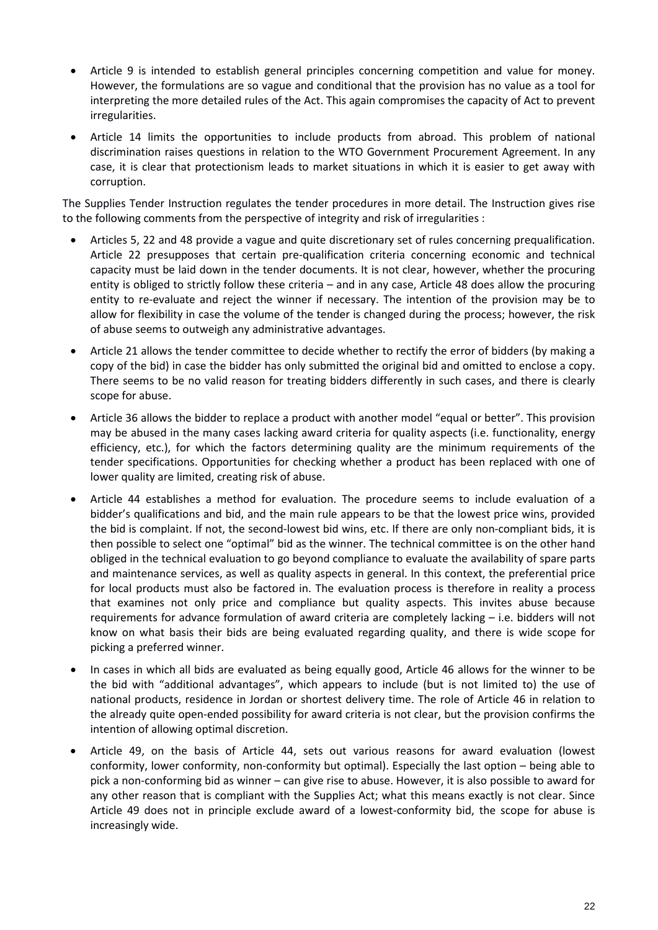- Article 9 is intended to establish general principles concerning competition and value for money. However, the formulations are so vague and conditional that the provision has no value as a tool for interpreting the more detailed rules of the Act. This again compromises the capacity of Act to prevent irregularities.
- Article 14 limits the opportunities to include products from abroad. This problem of national discrimination raises questions in relation to the WTO Government Procurement Agreement. In any case, it is clear that protectionism leads to market situations in which it is easier to get away with corruption.

The Supplies Tender Instruction regulates the tender procedures in more detail. The Instruction gives rise to the following comments from the perspective of integrity and risk of irregularities :

- Articles 5, 22 and 48 provide a vague and quite discretionary set of rules concerning prequalification. Article 22 presupposes that certain pre-qualification criteria concerning economic and technical capacity must be laid down in the tender documents. It is not clear, however, whether the procuring entity is obliged to strictly follow these criteria – and in any case, Article 48 does allow the procuring entity to re-evaluate and reject the winner if necessary. The intention of the provision may be to allow for flexibility in case the volume of the tender is changed during the process; however, the risk of abuse seems to outweigh any administrative advantages.
- Article 21 allows the tender committee to decide whether to rectify the error of bidders (by making a copy of the bid) in case the bidder has only submitted the original bid and omitted to enclose a copy. There seems to be no valid reason for treating bidders differently in such cases, and there is clearly scope for abuse.
- Article 36 allows the bidder to replace a product with another model "equal or better". This provision may be abused in the many cases lacking award criteria for quality aspects (i.e. functionality, energy efficiency, etc.), for which the factors determining quality are the minimum requirements of the tender specifications. Opportunities for checking whether a product has been replaced with one of lower quality are limited, creating risk of abuse.
- Article 44 establishes a method for evaluation. The procedure seems to include evaluation of a bidder's qualifications and bid, and the main rule appears to be that the lowest price wins, provided the bid is complaint. If not, the second-lowest bid wins, etc. If there are only non-compliant bids, it is then possible to select one "optimal" bid as the winner. The technical committee is on the other hand obliged in the technical evaluation to go beyond compliance to evaluate the availability of spare parts and maintenance services, as well as quality aspects in general. In this context, the preferential price for local products must also be factored in. The evaluation process is therefore in reality a process that examines not only price and compliance but quality aspects. This invites abuse because requirements for advance formulation of award criteria are completely lacking – i.e. bidders will not know on what basis their bids are being evaluated regarding quality, and there is wide scope for picking a preferred winner.
- In cases in which all bids are evaluated as being equally good, Article 46 allows for the winner to be the bid with "additional advantages", which appears to include (but is not limited to) the use of national products, residence in Jordan or shortest delivery time. The role of Article 46 in relation to the already quite open-ended possibility for award criteria is not clear, but the provision confirms the intention of allowing optimal discretion.
- Article 49, on the basis of Article 44, sets out various reasons for award evaluation (lowest conformity, lower conformity, non-conformity but optimal). Especially the last option – being able to pick a non-conforming bid as winner – can give rise to abuse. However, it is also possible to award for any other reason that is compliant with the Supplies Act; what this means exactly is not clear. Since Article 49 does not in principle exclude award of a lowest-conformity bid, the scope for abuse is increasingly wide.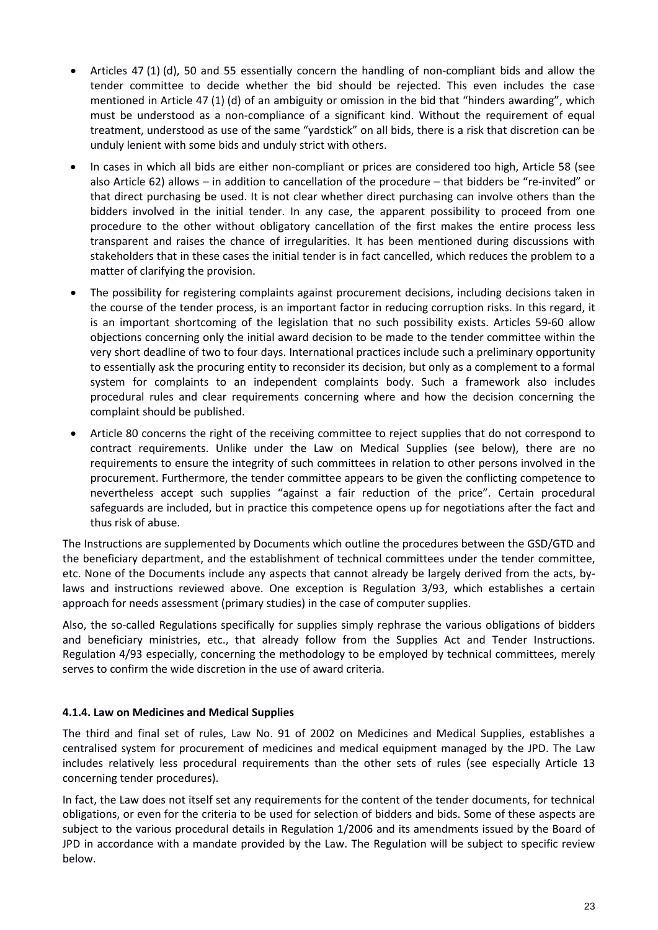- Articles 47 (1) (d), 50 and 55 essentially concern the handling of non-compliant bids and allow the tender committee to decide whether the bid should be rejected. This even includes the case mentioned in Article 47 (1) (d) of an ambiguity or omission in the bid that "hinders awarding", which must be understood as a non-compliance of a significant kind. Without the requirement of equal treatment, understood as use of the same "yardstick" on all bids, there is a risk that discretion can be unduly lenient with some bids and unduly strict with others.
- In cases in which all bids are either non-compliant or prices are considered too high, Article 58 (see also Article 62) allows – in addition to cancellation of the procedure – that bidders be "re-invited" or that direct purchasing be used. It is not clear whether direct purchasing can involve others than the bidders involved in the initial tender. In any case, the apparent possibility to proceed from one procedure to the other without obligatory cancellation of the first makes the entire process less transparent and raises the chance of irregularities. It has been mentioned during discussions with stakeholders that in these cases the initial tender is in fact cancelled, which reduces the problem to a matter of clarifying the provision.
- The possibility for registering complaints against procurement decisions, including decisions taken in the course of the tender process, is an important factor in reducing corruption risks. In this regard, it is an important shortcoming of the legislation that no such possibility exists. Articles 59-60 allow objections concerning only the initial award decision to be made to the tender committee within the very short deadline of two to four days. International practices include such a preliminary opportunity to essentially ask the procuring entity to reconsider its decision, but only as a complement to a formal system for complaints to an independent complaints body. Such a framework also includes procedural rules and clear requirements concerning where and how the decision concerning the complaint should be published.
- Article 80 concerns the right of the receiving committee to reject supplies that do not correspond to contract requirements. Unlike under the Law on Medical Supplies (see below), there are no requirements to ensure the integrity of such committees in relation to other persons involved in the procurement. Furthermore, the tender committee appears to be given the conflicting competence to nevertheless accept such supplies "against a fair reduction of the price". Certain procedural safeguards are included, but in practice this competence opens up for negotiations after the fact and thus risk of abuse.

The Instructions are supplemented by Documents which outline the procedures between the GSD/GTD and the beneficiary department, and the establishment of technical committees under the tender committee, etc. None of the Documents include any aspects that cannot already be largely derived from the acts, bylaws and instructions reviewed above. One exception is Regulation 3/93, which establishes a certain approach for needs assessment (primary studies) in the case of computer supplies.

Also, the so-called Regulations specifically for supplies simply rephrase the various obligations of bidders and beneficiary ministries, etc., that already follow from the Supplies Act and Tender Instructions. Regulation 4/93 especially, concerning the methodology to be employed by technical committees, merely serves to confirm the wide discretion in the use of award criteria.

# **4.1.4. Law on Medicines and Medical Supplies**

The third and final set of rules, Law No. 91 of 2002 on Medicines and Medical Supplies, establishes a centralised system for procurement of medicines and medical equipment managed by the JPD. The Law includes relatively less procedural requirements than the other sets of rules (see especially Article 13 concerning tender procedures).

In fact, the Law does not itself set any requirements for the content of the tender documents, for technical obligations, or even for the criteria to be used for selection of bidders and bids. Some of these aspects are subject to the various procedural details in Regulation 1/2006 and its amendments issued by the Board of JPD in accordance with a mandate provided by the Law. The Regulation will be subject to specific review below.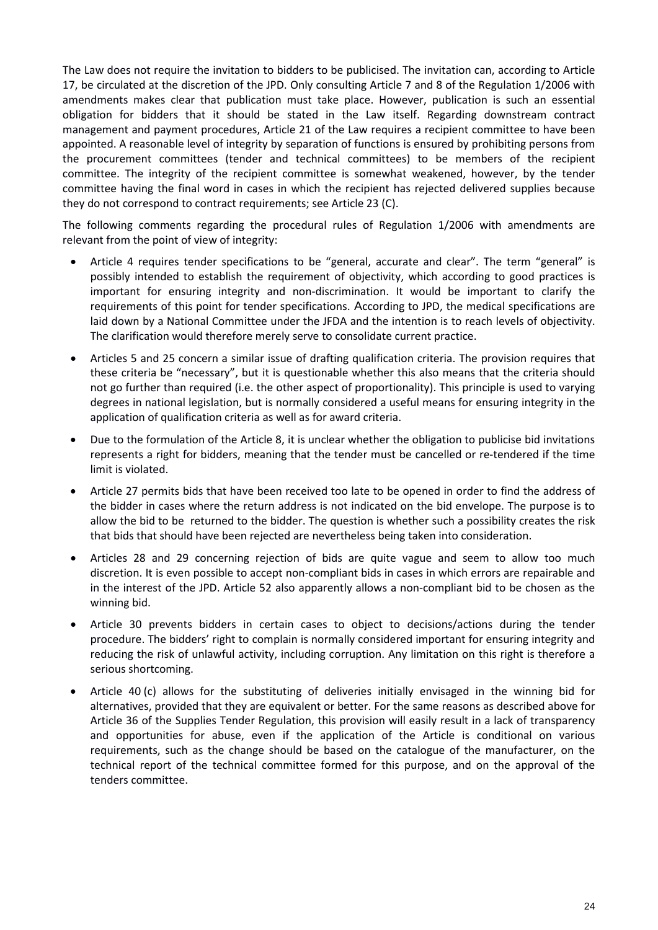The Law does not require the invitation to bidders to be publicised. The invitation can, according to Article 17, be circulated at the discretion of the JPD. Only consulting Article 7 and 8 of the Regulation 1/2006 with amendments makes clear that publication must take place. However, publication is such an essential obligation for bidders that it should be stated in the Law itself. Regarding downstream contract management and payment procedures, Article 21 of the Law requires a recipient committee to have been appointed. A reasonable level of integrity by separation of functions is ensured by prohibiting persons from the procurement committees (tender and technical committees) to be members of the recipient committee. The integrity of the recipient committee is somewhat weakened, however, by the tender committee having the final word in cases in which the recipient has rejected delivered supplies because they do not correspond to contract requirements; see Article 23 (C).

The following comments regarding the procedural rules of Regulation 1/2006 with amendments are relevant from the point of view of integrity:

- Article 4 requires tender specifications to be "general, accurate and clear". The term "general" is possibly intended to establish the requirement of objectivity, which according to good practices is important for ensuring integrity and non-discrimination. It would be important to clarify the requirements of this point for tender specifications. According to JPD, the medical specifications are laid down by a National Committee under the JFDA and the intention is to reach levels of objectivity. The clarification would therefore merely serve to consolidate current practice.
- Articles 5 and 25 concern a similar issue of drafting qualification criteria. The provision requires that these criteria be "necessary", but it is questionable whether this also means that the criteria should not go further than required (i.e. the other aspect of proportionality). This principle is used to varying degrees in national legislation, but is normally considered a useful means for ensuring integrity in the application of qualification criteria as well as for award criteria.
- Due to the formulation of the Article 8, it is unclear whether the obligation to publicise bid invitations represents a right for bidders, meaning that the tender must be cancelled or re-tendered if the time limit is violated.
- Article 27 permits bids that have been received too late to be opened in order to find the address of the bidder in cases where the return address is not indicated on the bid envelope. The purpose is to allow the bid to be returned to the bidder. The question is whether such a possibility creates the risk that bids that should have been rejected are nevertheless being taken into consideration.
- Articles 28 and 29 concerning rejection of bids are quite vague and seem to allow too much discretion. It is even possible to accept non-compliant bids in cases in which errors are repairable and in the interest of the JPD. Article 52 also apparently allows a non-compliant bid to be chosen as the winning bid.
- Article 30 prevents bidders in certain cases to object to decisions/actions during the tender procedure. The bidders' right to complain is normally considered important for ensuring integrity and reducing the risk of unlawful activity, including corruption. Any limitation on this right is therefore a serious shortcoming.
- Article 40 (c) allows for the substituting of deliveries initially envisaged in the winning bid for alternatives, provided that they are equivalent or better. For the same reasons as described above for Article 36 of the Supplies Tender Regulation, this provision will easily result in a lack of transparency and opportunities for abuse, even if the application of the Article is conditional on various requirements, such as the change should be based on the catalogue of the manufacturer, on the technical report of the technical committee formed for this purpose, and on the approval of the tenders committee.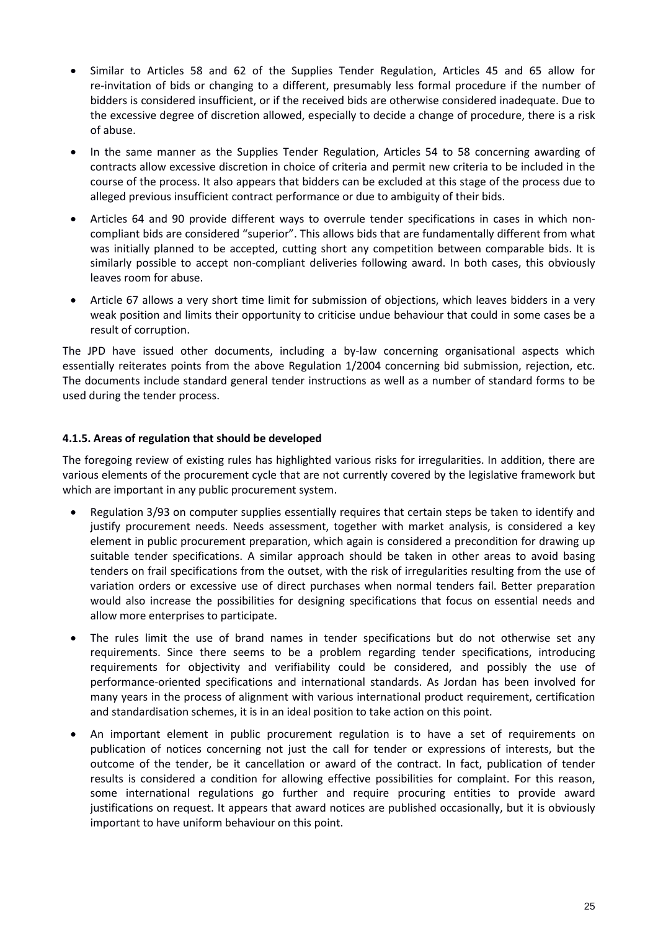- Similar to Articles 58 and 62 of the Supplies Tender Regulation, Articles 45 and 65 allow for re-invitation of bids or changing to a different, presumably less formal procedure if the number of bidders is considered insufficient, or if the received bids are otherwise considered inadequate. Due to the excessive degree of discretion allowed, especially to decide a change of procedure, there is a risk of abuse.
- In the same manner as the Supplies Tender Regulation, Articles 54 to 58 concerning awarding of contracts allow excessive discretion in choice of criteria and permit new criteria to be included in the course of the process. It also appears that bidders can be excluded at this stage of the process due to alleged previous insufficient contract performance or due to ambiguity of their bids.
- Articles 64 and 90 provide different ways to overrule tender specifications in cases in which noncompliant bids are considered "superior". This allows bids that are fundamentally different from what was initially planned to be accepted, cutting short any competition between comparable bids. It is similarly possible to accept non-compliant deliveries following award. In both cases, this obviously leaves room for abuse.
- Article 67 allows a very short time limit for submission of objections, which leaves bidders in a very weak position and limits their opportunity to criticise undue behaviour that could in some cases be a result of corruption.

The JPD have issued other documents, including a by-law concerning organisational aspects which essentially reiterates points from the above Regulation 1/2004 concerning bid submission, rejection, etc. The documents include standard general tender instructions as well as a number of standard forms to be used during the tender process.

# **4.1.5. Areas of regulation that should be developed**

The foregoing review of existing rules has highlighted various risks for irregularities. In addition, there are various elements of the procurement cycle that are not currently covered by the legislative framework but which are important in any public procurement system.

- Regulation 3/93 on computer supplies essentially requires that certain steps be taken to identify and justify procurement needs. Needs assessment, together with market analysis, is considered a key element in public procurement preparation, which again is considered a precondition for drawing up suitable tender specifications. A similar approach should be taken in other areas to avoid basing tenders on frail specifications from the outset, with the risk of irregularities resulting from the use of variation orders or excessive use of direct purchases when normal tenders fail. Better preparation would also increase the possibilities for designing specifications that focus on essential needs and allow more enterprises to participate.
- The rules limit the use of brand names in tender specifications but do not otherwise set any requirements. Since there seems to be a problem regarding tender specifications, introducing requirements for objectivity and verifiability could be considered, and possibly the use of performance-oriented specifications and international standards. As Jordan has been involved for many years in the process of alignment with various international product requirement, certification and standardisation schemes, it is in an ideal position to take action on this point.
- An important element in public procurement regulation is to have a set of requirements on publication of notices concerning not just the call for tender or expressions of interests, but the outcome of the tender, be it cancellation or award of the contract. In fact, publication of tender results is considered a condition for allowing effective possibilities for complaint. For this reason, some international regulations go further and require procuring entities to provide award justifications on request. It appears that award notices are published occasionally, but it is obviously important to have uniform behaviour on this point.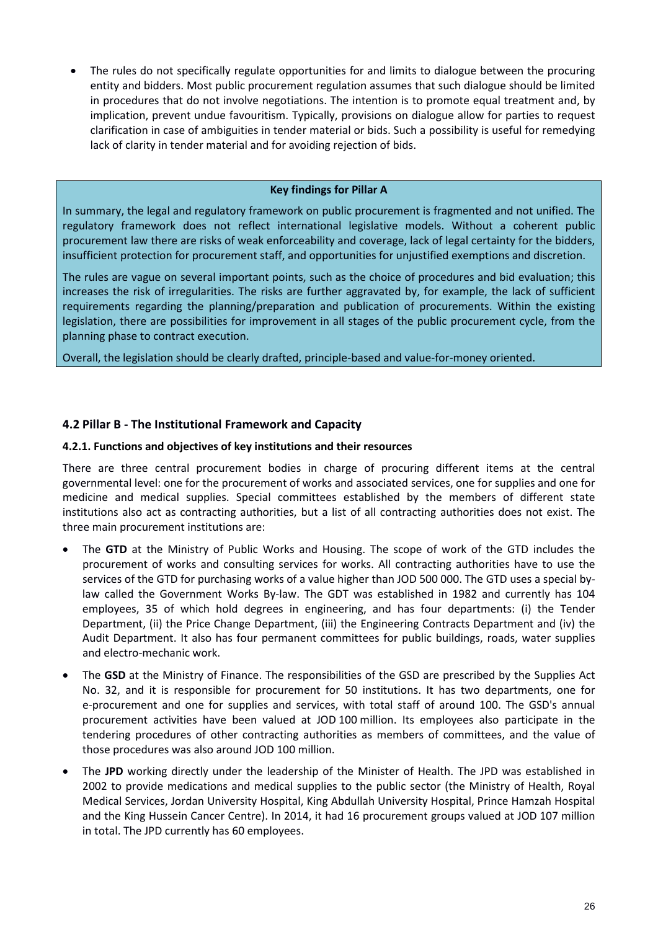• The rules do not specifically regulate opportunities for and limits to dialogue between the procuring entity and bidders. Most public procurement regulation assumes that such dialogue should be limited in procedures that do not involve negotiations. The intention is to promote equal treatment and, by implication, prevent undue favouritism. Typically, provisions on dialogue allow for parties to request clarification in case of ambiguities in tender material or bids. Such a possibility is useful for remedying lack of clarity in tender material and for avoiding rejection of bids.

## **Key findings for Pillar A**

In summary, the legal and regulatory framework on public procurement is fragmented and not unified. The regulatory framework does not reflect international legislative models. Without a coherent public procurement law there are risks of weak enforceability and coverage, lack of legal certainty for the bidders, insufficient protection for procurement staff, and opportunities for unjustified exemptions and discretion.

The rules are vague on several important points, such as the choice of procedures and bid evaluation; this increases the risk of irregularities. The risks are further aggravated by, for example, the lack of sufficient requirements regarding the planning/preparation and publication of procurements. Within the existing legislation, there are possibilities for improvement in all stages of the public procurement cycle, from the planning phase to contract execution.

Overall, the legislation should be clearly drafted, principle-based and value-for-money oriented.

# <span id="page-25-0"></span>**4.2 Pillar B - The Institutional Framework and Capacity**

## <span id="page-25-1"></span>**4.2.1. Functions and objectives of key institutions and their resources**

There are three central procurement bodies in charge of procuring different items at the central governmental level: one for the procurement of works and associated services, one for supplies and one for medicine and medical supplies. Special committees established by the members of different state institutions also act as contracting authorities, but a list of all contracting authorities does not exist. The three main procurement institutions are:

- The **GTD** at the Ministry of Public Works and Housing. The scope of work of the GTD includes the procurement of works and consulting services for works. All contracting authorities have to use the services of the GTD for purchasing works of a value higher than JOD 500 000. The GTD uses a special bylaw called the Government Works By-law. The GDT was established in 1982 and currently has 104 employees, 35 of which hold degrees in engineering, and has four departments: (i) the Tender Department, (ii) the Price Change Department, (iii) the Engineering Contracts Department and (iv) the Audit Department. It also has four permanent committees for public buildings, roads, water supplies and electro-mechanic work.
- The **GSD** at the Ministry of Finance. The responsibilities of the GSD are prescribed by the Supplies Act No. 32, and it is responsible for procurement for 50 institutions. It has two departments, one for e-procurement and one for supplies and services, with total staff of around 100. The GSD's annual procurement activities have been valued at JOD 100 million. Its employees also participate in the tendering procedures of other contracting authorities as members of committees, and the value of those procedures was also around JOD 100 million.
- The **JPD** working directly under the leadership of the Minister of Health. The JPD was established in 2002 to provide medications and medical supplies to the public sector (the Ministry of Health, Royal Medical Services, Jordan University Hospital, King Abdullah University Hospital, Prince Hamzah Hospital and the King Hussein Cancer Centre). In 2014, it had 16 procurement groups valued at JOD 107 million in total. The JPD currently has 60 employees.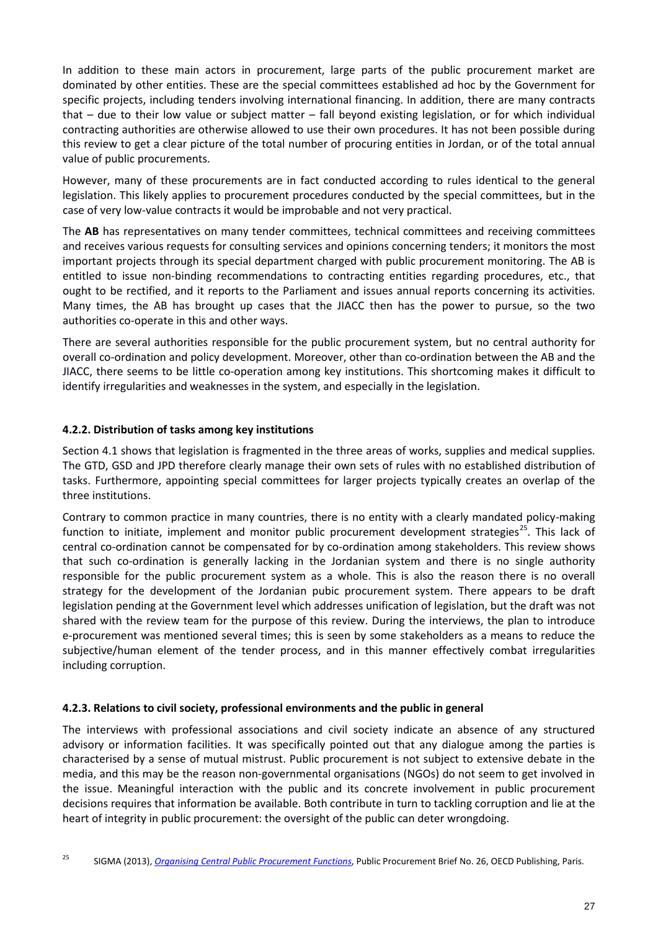In addition to these main actors in procurement, large parts of the public procurement market are dominated by other entities. These are the special committees established ad hoc by the Government for specific projects, including tenders involving international financing. In addition, there are many contracts that – due to their low value or subject matter – fall beyond existing legislation, or for which individual contracting authorities are otherwise allowed to use their own procedures. It has not been possible during this review to get a clear picture of the total number of procuring entities in Jordan, or of the total annual value of public procurements.

However, many of these procurements are in fact conducted according to rules identical to the general legislation. This likely applies to procurement procedures conducted by the special committees, but in the case of very low-value contracts it would be improbable and not very practical.

The **AB** has representatives on many tender committees, technical committees and receiving committees and receives various requests for consulting services and opinions concerning tenders; it monitors the most important projects through its special department charged with public procurement monitoring. The AB is entitled to issue non-binding recommendations to contracting entities regarding procedures, etc., that ought to be rectified, and it reports to the Parliament and issues annual reports concerning its activities. Many times, the AB has brought up cases that the JIACC then has the power to pursue, so the two authorities co-operate in this and other ways.

There are several authorities responsible for the public procurement system, but no central authority for overall co-ordination and policy development. Moreover, other than co-ordination between the AB and the JIACC, there seems to be little co-operation among key institutions. This shortcoming makes it difficult to identify irregularities and weaknesses in the system, and especially in the legislation.

# <span id="page-26-0"></span>**4.2.2. Distribution of tasks among key institutions**

Section 4.1 shows that legislation is fragmented in the three areas of works, supplies and medical supplies. The GTD, GSD and JPD therefore clearly manage their own sets of rules with no established distribution of tasks. Furthermore, appointing special committees for larger projects typically creates an overlap of the three institutions.

Contrary to common practice in many countries, there is no entity with a clearly mandated policy-making function to initiate, implement and monitor public procurement development strategies<sup>[25](#page-26-2)</sup>. This lack of central co-ordination cannot be compensated for by co-ordination among stakeholders. This review shows that such co-ordination is generally lacking in the Jordanian system and there is no single authority responsible for the public procurement system as a whole. This is also the reason there is no overall strategy for the development of the Jordanian pubic procurement system. There appears to be draft legislation pending at the Government level which addresses unification of legislation, but the draft was not shared with the review team for the purpose of this review. During the interviews, the plan to introduce e-procurement was mentioned several times; this is seen by some stakeholders as a means to reduce the subjective/human element of the tender process, and in this manner effectively combat irregularities including corruption.

# <span id="page-26-1"></span>**4.2.3. Relations to civil society, professional environments and the public in general**

The interviews with professional associations and civil society indicate an absence of any structured advisory or information facilities. It was specifically pointed out that any dialogue among the parties is characterised by a sense of mutual mistrust. Public procurement is not subject to extensive debate in the media, and this may be the reason non-governmental organisations (NGOs) do not seem to get involved in the issue. Meaningful interaction with the public and its concrete involvement in public procurement decisions requires that information be available. Both contribute in turn to tackling corruption and lie at the heart of integrity in public procurement: the oversight of the public can deter wrongdoing.

<span id="page-26-2"></span><sup>25</sup> SIGMA (2013), *[Organising Central Public Procurement Functions](http://dx.doi.org/10.1787/5js4vmn5s5kd-en)*, Public Procurement Brief No. 26, OECD Publishing, Paris.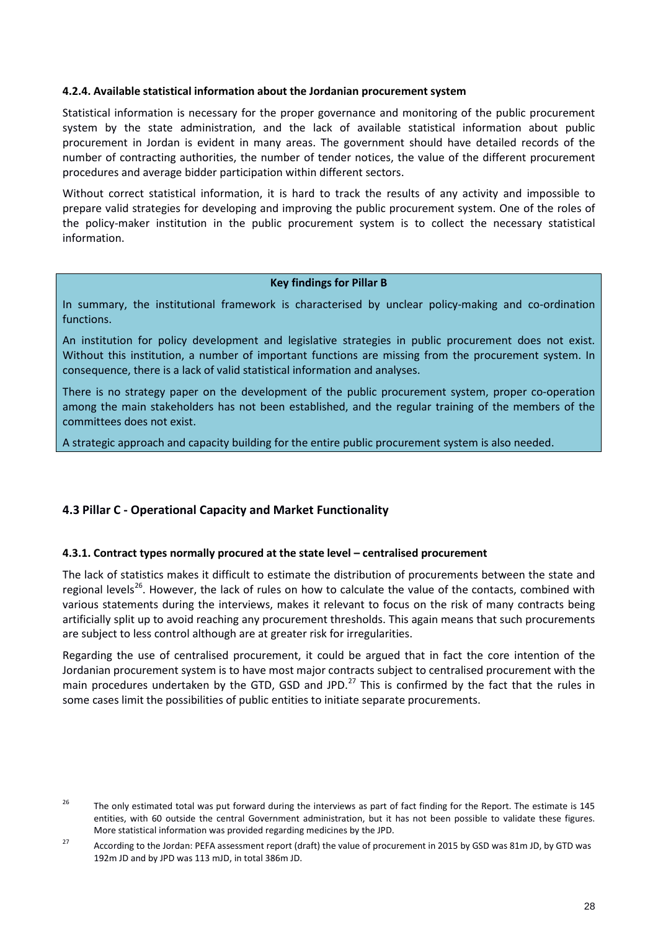#### <span id="page-27-0"></span>**4.2.4. Available statistical information about the Jordanian procurement system**

Statistical information is necessary for the proper governance and monitoring of the public procurement system by the state administration, and the lack of available statistical information about public procurement in Jordan is evident in many areas. The government should have detailed records of the number of contracting authorities, the number of tender notices, the value of the different procurement procedures and average bidder participation within different sectors.

Without correct statistical information, it is hard to track the results of any activity and impossible to prepare valid strategies for developing and improving the public procurement system. One of the roles of the policy-maker institution in the public procurement system is to collect the necessary statistical information.

### **Key findings for Pillar B**

In summary, the institutional framework is characterised by unclear policy-making and co-ordination functions.

An institution for policy development and legislative strategies in public procurement does not exist. Without this institution, a number of important functions are missing from the procurement system. In consequence, there is a lack of valid statistical information and analyses.

There is no strategy paper on the development of the public procurement system, proper co-operation among the main stakeholders has not been established, and the regular training of the members of the committees does not exist.

A strategic approach and capacity building for the entire public procurement system is also needed.

# <span id="page-27-2"></span><span id="page-27-1"></span>**4.3 Pillar C - Operational Capacity and Market Functionality**

#### **4.3.1. Contract types normally procured at the state level – centralised procurement**

The lack of statistics makes it difficult to estimate the distribution of procurements between the state and regional levels<sup>[26](#page-27-3)</sup>. However, the lack of rules on how to calculate the value of the contacts, combined with various statements during the interviews, makes it relevant to focus on the risk of many contracts being artificially split up to avoid reaching any procurement thresholds. This again means that such procurements are subject to less control although are at greater risk for irregularities.

Regarding the use of centralised procurement, it could be argued that in fact the core intention of the Jordanian procurement system is to have most major contracts subject to centralised procurement with the main procedures undertaken by the GTD, GSD and JPD.<sup>[27](#page-27-4)</sup> This is confirmed by the fact that the rules in some cases limit the possibilities of public entities to initiate separate procurements.

<span id="page-27-3"></span><sup>&</sup>lt;sup>26</sup> The only estimated total was put forward during the interviews as part of fact finding for the Report. The estimate is 145 entities, with 60 outside the central Government administration, but it has not been possible to validate these figures. More statistical information was provided regarding medicines by the JPD.

<span id="page-27-4"></span><sup>&</sup>lt;sup>27</sup> According to the Jordan: PEFA assessment report (draft) the value of procurement in 2015 by GSD was 81m JD, by GTD was 192m JD and by JPD was 113 mJD, in total 386m JD.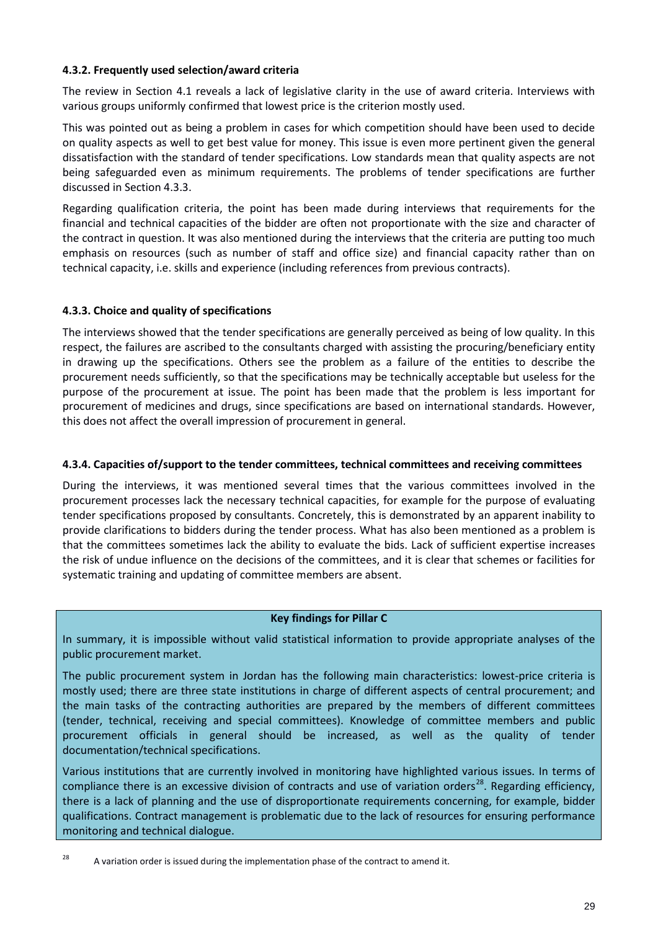## <span id="page-28-0"></span>**4.3.2. Frequently used selection/award criteria**

The review in Section 4.1 reveals a lack of legislative clarity in the use of award criteria. Interviews with various groups uniformly confirmed that lowest price is the criterion mostly used.

This was pointed out as being a problem in cases for which competition should have been used to decide on quality aspects as well to get best value for money. This issue is even more pertinent given the general dissatisfaction with the standard of tender specifications. Low standards mean that quality aspects are not being safeguarded even as minimum requirements. The problems of tender specifications are further discussed in Section 4.3.3.

Regarding qualification criteria, the point has been made during interviews that requirements for the financial and technical capacities of the bidder are often not proportionate with the size and character of the contract in question. It was also mentioned during the interviews that the criteria are putting too much emphasis on resources (such as number of staff and office size) and financial capacity rather than on technical capacity, i.e. skills and experience (including references from previous contracts).

## <span id="page-28-1"></span>**4.3.3. Choice and quality of specifications**

The interviews showed that the tender specifications are generally perceived as being of low quality. In this respect, the failures are ascribed to the consultants charged with assisting the procuring/beneficiary entity in drawing up the specifications. Others see the problem as a failure of the entities to describe the procurement needs sufficiently, so that the specifications may be technically acceptable but useless for the purpose of the procurement at issue. The point has been made that the problem is less important for procurement of medicines and drugs, since specifications are based on international standards. However, this does not affect the overall impression of procurement in general.

#### **4.3.4. Capacities of/support to the tender committees, technical committees and receiving committees**

During the interviews, it was mentioned several times that the various committees involved in the procurement processes lack the necessary technical capacities, for example for the purpose of evaluating tender specifications proposed by consultants. Concretely, this is demonstrated by an apparent inability to provide clarifications to bidders during the tender process. What has also been mentioned as a problem is that the committees sometimes lack the ability to evaluate the bids. Lack of sufficient expertise increases the risk of undue influence on the decisions of the committees, and it is clear that schemes or facilities for systematic training and updating of committee members are absent.

#### **Key findings for Pillar C**

In summary, it is impossible without valid statistical information to provide appropriate analyses of the public procurement market.

The public procurement system in Jordan has the following main characteristics: lowest-price criteria is mostly used; there are three state institutions in charge of different aspects of central procurement; and the main tasks of the contracting authorities are prepared by the members of different committees (tender, technical, receiving and special committees). Knowledge of committee members and public procurement officials in general should be increased, as well as the quality of tender documentation/technical specifications.

Various institutions that are currently involved in monitoring have highlighted various issues. In terms of compliance there is an excessive division of contracts and use of variation orders<sup>28</sup>. Regarding efficiency, there is a lack of planning and the use of disproportionate requirements concerning, for example, bidder qualifications. Contract management is problematic due to the lack of resources for ensuring performance monitoring and technical dialogue.

<span id="page-28-2"></span><sup>&</sup>lt;sup>28</sup> A variation order is issued during the implementation phase of the contract to amend it.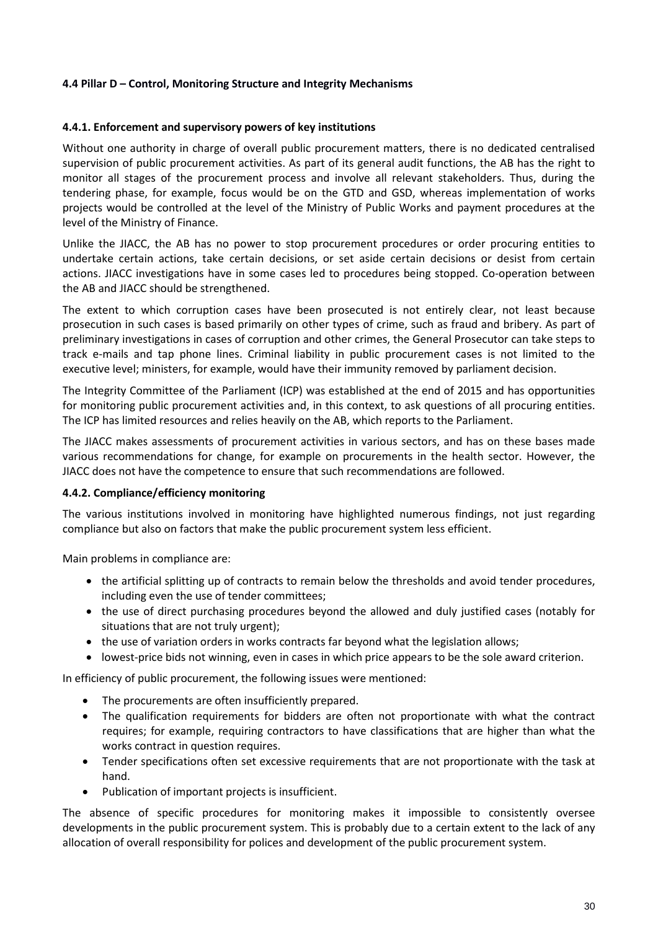# <span id="page-29-0"></span>**4.4 Pillar D – Control, Monitoring Structure and Integrity Mechanisms**

#### <span id="page-29-1"></span>**4.4.1. Enforcement and supervisory powers of key institutions**

Without one authority in charge of overall public procurement matters, there is no dedicated centralised supervision of public procurement activities. As part of its general audit functions, the AB has the right to monitor all stages of the procurement process and involve all relevant stakeholders. Thus, during the tendering phase, for example, focus would be on the GTD and GSD, whereas implementation of works projects would be controlled at the level of the Ministry of Public Works and payment procedures at the level of the Ministry of Finance.

Unlike the JIACC, the AB has no power to stop procurement procedures or order procuring entities to undertake certain actions, take certain decisions, or set aside certain decisions or desist from certain actions. JIACC investigations have in some cases led to procedures being stopped. Co-operation between the AB and JIACC should be strengthened.

The extent to which corruption cases have been prosecuted is not entirely clear, not least because prosecution in such cases is based primarily on other types of crime, such as fraud and bribery. As part of preliminary investigations in cases of corruption and other crimes, the General Prosecutor can take steps to track e-mails and tap phone lines. Criminal liability in public procurement cases is not limited to the executive level; ministers, for example, would have their immunity removed by parliament decision.

The Integrity Committee of the Parliament (ICP) was established at the end of 2015 and has opportunities for monitoring public procurement activities and, in this context, to ask questions of all procuring entities. The ICP has limited resources and relies heavily on the AB, which reports to the Parliament.

The JIACC makes assessments of procurement activities in various sectors, and has on these bases made various recommendations for change, for example on procurements in the health sector. However, the JIACC does not have the competence to ensure that such recommendations are followed.

#### <span id="page-29-2"></span>**4.4.2. Compliance/efficiency monitoring**

The various institutions involved in monitoring have highlighted numerous findings, not just regarding compliance but also on factors that make the public procurement system less efficient.

Main problems in compliance are:

- the artificial splitting up of contracts to remain below the thresholds and avoid tender procedures, including even the use of tender committees;
- the use of direct purchasing procedures beyond the allowed and duly justified cases (notably for situations that are not truly urgent);
- the use of variation orders in works contracts far beyond what the legislation allows;
- lowest-price bids not winning, even in cases in which price appears to be the sole award criterion.

In efficiency of public procurement, the following issues were mentioned:

- The procurements are often insufficiently prepared.
- The qualification requirements for bidders are often not proportionate with what the contract requires; for example, requiring contractors to have classifications that are higher than what the works contract in question requires.
- Tender specifications often set excessive requirements that are not proportionate with the task at hand.
- Publication of important projects is insufficient.

The absence of specific procedures for monitoring makes it impossible to consistently oversee developments in the public procurement system. This is probably due to a certain extent to the lack of any allocation of overall responsibility for polices and development of the public procurement system.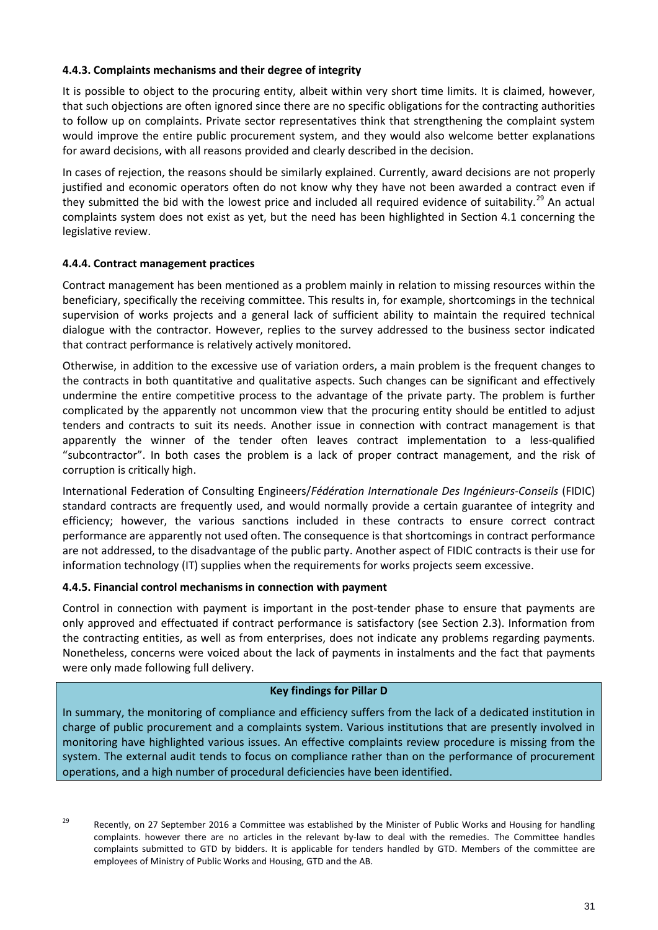## <span id="page-30-0"></span>**4.4.3. Complaints mechanisms and their degree of integrity**

It is possible to object to the procuring entity, albeit within very short time limits. It is claimed, however, that such objections are often ignored since there are no specific obligations for the contracting authorities to follow up on complaints. Private sector representatives think that strengthening the complaint system would improve the entire public procurement system, and they would also welcome better explanations for award decisions, with all reasons provided and clearly described in the decision.

In cases of rejection, the reasons should be similarly explained. Currently, award decisions are not properly justified and economic operators often do not know why they have not been awarded a contract even if they submitted the bid with the lowest price and included all required evidence of suitability.<sup>[29](#page-30-3)</sup> An actual complaints system does not exist as yet, but the need has been highlighted in Section 4.1 concerning the legislative review.

# <span id="page-30-1"></span>**4.4.4. Contract management practices**

Contract management has been mentioned as a problem mainly in relation to missing resources within the beneficiary, specifically the receiving committee. This results in, for example, shortcomings in the technical supervision of works projects and a general lack of sufficient ability to maintain the required technical dialogue with the contractor. However, replies to the survey addressed to the business sector indicated that contract performance is relatively actively monitored.

Otherwise, in addition to the excessive use of variation orders, a main problem is the frequent changes to the contracts in both quantitative and qualitative aspects. Such changes can be significant and effectively undermine the entire competitive process to the advantage of the private party. The problem is further complicated by the apparently not uncommon view that the procuring entity should be entitled to adjust tenders and contracts to suit its needs. Another issue in connection with contract management is that apparently the winner of the tender often leaves contract implementation to a less-qualified "subcontractor". In both cases the problem is a lack of proper contract management, and the risk of corruption is critically high.

International Federation of Consulting Engineers/*Fédération Internationale Des Ingénieurs-Conseils* (FIDIC) standard contracts are frequently used, and would normally provide a certain guarantee of integrity and efficiency; however, the various sanctions included in these contracts to ensure correct contract performance are apparently not used often. The consequence is that shortcomings in contract performance are not addressed, to the disadvantage of the public party. Another aspect of FIDIC contracts is their use for information technology (IT) supplies when the requirements for works projects seem excessive.

#### **4.4.5. Financial control mechanisms in connection with payment**

Control in connection with payment is important in the post-tender phase to ensure that payments are only approved and effectuated if contract performance is satisfactory (see Section 2.3). Information from the contracting entities, as well as from enterprises, does not indicate any problems regarding payments. Nonetheless, concerns were voiced about the lack of payments in instalments and the fact that payments were only made following full delivery.

#### <span id="page-30-2"></span>**Key findings for Pillar D**

In summary, the monitoring of compliance and efficiency suffers from the lack of a dedicated institution in charge of public procurement and a complaints system. Various institutions that are presently involved in monitoring have highlighted various issues. An effective complaints review procedure is missing from the system. The external audit tends to focus on compliance rather than on the performance of procurement operations, and a high number of procedural deficiencies have been identified.

<span id="page-30-3"></span>

<sup>&</sup>lt;sup>29</sup> Recently, on 27 September 2016 a Committee was established by the Minister of Public Works and Housing for handling complaints. however there are no articles in the relevant by-law to deal with the remedies. The Committee handles complaints submitted to GTD by bidders. It is applicable for tenders handled by GTD. Members of the committee are employees of Ministry of Public Works and Housing, GTD and the AB.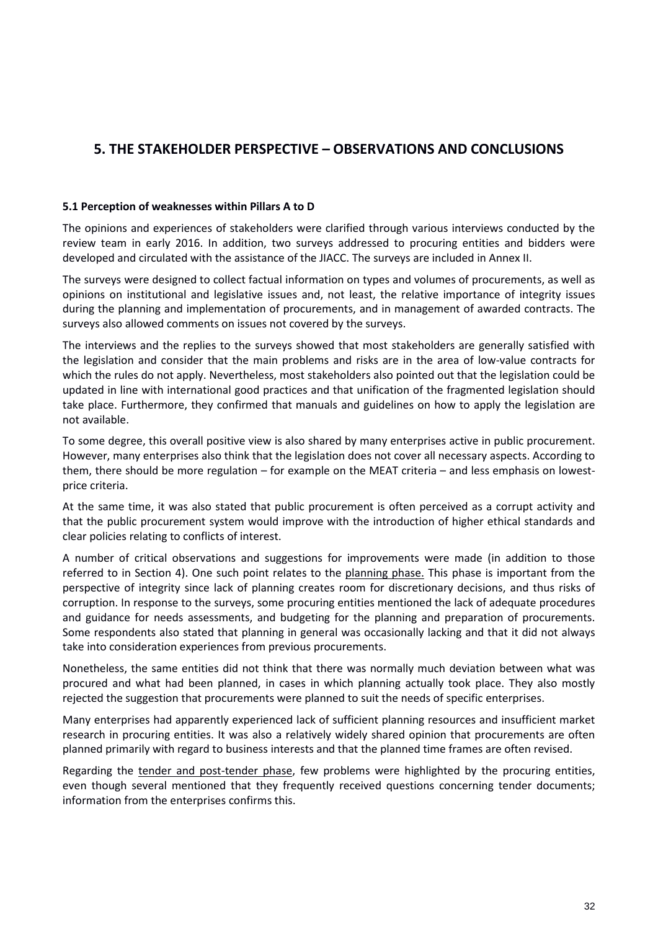# **5. THE STAKEHOLDER PERSPECTIVE – OBSERVATIONS AND CONCLUSIONS**

#### <span id="page-31-0"></span>**5.1 Perception of weaknesses within Pillars A to D**

The opinions and experiences of stakeholders were clarified through various interviews conducted by the review team in early 2016. In addition, two surveys addressed to procuring entities and bidders were developed and circulated with the assistance of the JIACC. The surveys are included in Annex II.

The surveys were designed to collect factual information on types and volumes of procurements, as well as opinions on institutional and legislative issues and, not least, the relative importance of integrity issues during the planning and implementation of procurements, and in management of awarded contracts. The surveys also allowed comments on issues not covered by the surveys.

The interviews and the replies to the surveys showed that most stakeholders are generally satisfied with the legislation and consider that the main problems and risks are in the area of low-value contracts for which the rules do not apply. Nevertheless, most stakeholders also pointed out that the legislation could be updated in line with international good practices and that unification of the fragmented legislation should take place. Furthermore, they confirmed that manuals and guidelines on how to apply the legislation are not available.

To some degree, this overall positive view is also shared by many enterprises active in public procurement. However, many enterprises also think that the legislation does not cover all necessary aspects. According to them, there should be more regulation – for example on the MEAT criteria – and less emphasis on lowestprice criteria.

At the same time, it was also stated that public procurement is often perceived as a corrupt activity and that the public procurement system would improve with the introduction of higher ethical standards and clear policies relating to conflicts of interest.

A number of critical observations and suggestions for improvements were made (in addition to those referred to in Section 4). One such point relates to the planning phase. This phase is important from the perspective of integrity since lack of planning creates room for discretionary decisions, and thus risks of corruption. In response to the surveys, some procuring entities mentioned the lack of adequate procedures and guidance for needs assessments, and budgeting for the planning and preparation of procurements. Some respondents also stated that planning in general was occasionally lacking and that it did not always take into consideration experiences from previous procurements.

Nonetheless, the same entities did not think that there was normally much deviation between what was procured and what had been planned, in cases in which planning actually took place. They also mostly rejected the suggestion that procurements were planned to suit the needs of specific enterprises.

Many enterprises had apparently experienced lack of sufficient planning resources and insufficient market research in procuring entities. It was also a relatively widely shared opinion that procurements are often planned primarily with regard to business interests and that the planned time frames are often revised.

Regarding the tender and post-tender phase, few problems were highlighted by the procuring entities, even though several mentioned that they frequently received questions concerning tender documents; information from the enterprises confirms this.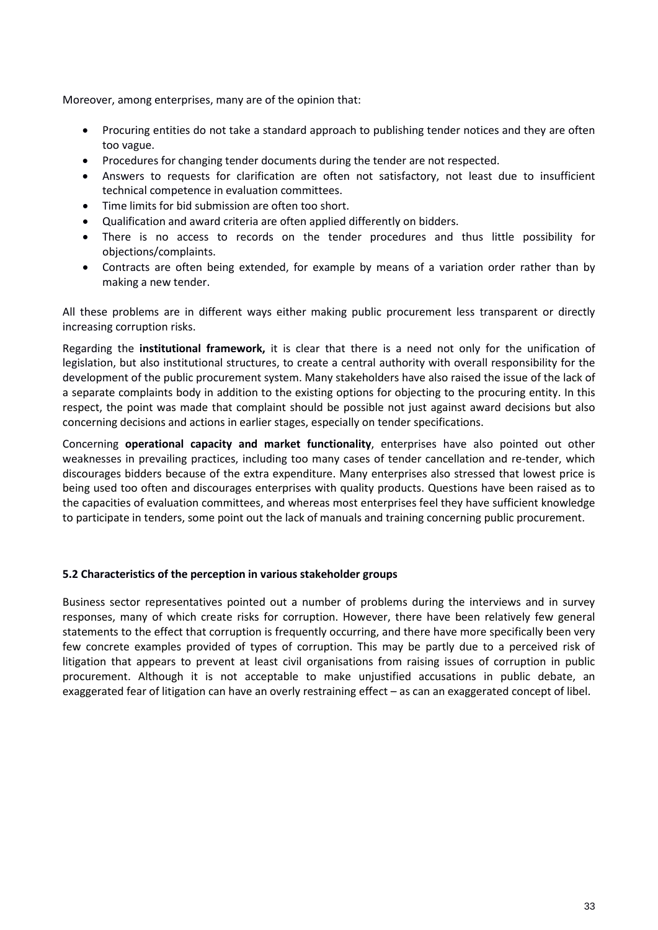Moreover, among enterprises, many are of the opinion that:

- Procuring entities do not take a standard approach to publishing tender notices and they are often too vague.
- Procedures for changing tender documents during the tender are not respected.
- Answers to requests for clarification are often not satisfactory, not least due to insufficient technical competence in evaluation committees.
- Time limits for bid submission are often too short.
- Qualification and award criteria are often applied differently on bidders.
- There is no access to records on the tender procedures and thus little possibility for objections/complaints.
- Contracts are often being extended, for example by means of a variation order rather than by making a new tender.

All these problems are in different ways either making public procurement less transparent or directly increasing corruption risks.

Regarding the **institutional framework,** it is clear that there is a need not only for the unification of legislation, but also institutional structures, to create a central authority with overall responsibility for the development of the public procurement system. Many stakeholders have also raised the issue of the lack of a separate complaints body in addition to the existing options for objecting to the procuring entity. In this respect, the point was made that complaint should be possible not just against award decisions but also concerning decisions and actions in earlier stages, especially on tender specifications.

Concerning **operational capacity and market functionality**, enterprises have also pointed out other weaknesses in prevailing practices, including too many cases of tender cancellation and re-tender, which discourages bidders because of the extra expenditure. Many enterprises also stressed that lowest price is being used too often and discourages enterprises with quality products. Questions have been raised as to the capacities of evaluation committees, and whereas most enterprises feel they have sufficient knowledge to participate in tenders, some point out the lack of manuals and training concerning public procurement.

# <span id="page-32-0"></span>**5.2 Characteristics of the perception in various stakeholder groups**

Business sector representatives pointed out a number of problems during the interviews and in survey responses, many of which create risks for corruption. However, there have been relatively few general statements to the effect that corruption is frequently occurring, and there have more specifically been very few concrete examples provided of types of corruption. This may be partly due to a perceived risk of litigation that appears to prevent at least civil organisations from raising issues of corruption in public procurement. Although it is not acceptable to make unjustified accusations in public debate, an exaggerated fear of litigation can have an overly restraining effect – as can an exaggerated concept of libel.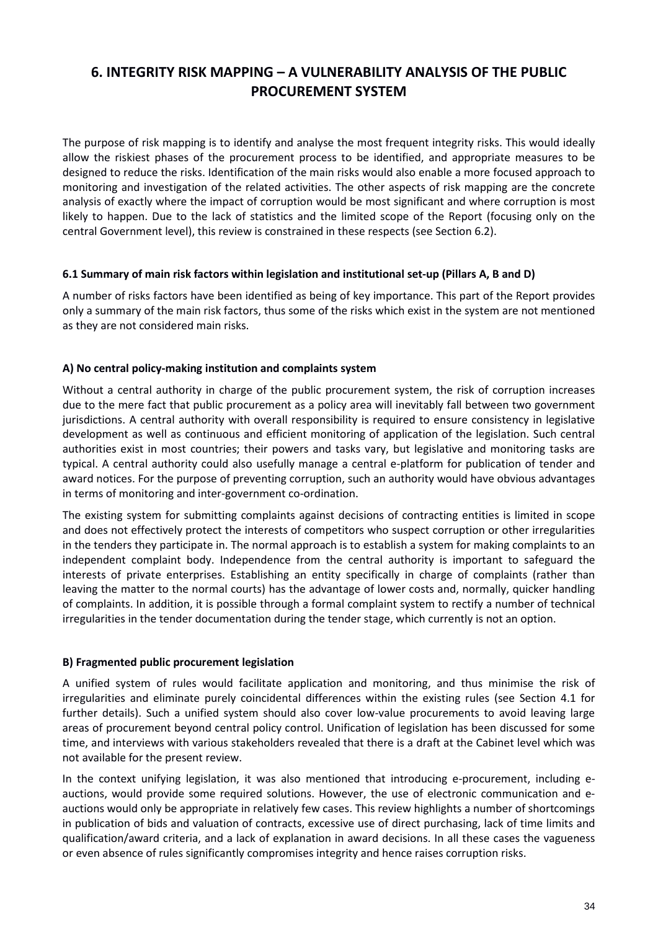# <span id="page-33-0"></span>**6. INTEGRITY RISK MAPPING – A VULNERABILITY ANALYSIS OF THE PUBLIC PROCUREMENT SYSTEM**

The purpose of risk mapping is to identify and analyse the most frequent integrity risks. This would ideally allow the riskiest phases of the procurement process to be identified, and appropriate measures to be designed to reduce the risks. Identification of the main risks would also enable a more focused approach to monitoring and investigation of the related activities. The other aspects of risk mapping are the concrete analysis of exactly where the impact of corruption would be most significant and where corruption is most likely to happen. Due to the lack of statistics and the limited scope of the Report (focusing only on the central Government level), this review is constrained in these respects (see Section 6.2).

## <span id="page-33-1"></span>**6.1 Summary of main risk factors within legislation and institutional set-up (Pillars A, B and D)**

A number of risks factors have been identified as being of key importance. This part of the Report provides only a summary of the main risk factors, thus some of the risks which exist in the system are not mentioned as they are not considered main risks.

## **A) No central policy-making institution and complaints system**

Without a central authority in charge of the public procurement system, the risk of corruption increases due to the mere fact that public procurement as a policy area will inevitably fall between two government jurisdictions. A central authority with overall responsibility is required to ensure consistency in legislative development as well as continuous and efficient monitoring of application of the legislation. Such central authorities exist in most countries; their powers and tasks vary, but legislative and monitoring tasks are typical. A central authority could also usefully manage a central e-platform for publication of tender and award notices. For the purpose of preventing corruption, such an authority would have obvious advantages in terms of monitoring and inter-government co-ordination.

The existing system for submitting complaints against decisions of contracting entities is limited in scope and does not effectively protect the interests of competitors who suspect corruption or other irregularities in the tenders they participate in. The normal approach is to establish a system for making complaints to an independent complaint body. Independence from the central authority is important to safeguard the interests of private enterprises. Establishing an entity specifically in charge of complaints (rather than leaving the matter to the normal courts) has the advantage of lower costs and, normally, quicker handling of complaints. In addition, it is possible through a formal complaint system to rectify a number of technical irregularities in the tender documentation during the tender stage, which currently is not an option.

# **B) Fragmented public procurement legislation**

A unified system of rules would facilitate application and monitoring, and thus minimise the risk of irregularities and eliminate purely coincidental differences within the existing rules (see Section 4.1 for further details). Such a unified system should also cover low-value procurements to avoid leaving large areas of procurement beyond central policy control. Unification of legislation has been discussed for some time, and interviews with various stakeholders revealed that there is a draft at the Cabinet level which was not available for the present review.

In the context unifying legislation, it was also mentioned that introducing e-procurement, including eauctions, would provide some required solutions. However, the use of electronic communication and eauctions would only be appropriate in relatively few cases. This review highlights a number of shortcomings in publication of bids and valuation of contracts, excessive use of direct purchasing, lack of time limits and qualification/award criteria, and a lack of explanation in award decisions. In all these cases the vagueness or even absence of rules significantly compromises integrity and hence raises corruption risks.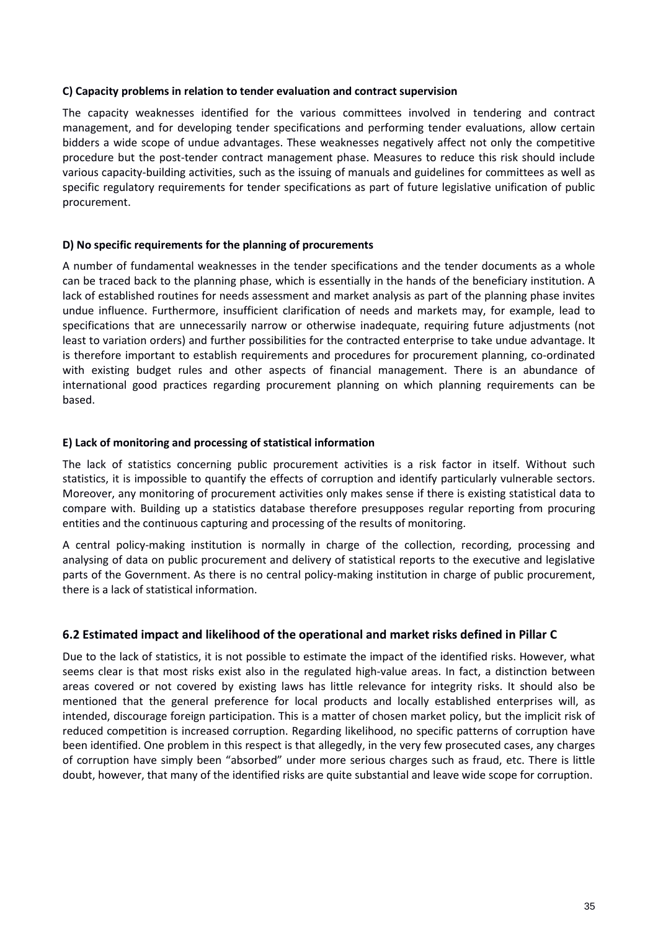#### **C) Capacity problems in relation to tender evaluation and contract supervision**

The capacity weaknesses identified for the various committees involved in tendering and contract management, and for developing tender specifications and performing tender evaluations, allow certain bidders a wide scope of undue advantages. These weaknesses negatively affect not only the competitive procedure but the post-tender contract management phase. Measures to reduce this risk should include various capacity-building activities, such as the issuing of manuals and guidelines for committees as well as specific regulatory requirements for tender specifications as part of future legislative unification of public procurement.

## **D) No specific requirements for the planning of procurements**

A number of fundamental weaknesses in the tender specifications and the tender documents as a whole can be traced back to the planning phase, which is essentially in the hands of the beneficiary institution. A lack of established routines for needs assessment and market analysis as part of the planning phase invites undue influence. Furthermore, insufficient clarification of needs and markets may, for example, lead to specifications that are unnecessarily narrow or otherwise inadequate, requiring future adjustments (not least to variation orders) and further possibilities for the contracted enterprise to take undue advantage. It is therefore important to establish requirements and procedures for procurement planning, co-ordinated with existing budget rules and other aspects of financial management. There is an abundance of international good practices regarding procurement planning on which planning requirements can be based.

## **E) Lack of monitoring and processing of statistical information**

The lack of statistics concerning public procurement activities is a risk factor in itself. Without such statistics, it is impossible to quantify the effects of corruption and identify particularly vulnerable sectors. Moreover, any monitoring of procurement activities only makes sense if there is existing statistical data to compare with. Building up a statistics database therefore presupposes regular reporting from procuring entities and the continuous capturing and processing of the results of monitoring.

A central policy-making institution is normally in charge of the collection, recording, processing and analysing of data on public procurement and delivery of statistical reports to the executive and legislative parts of the Government. As there is no central policy-making institution in charge of public procurement, there is a lack of statistical information.

# <span id="page-34-0"></span>**6.2 Estimated impact and likelihood of the operational and market risks defined in Pillar C**

<span id="page-34-1"></span>Due to the lack of statistics, it is not possible to estimate the impact of the identified risks. However, what seems clear is that most risks exist also in the regulated high-value areas. In fact, a distinction between areas covered or not covered by existing laws has little relevance for integrity risks. It should also be mentioned that the general preference for local products and locally established enterprises will, as intended, discourage foreign participation. This is a matter of chosen market policy, but the implicit risk of reduced competition is increased corruption. Regarding likelihood, no specific patterns of corruption have been identified. One problem in this respect is that allegedly, in the very few prosecuted cases, any charges of corruption have simply been "absorbed" under more serious charges such as fraud, etc. There is little doubt, however, that many of the identified risks are quite substantial and leave wide scope for corruption.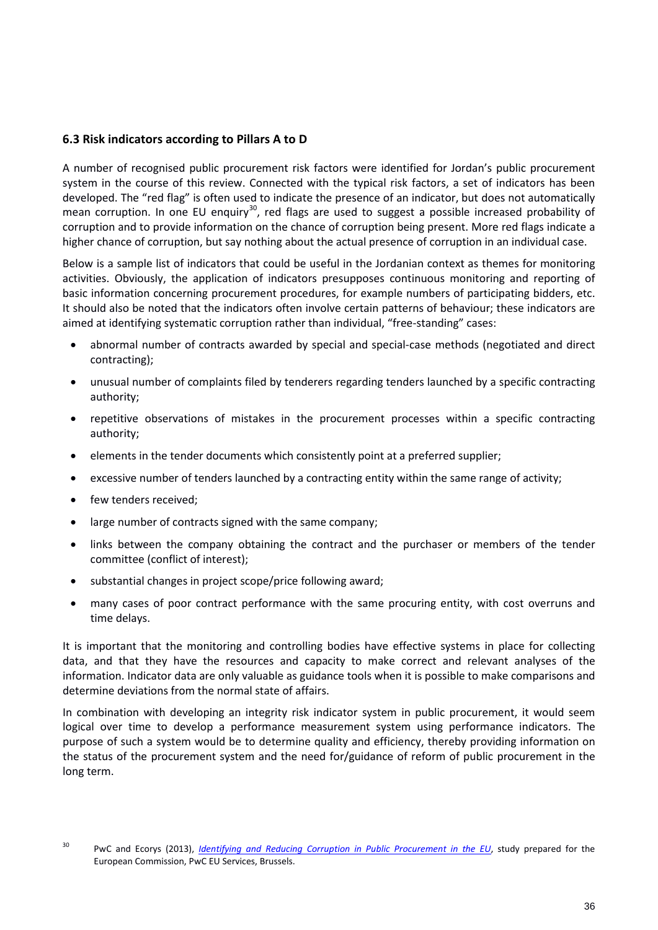# **6.3 Risk indicators according to Pillars A to D**

A number of recognised public procurement risk factors were identified for Jordan's public procurement system in the course of this review. Connected with the typical risk factors, a set of indicators has been developed. The "red flag" is often used to indicate the presence of an indicator, but does not automatically mean corruption. In one EU enquiry<sup>30</sup>, red flags are used to suggest a possible increased probability of corruption and to provide information on the chance of corruption being present. More red flags indicate a higher chance of corruption, but say nothing about the actual presence of corruption in an individual case.

Below is a sample list of indicators that could be useful in the Jordanian context as themes for monitoring activities. Obviously, the application of indicators presupposes continuous monitoring and reporting of basic information concerning procurement procedures, for example numbers of participating bidders, etc. It should also be noted that the indicators often involve certain patterns of behaviour; these indicators are aimed at identifying systematic corruption rather than individual, "free-standing" cases:

- abnormal number of contracts awarded by special and special-case methods (negotiated and direct contracting);
- unusual number of complaints filed by tenderers regarding tenders launched by a specific contracting authority;
- repetitive observations of mistakes in the procurement processes within a specific contracting authority;
- elements in the tender documents which consistently point at a preferred supplier;
- excessive number of tenders launched by a contracting entity within the same range of activity;
- few tenders received;
- large number of contracts signed with the same company;
- links between the company obtaining the contract and the purchaser or members of the tender committee (conflict of interest);
- substantial changes in project scope/price following award;
- many cases of poor contract performance with the same procuring entity, with cost overruns and time delays.

It is important that the monitoring and controlling bodies have effective systems in place for collecting data, and that they have the resources and capacity to make correct and relevant analyses of the information. Indicator data are only valuable as guidance tools when it is possible to make comparisons and determine deviations from the normal state of affairs.

In combination with developing an integrity risk indicator system in public procurement, it would seem logical over time to develop a performance measurement system using performance indicators. The purpose of such a system would be to determine quality and efficiency, thereby providing information on the status of the procurement system and the need for/guidance of reform of public procurement in the long term.

<span id="page-35-0"></span><sup>30</sup> PwC and Ecorys (2013), *[Identifying and Reducing Corruption in Public Procurement in the EU](https://ec.europa.eu/anti-fraud/sites/antifraud/files/docs/body/identifying_reducing_corruption_in_public_procurement_en.pdf)*, study prepared for the European Commission, PwC EU Services, Brussels.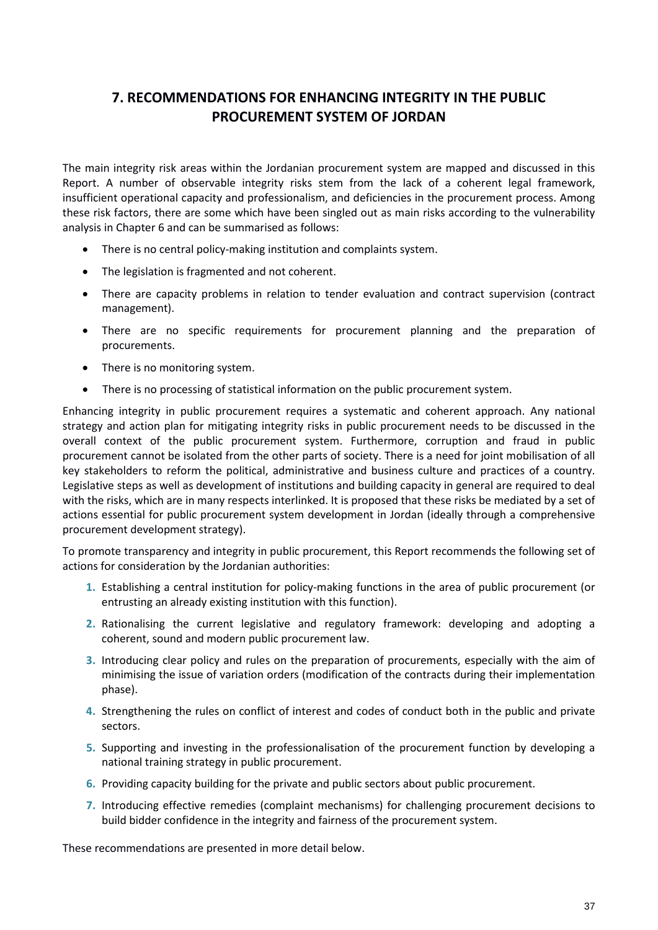# <span id="page-36-0"></span>**7. RECOMMENDATIONS FOR ENHANCING INTEGRITY IN THE PUBLIC PROCUREMENT SYSTEM OF JORDAN**

The main integrity risk areas within the Jordanian procurement system are mapped and discussed in this Report. A number of observable integrity risks stem from the lack of a coherent legal framework, insufficient operational capacity and professionalism, and deficiencies in the procurement process. Among these risk factors, there are some which have been singled out as main risks according to the vulnerability analysis in Chapter 6 and can be summarised as follows:

- There is no central policy-making institution and complaints system.
- The legislation is fragmented and not coherent.
- There are capacity problems in relation to tender evaluation and contract supervision (contract management).
- There are no specific requirements for procurement planning and the preparation of procurements.
- There is no monitoring system.
- There is no processing of statistical information on the public procurement system.

Enhancing integrity in public procurement requires a systematic and coherent approach. Any national strategy and action plan for mitigating integrity risks in public procurement needs to be discussed in the overall context of the public procurement system. Furthermore, corruption and fraud in public procurement cannot be isolated from the other parts of society. There is a need for joint mobilisation of all key stakeholders to reform the political, administrative and business culture and practices of a country. Legislative steps as well as development of institutions and building capacity in general are required to deal with the risks, which are in many respects interlinked. It is proposed that these risks be mediated by a set of actions essential for public procurement system development in Jordan (ideally through a comprehensive procurement development strategy).

To promote transparency and integrity in public procurement, this Report recommends the following set of actions for consideration by the Jordanian authorities:

- **1.** Establishing a central institution for policy-making functions in the area of public procurement (or entrusting an already existing institution with this function).
- **2.** Rationalising the current legislative and regulatory framework: developing and adopting a coherent, sound and modern public procurement law.
- **3.** Introducing clear policy and rules on the preparation of procurements, especially with the aim of minimising the issue of variation orders (modification of the contracts during their implementation phase).
- **4.** Strengthening the rules on conflict of interest and codes of conduct both in the public and private sectors.
- **5.** Supporting and investing in the professionalisation of the procurement function by developing a national training strategy in public procurement.
- **6.** Providing capacity building for the private and public sectors about public procurement.
- **7.** Introducing effective remedies (complaint mechanisms) for challenging procurement decisions to build bidder confidence in the integrity and fairness of the procurement system.

These recommendations are presented in more detail below.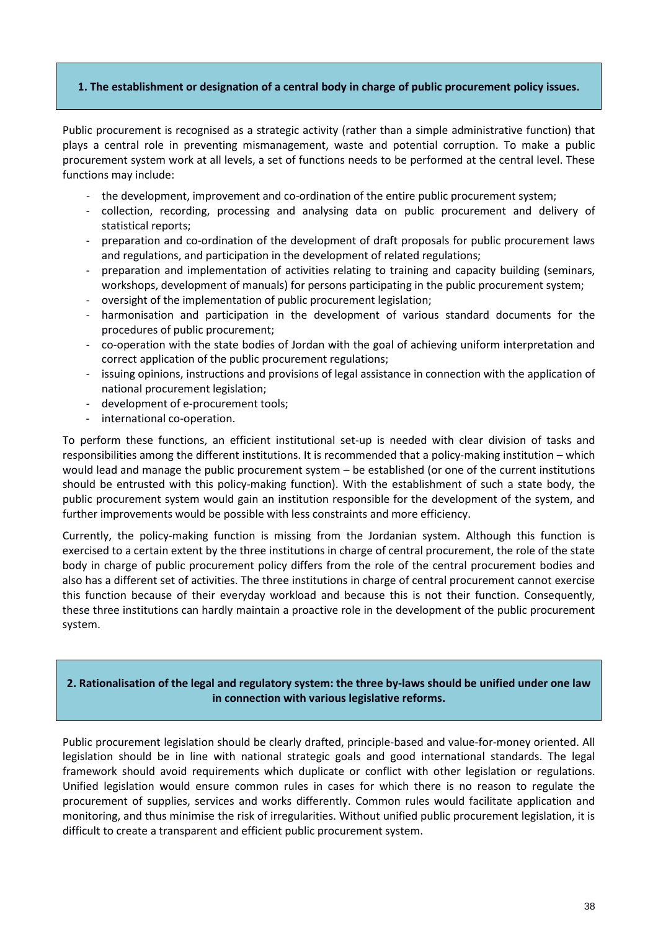#### **1. The establishment or designation of a central body in charge of public procurement policy issues.**

Public procurement is recognised as a strategic activity (rather than a simple administrative function) that plays a central role in preventing mismanagement, waste and potential corruption. To make a public procurement system work at all levels, a set of functions needs to be performed at the central level. These functions may include:

- the development, improvement and co-ordination of the entire public procurement system;
- collection, recording, processing and analysing data on public procurement and delivery of statistical reports;
- preparation and co-ordination of the development of draft proposals for public procurement laws and regulations, and participation in the development of related regulations;
- preparation and implementation of activities relating to training and capacity building (seminars, workshops, development of manuals) for persons participating in the public procurement system;
- oversight of the implementation of public procurement legislation;
- harmonisation and participation in the development of various standard documents for the procedures of public procurement;
- co-operation with the state bodies of Jordan with the goal of achieving uniform interpretation and correct application of the public procurement regulations;
- issuing opinions, instructions and provisions of legal assistance in connection with the application of national procurement legislation;
- development of e-procurement tools;
- international co-operation.

To perform these functions, an efficient institutional set-up is needed with clear division of tasks and responsibilities among the different institutions. It is recommended that a policy-making institution – which would lead and manage the public procurement system – be established (or one of the current institutions should be entrusted with this policy-making function). With the establishment of such a state body, the public procurement system would gain an institution responsible for the development of the system, and further improvements would be possible with less constraints and more efficiency.

Currently, the policy-making function is missing from the Jordanian system. Although this function is exercised to a certain extent by the three institutions in charge of central procurement, the role of the state body in charge of public procurement policy differs from the role of the central procurement bodies and also has a different set of activities. The three institutions in charge of central procurement cannot exercise this function because of their everyday workload and because this is not their function. Consequently, these three institutions can hardly maintain a proactive role in the development of the public procurement system.

# **2. Rationalisation of the legal and regulatory system: the three by-laws should be unified under one law in connection with various legislative reforms.**

Public procurement legislation should be clearly drafted, principle-based and value-for-money oriented. All legislation should be in line with national strategic goals and good international standards. The legal framework should avoid requirements which duplicate or conflict with other legislation or regulations. Unified legislation would ensure common rules in cases for which there is no reason to regulate the procurement of supplies, services and works differently. Common rules would facilitate application and monitoring, and thus minimise the risk of irregularities. Without unified public procurement legislation, it is difficult to create a transparent and efficient public procurement system.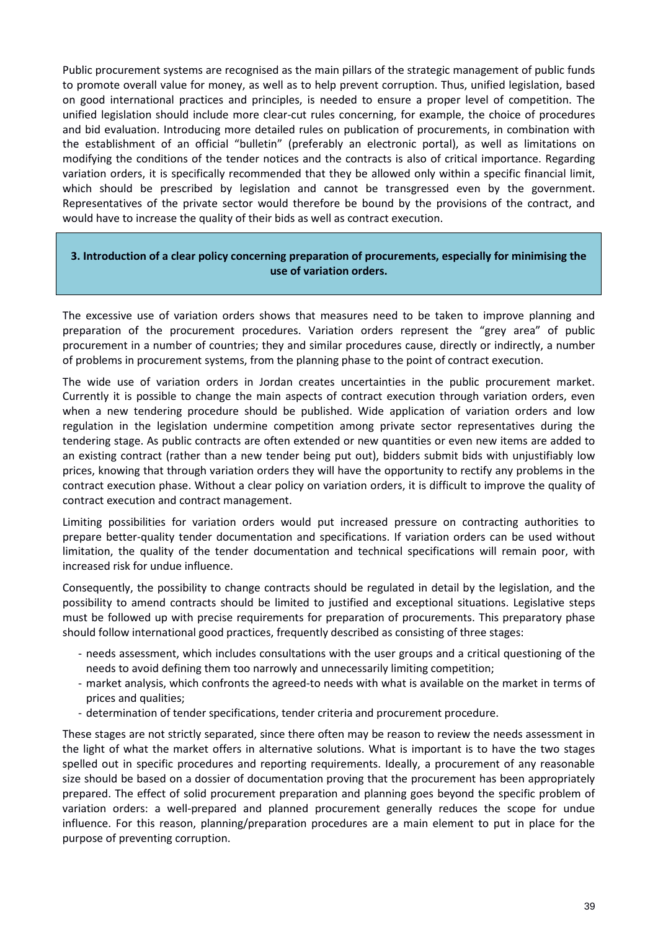Public procurement systems are recognised as the main pillars of the strategic management of public funds to promote overall value for money, as well as to help prevent corruption. Thus, unified legislation, based on good international practices and principles, is needed to ensure a proper level of competition. The unified legislation should include more clear-cut rules concerning, for example, the choice of procedures and bid evaluation. Introducing more detailed rules on publication of procurements, in combination with the establishment of an official "bulletin" (preferably an electronic portal), as well as limitations on modifying the conditions of the tender notices and the contracts is also of critical importance. Regarding variation orders, it is specifically recommended that they be allowed only within a specific financial limit, which should be prescribed by legislation and cannot be transgressed even by the government. Representatives of the private sector would therefore be bound by the provisions of the contract, and would have to increase the quality of their bids as well as contract execution.

## **3. Introduction of a clear policy concerning preparation of procurements, especially for minimising the use of variation orders.**

The excessive use of variation orders shows that measures need to be taken to improve planning and preparation of the procurement procedures. Variation orders represent the "grey area" of public procurement in a number of countries; they and similar procedures cause, directly or indirectly, a number of problems in procurement systems, from the planning phase to the point of contract execution.

The wide use of variation orders in Jordan creates uncertainties in the public procurement market. Currently it is possible to change the main aspects of contract execution through variation orders, even when a new tendering procedure should be published. Wide application of variation orders and low regulation in the legislation undermine competition among private sector representatives during the tendering stage. As public contracts are often extended or new quantities or even new items are added to an existing contract (rather than a new tender being put out), bidders submit bids with unjustifiably low prices, knowing that through variation orders they will have the opportunity to rectify any problems in the contract execution phase. Without a clear policy on variation orders, it is difficult to improve the quality of contract execution and contract management.

Limiting possibilities for variation orders would put increased pressure on contracting authorities to prepare better-quality tender documentation and specifications. If variation orders can be used without limitation, the quality of the tender documentation and technical specifications will remain poor, with increased risk for undue influence.

Consequently, the possibility to change contracts should be regulated in detail by the legislation, and the possibility to amend contracts should be limited to justified and exceptional situations. Legislative steps must be followed up with precise requirements for preparation of procurements. This preparatory phase should follow international good practices, frequently described as consisting of three stages:

- needs assessment, which includes consultations with the user groups and a critical questioning of the needs to avoid defining them too narrowly and unnecessarily limiting competition;
- market analysis, which confronts the agreed-to needs with what is available on the market in terms of prices and qualities;
- determination of tender specifications, tender criteria and procurement procedure.

These stages are not strictly separated, since there often may be reason to review the needs assessment in the light of what the market offers in alternative solutions. What is important is to have the two stages spelled out in specific procedures and reporting requirements. Ideally, a procurement of any reasonable size should be based on a dossier of documentation proving that the procurement has been appropriately prepared. The effect of solid procurement preparation and planning goes beyond the specific problem of variation orders: a well-prepared and planned procurement generally reduces the scope for undue influence. For this reason, planning/preparation procedures are a main element to put in place for the purpose of preventing corruption.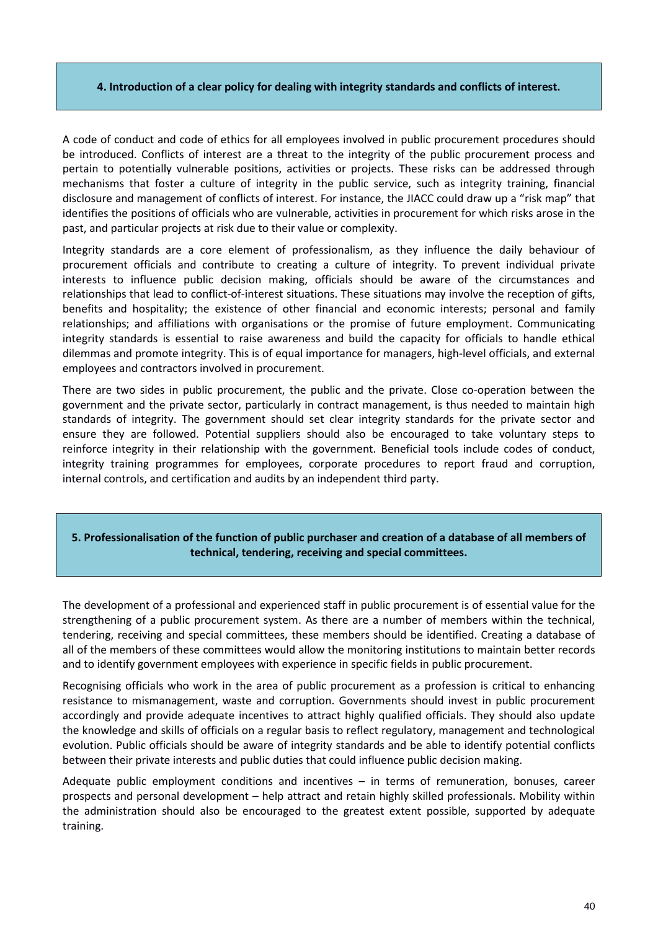#### **4. Introduction of a clear policy for dealing with integrity standards and conflicts of interest.**

A code of conduct and code of ethics for all employees involved in public procurement procedures should be introduced. Conflicts of interest are a threat to the integrity of the public procurement process and pertain to potentially vulnerable positions, activities or projects. These risks can be addressed through mechanisms that foster a culture of integrity in the public service, such as integrity training, financial disclosure and management of conflicts of interest. For instance, the JIACC could draw up a "risk map" that identifies the positions of officials who are vulnerable, activities in procurement for which risks arose in the past, and particular projects at risk due to their value or complexity.

Integrity standards are a core element of professionalism, as they influence the daily behaviour of procurement officials and contribute to creating a culture of integrity. To prevent individual private interests to influence public decision making, officials should be aware of the circumstances and relationships that lead to conflict-of-interest situations. These situations may involve the reception of gifts, benefits and hospitality; the existence of other financial and economic interests; personal and family relationships; and affiliations with organisations or the promise of future employment. Communicating integrity standards is essential to raise awareness and build the capacity for officials to handle ethical dilemmas and promote integrity. This is of equal importance for managers, high-level officials, and external employees and contractors involved in procurement.

There are two sides in public procurement, the public and the private. Close co-operation between the government and the private sector, particularly in contract management, is thus needed to maintain high standards of integrity. The government should set clear integrity standards for the private sector and ensure they are followed. Potential suppliers should also be encouraged to take voluntary steps to reinforce integrity in their relationship with the government. Beneficial tools include codes of conduct, integrity training programmes for employees, corporate procedures to report fraud and corruption, internal controls, and certification and audits by an independent third party.

## **5. Professionalisation of the function of public purchaser and creation of a database of all members of technical, tendering, receiving and special committees.**

The development of a professional and experienced staff in public procurement is of essential value for the strengthening of a public procurement system. As there are a number of members within the technical, tendering, receiving and special committees, these members should be identified. Creating a database of all of the members of these committees would allow the monitoring institutions to maintain better records and to identify government employees with experience in specific fields in public procurement.

Recognising officials who work in the area of public procurement as a profession is critical to enhancing resistance to mismanagement, waste and corruption. Governments should invest in public procurement accordingly and provide adequate incentives to attract highly qualified officials. They should also update the knowledge and skills of officials on a regular basis to reflect regulatory, management and technological evolution. Public officials should be aware of integrity standards and be able to identify potential conflicts between their private interests and public duties that could influence public decision making.

Adequate public employment conditions and incentives – in terms of remuneration, bonuses, career prospects and personal development – help attract and retain highly skilled professionals. Mobility within the administration should also be encouraged to the greatest extent possible, supported by adequate training.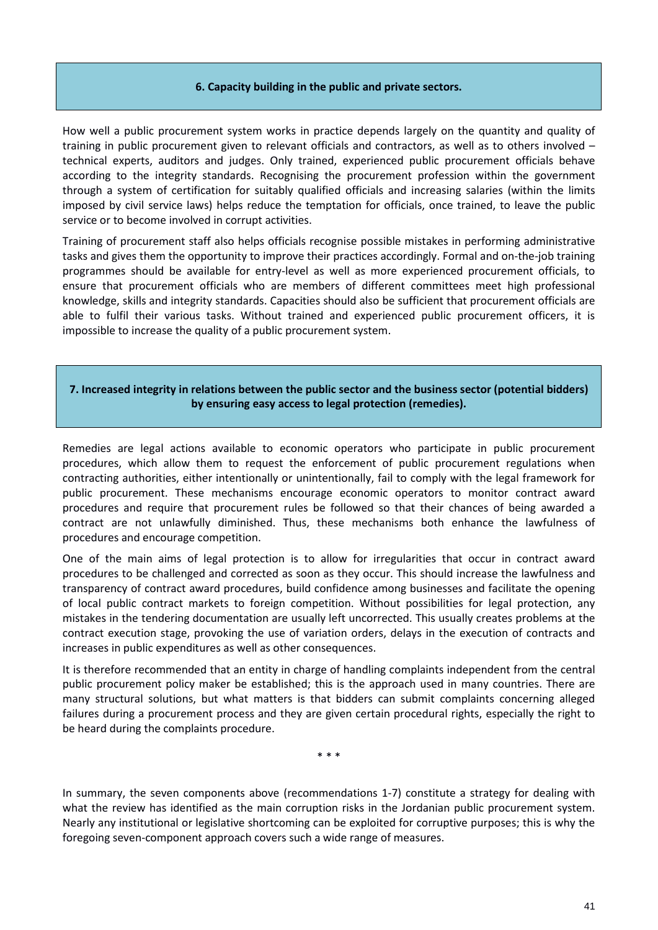#### **6. Capacity building in the public and private sectors.**

How well a public procurement system works in practice depends largely on the quantity and quality of training in public procurement given to relevant officials and contractors, as well as to others involved – technical experts, auditors and judges. Only trained, experienced public procurement officials behave according to the integrity standards. Recognising the procurement profession within the government through a system of certification for suitably qualified officials and increasing salaries (within the limits imposed by civil service laws) helps reduce the temptation for officials, once trained, to leave the public service or to become involved in corrupt activities.

Training of procurement staff also helps officials recognise possible mistakes in performing administrative tasks and gives them the opportunity to improve their practices accordingly. Formal and on-the-job training programmes should be available for entry-level as well as more experienced procurement officials, to ensure that procurement officials who are members of different committees meet high professional knowledge, skills and integrity standards. Capacities should also be sufficient that procurement officials are able to fulfil their various tasks. Without trained and experienced public procurement officers, it is impossible to increase the quality of a public procurement system.

## **7. Increased integrity in relations between the public sector and the business sector (potential bidders) by ensuring easy access to legal protection (remedies).**

Remedies are legal actions available to economic operators who participate in public procurement procedures, which allow them to request the enforcement of public procurement regulations when contracting authorities, either intentionally or unintentionally, fail to comply with the legal framework for public procurement. These mechanisms encourage economic operators to monitor contract award procedures and require that procurement rules be followed so that their chances of being awarded a contract are not unlawfully diminished. Thus, these mechanisms both enhance the lawfulness of procedures and encourage competition.

One of the main aims of legal protection is to allow for irregularities that occur in contract award procedures to be challenged and corrected as soon as they occur. This should increase the lawfulness and transparency of contract award procedures, build confidence among businesses and facilitate the opening of local public contract markets to foreign competition. Without possibilities for legal protection, any mistakes in the tendering documentation are usually left uncorrected. This usually creates problems at the contract execution stage, provoking the use of variation orders, delays in the execution of contracts and increases in public expenditures as well as other consequences.

It is therefore recommended that an entity in charge of handling complaints independent from the central public procurement policy maker be established; this is the approach used in many countries. There are many structural solutions, but what matters is that bidders can submit complaints concerning alleged failures during a procurement process and they are given certain procedural rights, especially the right to be heard during the complaints procedure.

\* \* \*

In summary, the seven components above (recommendations 1-7) constitute a strategy for dealing with what the review has identified as the main corruption risks in the Jordanian public procurement system. Nearly any institutional or legislative shortcoming can be exploited for corruptive purposes; this is why the foregoing seven-component approach covers such a wide range of measures.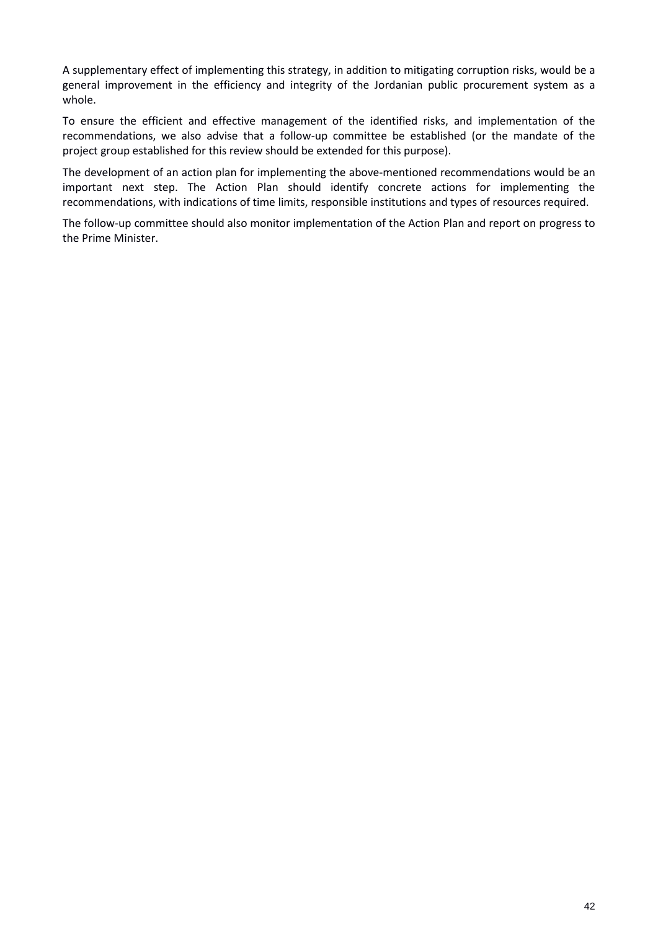A supplementary effect of implementing this strategy, in addition to mitigating corruption risks, would be a general improvement in the efficiency and integrity of the Jordanian public procurement system as a whole.

To ensure the efficient and effective management of the identified risks, and implementation of the recommendations, we also advise that a follow-up committee be established (or the mandate of the project group established for this review should be extended for this purpose).

The development of an action plan for implementing the above-mentioned recommendations would be an important next step. The Action Plan should identify concrete actions for implementing the recommendations, with indications of time limits, responsible institutions and types of resources required.

The follow-up committee should also monitor implementation of the Action Plan and report on progress to the Prime Minister.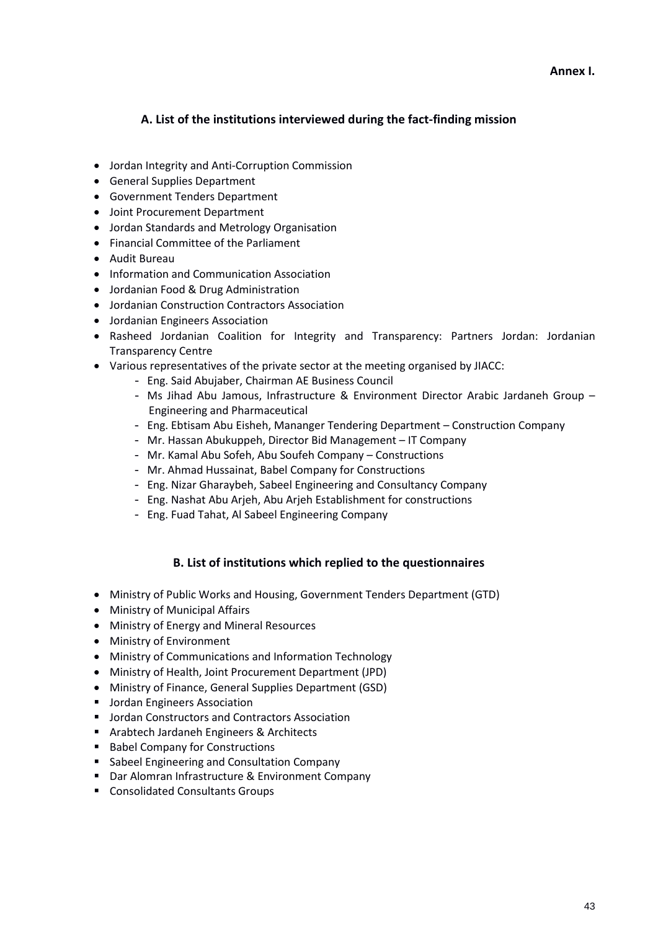#### **Annex I.**

# **A. List of the institutions interviewed during the fact-finding mission**

- Jordan Integrity and Anti-Corruption Commission
- General Supplies Department
- Government Tenders Department
- Joint Procurement Department
- Jordan Standards and Metrology Organisation
- Financial Committee of the Parliament
- Audit Bureau
- Information and Communication Association
- Jordanian Food & Drug Administration
- Jordanian Construction Contractors Association
- Jordanian Engineers Association
- Rasheed Jordanian Coalition for Integrity and Transparency: Partners Jordan: Jordanian Transparency Centre
- Various representatives of the private sector at the meeting organised by JIACC:
	- Eng. Said Abujaber, Chairman AE Business Council
	- Ms Jihad Abu Jamous, Infrastructure & Environment Director Arabic Jardaneh Group Engineering and Pharmaceutical
	- Eng. Ebtisam Abu Eisheh, Mananger Tendering Department Construction Company
	- Mr. Hassan Abukuppeh, Director Bid Management IT Company
	- Mr. Kamal Abu Sofeh, Abu Soufeh Company Constructions
	- Mr. Ahmad Hussainat, Babel Company for Constructions
	- Eng. Nizar Gharaybeh, Sabeel Engineering and Consultancy Company
	- Eng. Nashat Abu Arjeh, Abu Arjeh Establishment for constructions
	- Eng. Fuad Tahat, Al Sabeel Engineering Company

# **B. List of institutions which replied to the questionnaires**

- Ministry of Public Works and Housing, Government Tenders Department (GTD)
- Ministry of Municipal Affairs
- Ministry of Energy and Mineral Resources
- Ministry of Environment
- Ministry of Communications and Information Technology
- Ministry of Health, Joint Procurement Department (JPD)
- Ministry of Finance, General Supplies Department (GSD)
- **Jordan Engineers Association**
- **Jordan Constructors and Contractors Association**
- **Arabtech Jardaneh Engineers & Architects**
- Babel Company for Constructions
- **Sabeel Engineering and Consultation Company**
- Dar Alomran Infrastructure & Environment Company
- **EXECONSOL** Consultants Groups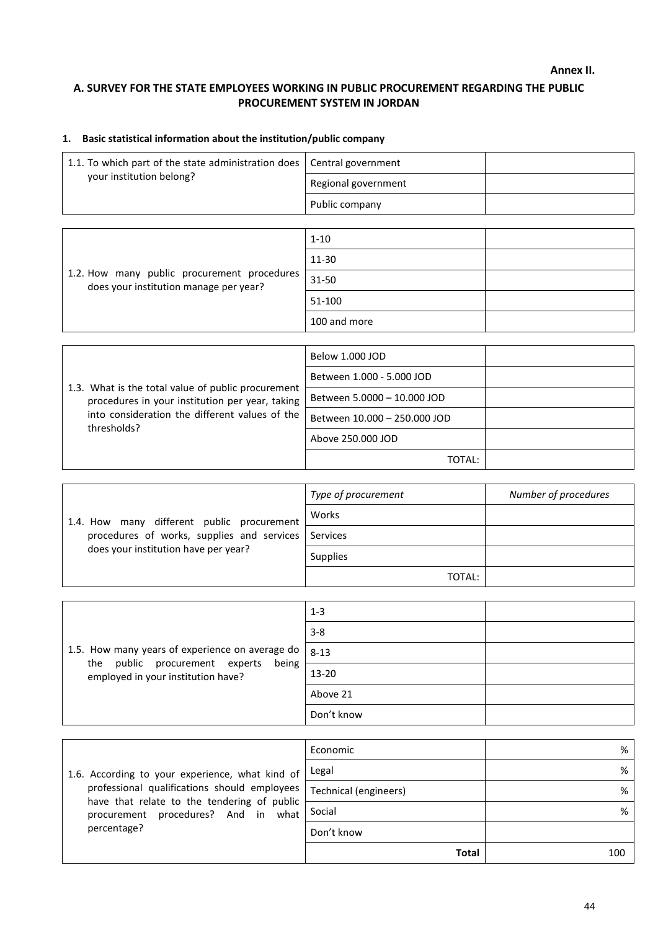**Annex II.**

# **A. SURVEY FOR THE STATE EMPLOYEES WORKING IN PUBLIC PROCUREMENT REGARDING THE PUBLIC PROCUREMENT SYSTEM IN JORDAN**

# **1. Basic statistical information about the institution/public company**

| 1.1. To which part of the state administration does   Central government |                     |  |
|--------------------------------------------------------------------------|---------------------|--|
| your institution belong?                                                 | Regional government |  |
|                                                                          | Public company      |  |

| 1.2. How many public procurement procedures<br>does your institution manage per year? | $1 - 10$     |  |
|---------------------------------------------------------------------------------------|--------------|--|
|                                                                                       | 11-30        |  |
|                                                                                       | 31-50        |  |
|                                                                                       | 51-100       |  |
|                                                                                       | 100 and more |  |

|                                                                                                       | Below 1.000 JOD              |  |
|-------------------------------------------------------------------------------------------------------|------------------------------|--|
|                                                                                                       | Between 1.000 - 5.000 JOD    |  |
| 1.3. What is the total value of public procurement<br>procedures in your institution per year, taking | Between 5.0000 - 10.000 JOD  |  |
| into consideration the different values of the<br>thresholds?                                         | Between 10.000 - 250.000 JOD |  |
|                                                                                                       | Above 250,000 JOD            |  |
|                                                                                                       | TOTAL:                       |  |

| 1.4. How many different public procurement<br>procedures of works, supplies and services Services<br>does your institution have per year? | Type of procurement | Number of procedures |
|-------------------------------------------------------------------------------------------------------------------------------------------|---------------------|----------------------|
|                                                                                                                                           | Works               |                      |
|                                                                                                                                           |                     |                      |
|                                                                                                                                           | <b>Supplies</b>     |                      |
|                                                                                                                                           | TOTAL:              |                      |

|                                                                               | $1 - 3$    |  |
|-------------------------------------------------------------------------------|------------|--|
|                                                                               | $3 - 8$    |  |
| 1.5. How many years of experience on average do                               | $8 - 13$   |  |
| the public procurement experts<br>being<br>employed in your institution have? | $13 - 20$  |  |
|                                                                               | Above 21   |  |
|                                                                               | Don't know |  |

|                                                                                                                                                                                                      | Economic              | %   |
|------------------------------------------------------------------------------------------------------------------------------------------------------------------------------------------------------|-----------------------|-----|
| 1.6. According to your experience, what kind of<br>professional qualifications should employees<br>have that relate to the tendering of public<br>procurement procedures? And in what<br>percentage? | Legal                 | %   |
|                                                                                                                                                                                                      | Technical (engineers) | %   |
|                                                                                                                                                                                                      | Social                | %   |
|                                                                                                                                                                                                      | Don't know            |     |
|                                                                                                                                                                                                      | <b>Total</b>          | 100 |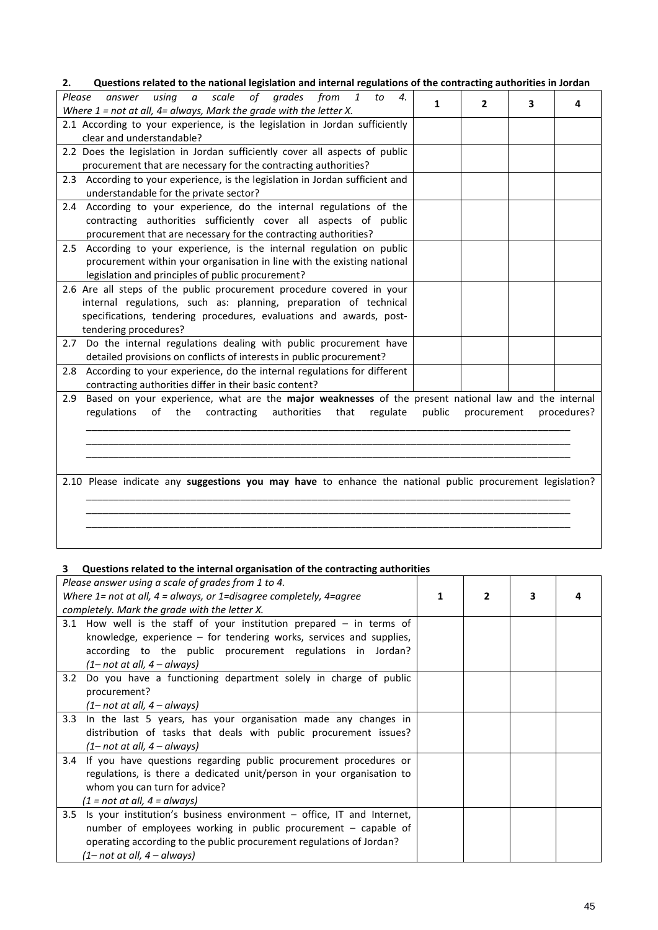| Questions related to the national legislation and internal regulations of the contracting authorities in Jordan<br>2.                                                                                               |   |
|---------------------------------------------------------------------------------------------------------------------------------------------------------------------------------------------------------------------|---|
| using<br>$\alpha$<br>scale<br>of grades from<br>Please<br>answer<br>$\mathbf{1}$<br>to<br>$\boldsymbol{4}$ .<br>1<br>$\overline{2}$<br>3<br>Where $1$ = not at all, $4$ = always, Mark the grade with the letter X. | 4 |
| 2.1 According to your experience, is the legislation in Jordan sufficiently                                                                                                                                         |   |
| clear and understandable?                                                                                                                                                                                           |   |
| 2.2 Does the legislation in Jordan sufficiently cover all aspects of public                                                                                                                                         |   |
| procurement that are necessary for the contracting authorities?                                                                                                                                                     |   |
| 2.3 According to your experience, is the legislation in Jordan sufficient and                                                                                                                                       |   |
| understandable for the private sector?                                                                                                                                                                              |   |
| 2.4 According to your experience, do the internal regulations of the                                                                                                                                                |   |
| contracting authorities sufficiently cover all aspects of public                                                                                                                                                    |   |
| procurement that are necessary for the contracting authorities?                                                                                                                                                     |   |
| According to your experience, is the internal regulation on public<br>2.5<br>procurement within your organisation in line with the existing national                                                                |   |
| legislation and principles of public procurement?                                                                                                                                                                   |   |
| 2.6 Are all steps of the public procurement procedure covered in your                                                                                                                                               |   |
| internal regulations, such as: planning, preparation of technical                                                                                                                                                   |   |
| specifications, tendering procedures, evaluations and awards, post-                                                                                                                                                 |   |
| tendering procedures?                                                                                                                                                                                               |   |
| Do the internal regulations dealing with public procurement have<br>2.7                                                                                                                                             |   |
| detailed provisions on conflicts of interests in public procurement?                                                                                                                                                |   |
| According to your experience, do the internal regulations for different<br>2.8                                                                                                                                      |   |
| contracting authorities differ in their basic content?                                                                                                                                                              |   |
| Based on your experience, what are the major weaknesses of the present national law and the internal<br>2.9                                                                                                         |   |
| regulations<br>the<br>authorities<br>of<br>contracting<br>that<br>regulate<br>public<br>procedures?<br>procurement                                                                                                  |   |
|                                                                                                                                                                                                                     |   |
|                                                                                                                                                                                                                     |   |
|                                                                                                                                                                                                                     |   |
|                                                                                                                                                                                                                     |   |
| 2.10 Please indicate any suggestions you may have to enhance the national public procurement legislation?                                                                                                           |   |
|                                                                                                                                                                                                                     |   |
|                                                                                                                                                                                                                     |   |
|                                                                                                                                                                                                                     |   |
|                                                                                                                                                                                                                     |   |

#### **3 Questions related to the internal organisation of the contracting authorities**

| Please answer using a scale of grades from 1 to 4.                                |   |   |   |  |
|-----------------------------------------------------------------------------------|---|---|---|--|
|                                                                                   |   |   |   |  |
| Where $1$ = not at all, $4$ = always, or $1$ =disagree completely, $4$ =agree     | 1 | 2 | 3 |  |
| completely. Mark the grade with the letter X.                                     |   |   |   |  |
| 3.1 How well is the staff of your institution prepared $-$ in terms of            |   |   |   |  |
| knowledge, experience – for tendering works, services and supplies,               |   |   |   |  |
| according to the public procurement regulations in Jordan?                        |   |   |   |  |
| $(1 - not at all, 4 - always)$                                                    |   |   |   |  |
|                                                                                   |   |   |   |  |
| Do you have a functioning department solely in charge of public<br>3.2            |   |   |   |  |
| procurement?                                                                      |   |   |   |  |
| $(1 - not at all, 4 - always)$                                                    |   |   |   |  |
| In the last 5 years, has your organisation made any changes in<br>3.3             |   |   |   |  |
| distribution of tasks that deals with public procurement issues?                  |   |   |   |  |
| $(1 - not at all, 4 - always)$                                                    |   |   |   |  |
| If you have questions regarding public procurement procedures or<br>$3.4^{\circ}$ |   |   |   |  |
| regulations, is there a dedicated unit/person in your organisation to             |   |   |   |  |
| whom you can turn for advice?                                                     |   |   |   |  |
| (1 = not at all, 4 = always)                                                      |   |   |   |  |
| 3.5<br>Is your institution's business environment $-$ office, IT and Internet,    |   |   |   |  |
| number of employees working in public procurement - capable of                    |   |   |   |  |
| operating according to the public procurement regulations of Jordan?              |   |   |   |  |
| (1– not at all, 4 – always)                                                       |   |   |   |  |
|                                                                                   |   |   |   |  |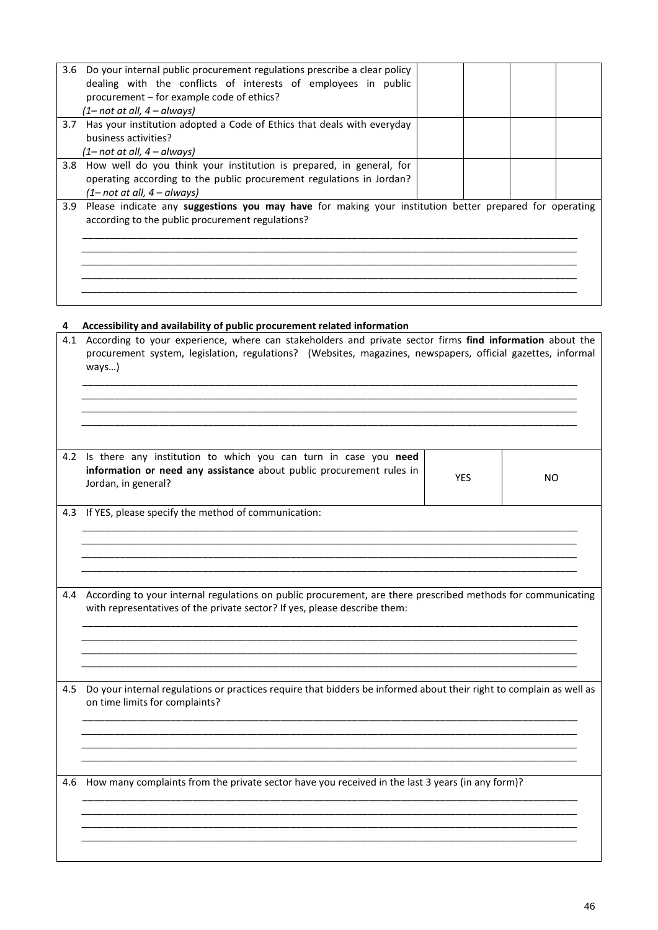| 3.6 | Do your internal public procurement regulations prescribe a clear policy<br>dealing with the conflicts of interests of employees in public<br>procurement - for example code of ethics?<br>(1– not at all, 4 – always) |  |  |
|-----|------------------------------------------------------------------------------------------------------------------------------------------------------------------------------------------------------------------------|--|--|
| 3.7 | Has your institution adopted a Code of Ethics that deals with everyday<br>business activities?<br>(1– not at all, 4 – always)                                                                                          |  |  |
| 3.8 | How well do you think your institution is prepared, in general, for<br>operating according to the public procurement regulations in Jordan?<br>$(1 - not at all, 4 - always)$                                          |  |  |
| 3.9 | Please indicate any suggestions you may have for making your institution better prepared for operating<br>according to the public procurement regulations?                                                             |  |  |

## **4 Accessibility and availability of public procurement related information**

| 4.1 | According to your experience, where can stakeholders and private sector firms find information about the<br>procurement system, legislation, regulations? (Websites, magazines, newspapers, official gazettes, informal<br>ways) |            |           |
|-----|----------------------------------------------------------------------------------------------------------------------------------------------------------------------------------------------------------------------------------|------------|-----------|
| 4.2 | Is there any institution to which you can turn in case you need<br>information or need any assistance about public procurement rules in<br>Jordan, in general?                                                                   | <b>YES</b> | <b>NO</b> |
| 4.3 | If YES, please specify the method of communication:                                                                                                                                                                              |            |           |
| 4.4 | According to your internal regulations on public procurement, are there prescribed methods for communicating<br>with representatives of the private sector? If yes, please describe them:                                        |            |           |
| 4.5 | Do your internal regulations or practices require that bidders be informed about their right to complain as well as<br>on time limits for complaints?                                                                            |            |           |
| 4.6 | How many complaints from the private sector have you received in the last 3 years (in any form)?                                                                                                                                 |            |           |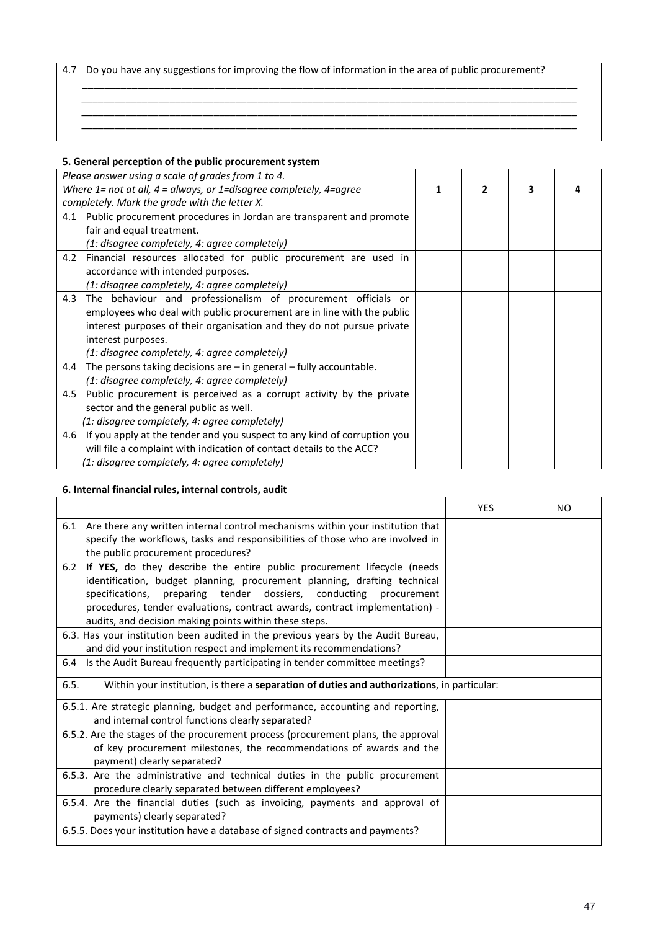4.7 Do you have any suggestions for improving the flow of information in the area of public procurement?

\_\_\_\_\_\_\_\_\_\_\_\_\_\_\_\_\_\_\_\_\_\_\_\_\_\_\_\_\_\_\_\_\_\_\_\_\_\_\_\_\_\_\_\_\_\_\_\_\_\_\_\_\_\_\_\_\_\_\_\_\_\_\_\_\_\_\_\_\_\_\_\_\_\_\_\_\_\_\_\_\_\_\_\_\_\_\_\_\_\_

*\_\_\_\_\_\_\_\_\_\_\_\_\_\_\_\_\_\_\_\_\_\_\_\_\_\_\_\_\_\_\_\_\_\_\_\_\_\_\_\_\_\_\_\_\_\_\_\_\_\_\_\_\_\_\_\_\_\_\_\_\_\_\_\_\_\_\_\_\_\_\_\_\_\_\_\_\_\_\_\_\_\_\_\_\_\_\_\_\_\_*

### **5. General perception of the public procurement system**

| Please answer using a scale of grades from 1 to 4.                              |  |   |  |
|---------------------------------------------------------------------------------|--|---|--|
| Where $1$ = not at all, $4$ = always, or $1$ =disagree completely, $4$ =agree   |  | з |  |
| completely. Mark the grade with the letter X.                                   |  |   |  |
| 4.1 Public procurement procedures in Jordan are transparent and promote         |  |   |  |
| fair and equal treatment.                                                       |  |   |  |
| (1: disagree completely, 4: agree completely)                                   |  |   |  |
| 4.2 Financial resources allocated for public procurement are used in            |  |   |  |
| accordance with intended purposes.                                              |  |   |  |
| (1: disagree completely, 4: agree completely)                                   |  |   |  |
| The behaviour and professionalism of procurement officials or<br>4.3            |  |   |  |
| employees who deal with public procurement are in line with the public          |  |   |  |
| interest purposes of their organisation and they do not pursue private          |  |   |  |
| interest purposes.                                                              |  |   |  |
| (1: disagree completely, 4: agree completely)                                   |  |   |  |
| The persons taking decisions are $-$ in general $-$ fully accountable.<br>4.4   |  |   |  |
| (1: disagree completely, 4: agree completely)                                   |  |   |  |
| Public procurement is perceived as a corrupt activity by the private<br>4.5     |  |   |  |
| sector and the general public as well.                                          |  |   |  |
| (1: disagree completely, 4: agree completely)                                   |  |   |  |
| If you apply at the tender and you suspect to any kind of corruption you<br>4.6 |  |   |  |
| will file a complaint with indication of contact details to the ACC?            |  |   |  |
| (1: disagree completely, 4: agree completely)                                   |  |   |  |

#### **6. Internal financial rules, internal controls, audit**

|                                                                                                                                                                                                                                                                                                                                                                           | <b>YES</b> | NO. |
|---------------------------------------------------------------------------------------------------------------------------------------------------------------------------------------------------------------------------------------------------------------------------------------------------------------------------------------------------------------------------|------------|-----|
| 6.1 Are there any written internal control mechanisms within your institution that<br>specify the workflows, tasks and responsibilities of those who are involved in<br>the public procurement procedures?                                                                                                                                                                |            |     |
| If YES, do they describe the entire public procurement lifecycle (needs<br>6.2<br>identification, budget planning, procurement planning, drafting technical<br>specifications, preparing tender dossiers, conducting procurement<br>procedures, tender evaluations, contract awards, contract implementation) -<br>audits, and decision making points within these steps. |            |     |
| 6.3. Has your institution been audited in the previous years by the Audit Bureau,<br>and did your institution respect and implement its recommendations?                                                                                                                                                                                                                  |            |     |
| Is the Audit Bureau frequently participating in tender committee meetings?<br>6.4                                                                                                                                                                                                                                                                                         |            |     |
| 6.5.<br>Within your institution, is there a separation of duties and authorizations, in particular:                                                                                                                                                                                                                                                                       |            |     |
| 6.5.1. Are strategic planning, budget and performance, accounting and reporting,<br>and internal control functions clearly separated?                                                                                                                                                                                                                                     |            |     |
| 6.5.2. Are the stages of the procurement process (procurement plans, the approval<br>of key procurement milestones, the recommendations of awards and the<br>payment) clearly separated?                                                                                                                                                                                  |            |     |
| 6.5.3. Are the administrative and technical duties in the public procurement<br>procedure clearly separated between different employees?                                                                                                                                                                                                                                  |            |     |
| 6.5.4. Are the financial duties (such as invoicing, payments and approval of<br>payments) clearly separated?                                                                                                                                                                                                                                                              |            |     |
| 6.5.5. Does your institution have a database of signed contracts and payments?                                                                                                                                                                                                                                                                                            |            |     |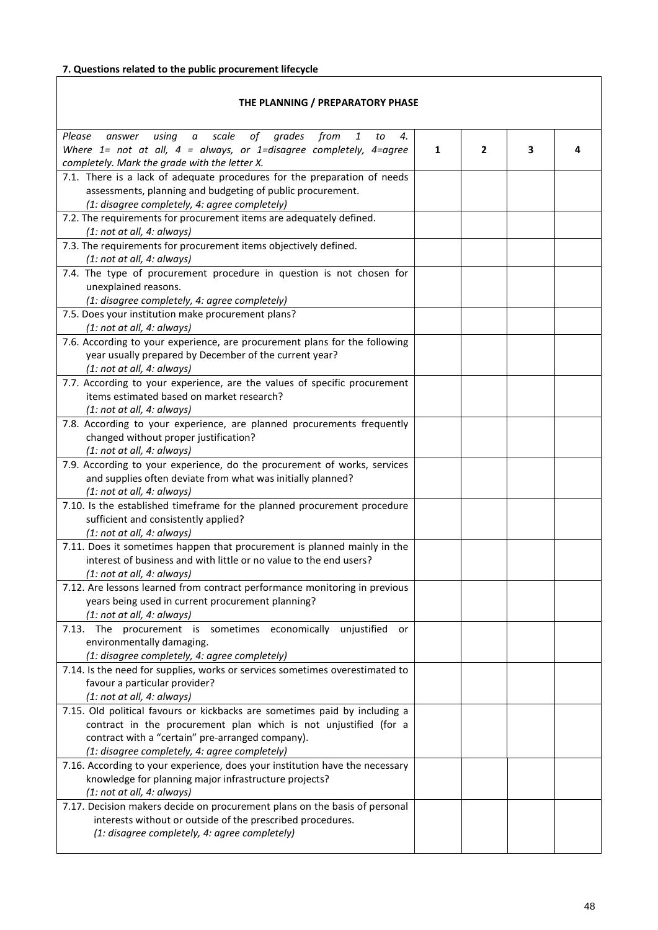# **7. Questions related to the public procurement lifecycle**

| THE PLANNING / PREPARATORY PHASE                                                                                              |   |                |   |   |
|-------------------------------------------------------------------------------------------------------------------------------|---|----------------|---|---|
| using a scale of grades from<br>Please<br>$\mathbf{1}$<br>to<br>4.<br>answer                                                  |   |                |   |   |
| Where $1=$ not at all, $4=$ always, or 1=disagree completely, 4=agree<br>completely. Mark the grade with the letter X.        | 1 | $\overline{2}$ | 3 | 4 |
| 7.1. There is a lack of adequate procedures for the preparation of needs                                                      |   |                |   |   |
| assessments, planning and budgeting of public procurement.                                                                    |   |                |   |   |
| (1: disagree completely, 4: agree completely)                                                                                 |   |                |   |   |
| 7.2. The requirements for procurement items are adequately defined.                                                           |   |                |   |   |
| (1: not at all, 4: always)                                                                                                    |   |                |   |   |
| 7.3. The requirements for procurement items objectively defined.<br>(1: not at all, 4: always)                                |   |                |   |   |
| 7.4. The type of procurement procedure in question is not chosen for                                                          |   |                |   |   |
| unexplained reasons.                                                                                                          |   |                |   |   |
| (1: disagree completely, 4: agree completely)                                                                                 |   |                |   |   |
| 7.5. Does your institution make procurement plans?                                                                            |   |                |   |   |
| (1: not at all, 4: always)                                                                                                    |   |                |   |   |
| 7.6. According to your experience, are procurement plans for the following                                                    |   |                |   |   |
| year usually prepared by December of the current year?                                                                        |   |                |   |   |
| (1: not at all, 4: always)<br>7.7. According to your experience, are the values of specific procurement                       |   |                |   |   |
| items estimated based on market research?                                                                                     |   |                |   |   |
| (1: not at all, 4: always)                                                                                                    |   |                |   |   |
| 7.8. According to your experience, are planned procurements frequently                                                        |   |                |   |   |
| changed without proper justification?                                                                                         |   |                |   |   |
| (1: not at all, 4: always)                                                                                                    |   |                |   |   |
| 7.9. According to your experience, do the procurement of works, services                                                      |   |                |   |   |
| and supplies often deviate from what was initially planned?                                                                   |   |                |   |   |
| (1: not at all, 4: always)                                                                                                    |   |                |   |   |
| 7.10. Is the established timeframe for the planned procurement procedure<br>sufficient and consistently applied?              |   |                |   |   |
| (1: not at all, 4: always)                                                                                                    |   |                |   |   |
| 7.11. Does it sometimes happen that procurement is planned mainly in the                                                      |   |                |   |   |
| interest of business and with little or no value to the end users?                                                            |   |                |   |   |
| (1: not at all, 4: always)                                                                                                    |   |                |   |   |
| 7.12. Are lessons learned from contract performance monitoring in previous                                                    |   |                |   |   |
| years being used in current procurement planning?                                                                             |   |                |   |   |
| (1: not at all, 4: always)                                                                                                    |   |                |   |   |
| 7.13. The procurement is sometimes economically unjustified<br>or<br>environmentally damaging.                                |   |                |   |   |
| (1: disagree completely, 4: agree completely)                                                                                 |   |                |   |   |
| 7.14. Is the need for supplies, works or services sometimes overestimated to                                                  |   |                |   |   |
| favour a particular provider?                                                                                                 |   |                |   |   |
| (1: not at all, 4: always)                                                                                                    |   |                |   |   |
| 7.15. Old political favours or kickbacks are sometimes paid by including a                                                    |   |                |   |   |
| contract in the procurement plan which is not unjustified (for a                                                              |   |                |   |   |
| contract with a "certain" pre-arranged company).                                                                              |   |                |   |   |
| (1: disagree completely, 4: agree completely)<br>7.16. According to your experience, does your institution have the necessary |   |                |   |   |
| knowledge for planning major infrastructure projects?                                                                         |   |                |   |   |
| (1: not at all, 4: always)                                                                                                    |   |                |   |   |
| 7.17. Decision makers decide on procurement plans on the basis of personal                                                    |   |                |   |   |
| interests without or outside of the prescribed procedures.                                                                    |   |                |   |   |
| (1: disagree completely, 4: agree completely)                                                                                 |   |                |   |   |
|                                                                                                                               |   |                |   |   |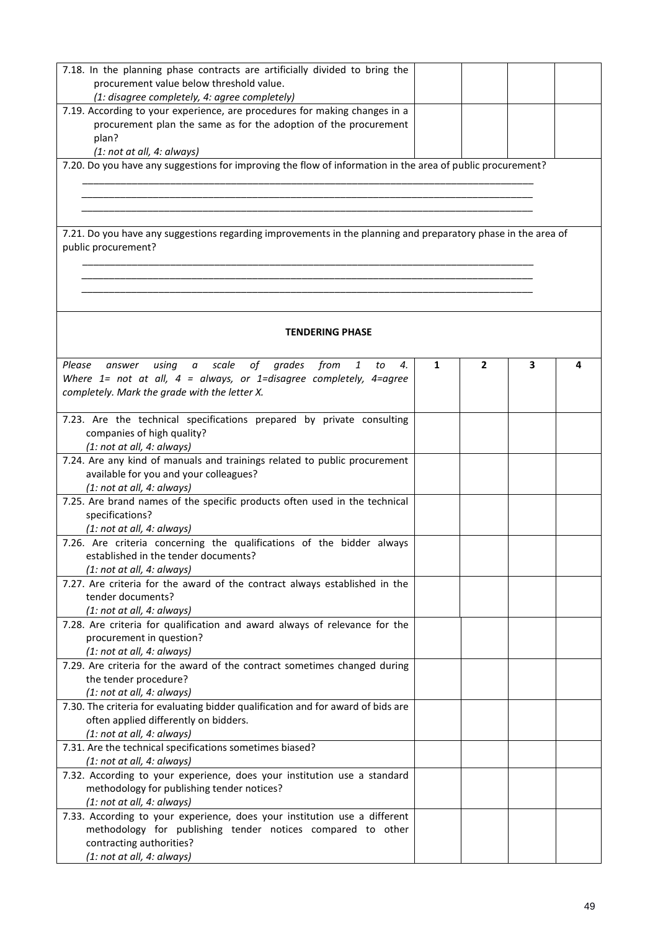| 7.18. In the planning phase contracts are artificially divided to bring the<br>procurement value below threshold value.                  |   |              |   |   |
|------------------------------------------------------------------------------------------------------------------------------------------|---|--------------|---|---|
| (1: disagree completely, 4: agree completely)                                                                                            |   |              |   |   |
| 7.19. According to your experience, are procedures for making changes in a                                                               |   |              |   |   |
| procurement plan the same as for the adoption of the procurement                                                                         |   |              |   |   |
| plan?                                                                                                                                    |   |              |   |   |
| (1: not at all, 4: always)                                                                                                               |   |              |   |   |
| 7.20. Do you have any suggestions for improving the flow of information in the area of public procurement?                               |   |              |   |   |
|                                                                                                                                          |   |              |   |   |
|                                                                                                                                          |   |              |   |   |
|                                                                                                                                          |   |              |   |   |
|                                                                                                                                          |   |              |   |   |
| 7.21. Do you have any suggestions regarding improvements in the planning and preparatory phase in the area of                            |   |              |   |   |
| public procurement?                                                                                                                      |   |              |   |   |
|                                                                                                                                          |   |              |   |   |
|                                                                                                                                          |   |              |   |   |
|                                                                                                                                          |   |              |   |   |
|                                                                                                                                          |   |              |   |   |
| <b>TENDERING PHASE</b>                                                                                                                   |   |              |   |   |
|                                                                                                                                          |   |              |   |   |
| of<br>Please<br>scale<br>grades<br>from<br>$\mathbf{1}$<br>using<br>$\it a$<br>to<br>4.<br>answer                                        | 1 | $\mathbf{2}$ | з | Δ |
| Where $1=$ not at all, $4=$ always, or 1=disagree completely, 4=agree                                                                    |   |              |   |   |
| completely. Mark the grade with the letter X.                                                                                            |   |              |   |   |
|                                                                                                                                          |   |              |   |   |
| 7.23. Are the technical specifications prepared by private consulting                                                                    |   |              |   |   |
| companies of high quality?<br>(1: not at all, 4: always)                                                                                 |   |              |   |   |
| 7.24. Are any kind of manuals and trainings related to public procurement                                                                |   |              |   |   |
| available for you and your colleagues?                                                                                                   |   |              |   |   |
| (1: not at all, 4: always)                                                                                                               |   |              |   |   |
| 7.25. Are brand names of the specific products often used in the technical                                                               |   |              |   |   |
| specifications?                                                                                                                          |   |              |   |   |
| (1: not at all, 4: always)                                                                                                               |   |              |   |   |
| 7.26. Are criteria concerning the qualifications of the bidder always                                                                    |   |              |   |   |
| established in the tender documents?                                                                                                     |   |              |   |   |
| (1: not at all, 4: always)                                                                                                               |   |              |   |   |
| 7.27. Are criteria for the award of the contract always established in the                                                               |   |              |   |   |
| tender documents?                                                                                                                        |   |              |   |   |
| (1: not at all, 4: always)                                                                                                               |   |              |   |   |
| 7.28. Are criteria for qualification and award always of relevance for the<br>procurement in question?                                   |   |              |   |   |
| (1: not at all, 4: always)                                                                                                               |   |              |   |   |
| 7.29. Are criteria for the award of the contract sometimes changed during                                                                |   |              |   |   |
| the tender procedure?                                                                                                                    |   |              |   |   |
| (1: not at all, 4: always)                                                                                                               |   |              |   |   |
| 7.30. The criteria for evaluating bidder qualification and for award of bids are                                                         |   |              |   |   |
| often applied differently on bidders.                                                                                                    |   |              |   |   |
| (1: not at all, 4: always)                                                                                                               |   |              |   |   |
| 7.31. Are the technical specifications sometimes biased?                                                                                 |   |              |   |   |
| (1: not at all, 4: always)                                                                                                               |   |              |   |   |
| 7.32. According to your experience, does your institution use a standard                                                                 |   |              |   |   |
| methodology for publishing tender notices?                                                                                               |   |              |   |   |
| (1: not at all, 4: always)                                                                                                               |   |              |   |   |
| 7.33. According to your experience, does your institution use a different<br>methodology for publishing tender notices compared to other |   |              |   |   |
| contracting authorities?                                                                                                                 |   |              |   |   |
| (1: not at all, 4: always)                                                                                                               |   |              |   |   |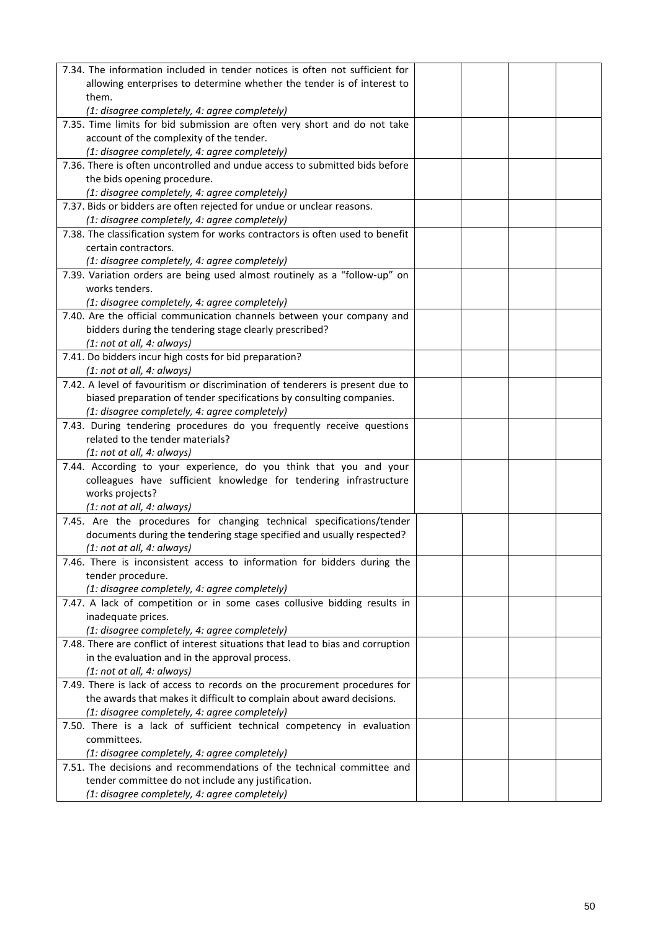| 7.34. The information included in tender notices is often not sufficient for                                            |  |  |
|-------------------------------------------------------------------------------------------------------------------------|--|--|
| allowing enterprises to determine whether the tender is of interest to                                                  |  |  |
| them.                                                                                                                   |  |  |
| (1: disagree completely, 4: agree completely)                                                                           |  |  |
| 7.35. Time limits for bid submission are often very short and do not take                                               |  |  |
| account of the complexity of the tender.                                                                                |  |  |
| (1: disagree completely, 4: agree completely)                                                                           |  |  |
| 7.36. There is often uncontrolled and undue access to submitted bids before                                             |  |  |
| the bids opening procedure.                                                                                             |  |  |
| (1: disagree completely, 4: agree completely)                                                                           |  |  |
| 7.37. Bids or bidders are often rejected for undue or unclear reasons.                                                  |  |  |
| (1: disagree completely, 4: agree completely)                                                                           |  |  |
| 7.38. The classification system for works contractors is often used to benefit                                          |  |  |
| certain contractors.                                                                                                    |  |  |
| (1: disagree completely, 4: agree completely)                                                                           |  |  |
| 7.39. Variation orders are being used almost routinely as a "follow-up" on                                              |  |  |
| works tenders.                                                                                                          |  |  |
| (1: disagree completely, 4: agree completely)                                                                           |  |  |
| 7.40. Are the official communication channels between your company and                                                  |  |  |
|                                                                                                                         |  |  |
| bidders during the tendering stage clearly prescribed?                                                                  |  |  |
| (1: not at all, 4: always)                                                                                              |  |  |
| 7.41. Do bidders incur high costs for bid preparation?                                                                  |  |  |
| (1: not at all, 4: always)                                                                                              |  |  |
| 7.42. A level of favouritism or discrimination of tenderers is present due to                                           |  |  |
| biased preparation of tender specifications by consulting companies.                                                    |  |  |
| (1: disagree completely, 4: agree completely)                                                                           |  |  |
| 7.43. During tendering procedures do you frequently receive questions                                                   |  |  |
| related to the tender materials?                                                                                        |  |  |
| (1: not at all, 4: always)                                                                                              |  |  |
| 7.44. According to your experience, do you think that you and your                                                      |  |  |
| colleagues have sufficient knowledge for tendering infrastructure                                                       |  |  |
| works projects?                                                                                                         |  |  |
| (1: not at all, 4: always)                                                                                              |  |  |
| 7.45. Are the procedures for changing technical specifications/tender                                                   |  |  |
| documents during the tendering stage specified and usually respected?                                                   |  |  |
| (1: not at all, 4: always)                                                                                              |  |  |
| 7.46. There is inconsistent access to information for bidders during the                                                |  |  |
| tender procedure.                                                                                                       |  |  |
| (1: disagree completely, 4: agree completely)                                                                           |  |  |
| 7.47. A lack of competition or in some cases collusive bidding results in                                               |  |  |
| inadequate prices.                                                                                                      |  |  |
| (1: disagree completely, 4: agree completely)                                                                           |  |  |
| 7.48. There are conflict of interest situations that lead to bias and corruption                                        |  |  |
| in the evaluation and in the approval process.                                                                          |  |  |
| (1: not at all, 4: always)                                                                                              |  |  |
| 7.49. There is lack of access to records on the procurement procedures for                                              |  |  |
| the awards that makes it difficult to complain about award decisions.                                                   |  |  |
| (1: disagree completely, 4: agree completely)                                                                           |  |  |
| 7.50. There is a lack of sufficient technical competency in evaluation                                                  |  |  |
| committees.                                                                                                             |  |  |
|                                                                                                                         |  |  |
| (1: disagree completely, 4: agree completely)<br>7.51. The decisions and recommendations of the technical committee and |  |  |
|                                                                                                                         |  |  |
| tender committee do not include any justification.                                                                      |  |  |
| (1: disagree completely, 4: agree completely)                                                                           |  |  |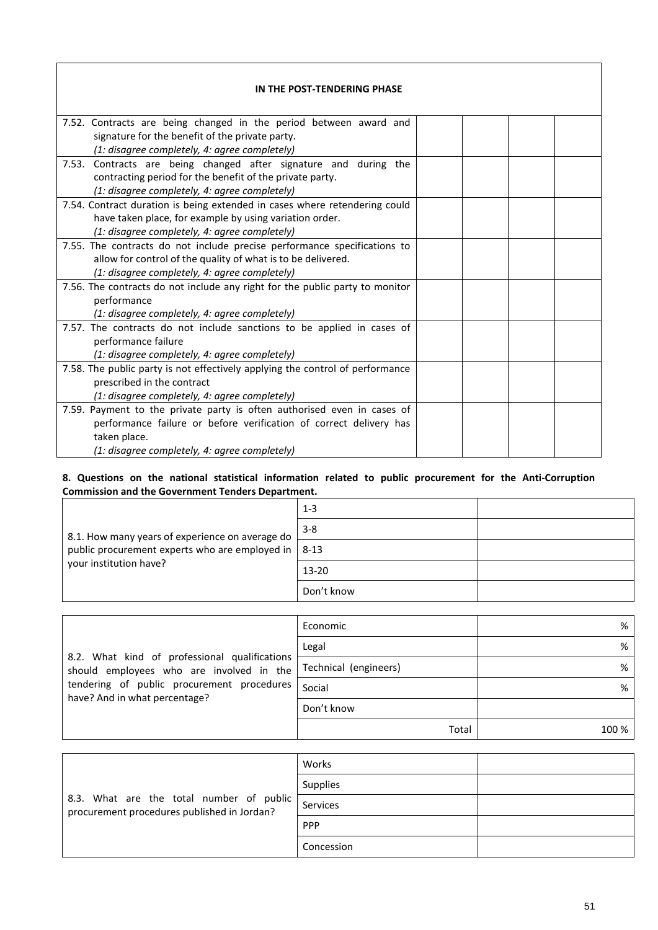| IN THE POST-TENDERING PHASE                                                   |  |  |  |
|-------------------------------------------------------------------------------|--|--|--|
| 7.52. Contracts are being changed in the period between award and             |  |  |  |
| signature for the benefit of the private party.                               |  |  |  |
| (1: disagree completely, 4: agree completely)                                 |  |  |  |
| 7.53. Contracts are being changed after signature and during the              |  |  |  |
| contracting period for the benefit of the private party.                      |  |  |  |
| (1: disagree completely, 4: agree completely)                                 |  |  |  |
| 7.54. Contract duration is being extended in cases where retendering could    |  |  |  |
| have taken place, for example by using variation order.                       |  |  |  |
| (1: disagree completely, 4: agree completely)                                 |  |  |  |
| 7.55. The contracts do not include precise performance specifications to      |  |  |  |
| allow for control of the quality of what is to be delivered.                  |  |  |  |
| (1: disagree completely, 4: agree completely)                                 |  |  |  |
| 7.56. The contracts do not include any right for the public party to monitor  |  |  |  |
| performance                                                                   |  |  |  |
| (1: disagree completely, 4: agree completely)                                 |  |  |  |
| 7.57. The contracts do not include sanctions to be applied in cases of        |  |  |  |
| performance failure                                                           |  |  |  |
| (1: disagree completely, 4: agree completely)                                 |  |  |  |
| 7.58. The public party is not effectively applying the control of performance |  |  |  |
| prescribed in the contract                                                    |  |  |  |
| (1: disagree completely, 4: agree completely)                                 |  |  |  |
| 7.59. Payment to the private party is often authorised even in cases of       |  |  |  |
| performance failure or before verification of correct delivery has            |  |  |  |
| taken place.                                                                  |  |  |  |
| (1: disagree completely, 4: agree completely)                                 |  |  |  |

## **8. Questions on the national statistical information related to public procurement for the Anti-Corruption Commission and the Government Tenders Department.**

| 8.1. How many years of experience on average do<br>public procurement experts who are employed in $\vert$ 8-13<br>your institution have? | $1 - 3$    |  |
|------------------------------------------------------------------------------------------------------------------------------------------|------------|--|
|                                                                                                                                          | $3 - 8$    |  |
|                                                                                                                                          |            |  |
|                                                                                                                                          | $13 - 20$  |  |
|                                                                                                                                          | Don't know |  |

| 8.2. What kind of professional qualifications<br>should employees who are involved in the<br>tendering of public procurement procedures<br>have? And in what percentage? | Economic              | %     |
|--------------------------------------------------------------------------------------------------------------------------------------------------------------------------|-----------------------|-------|
|                                                                                                                                                                          | Legal                 | %     |
|                                                                                                                                                                          | Technical (engineers) | %     |
|                                                                                                                                                                          | Social                | %     |
|                                                                                                                                                                          | Don't know            |       |
|                                                                                                                                                                          | Total                 | 100 % |

| 8.3. What are the total number of public<br>procurement procedures published in Jordan? | Works           |  |
|-----------------------------------------------------------------------------------------|-----------------|--|
|                                                                                         | <b>Supplies</b> |  |
|                                                                                         | Services        |  |
|                                                                                         | <b>PPP</b>      |  |
|                                                                                         | Concession      |  |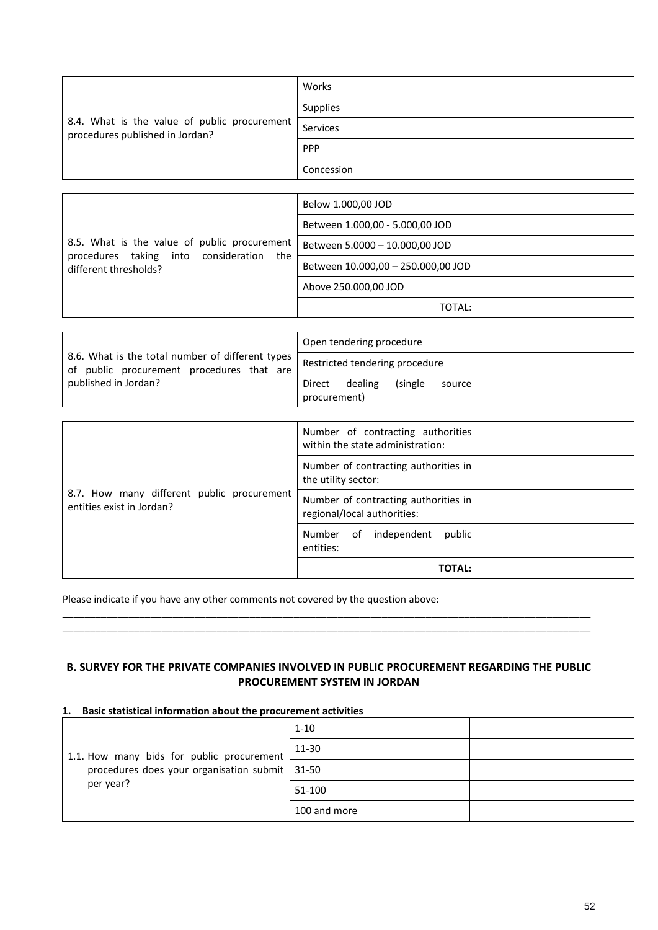| 8.4. What is the value of public procurement<br>procedures published in Jordan? | Works      |  |
|---------------------------------------------------------------------------------|------------|--|
|                                                                                 | Supplies   |  |
|                                                                                 | Services   |  |
|                                                                                 | PPP        |  |
|                                                                                 | Concession |  |

| 8.5. What is the value of public procurement<br>into<br>consideration<br>procedures taking<br>the<br>different thresholds? | Below 1.000,00 JOD                 |  |
|----------------------------------------------------------------------------------------------------------------------------|------------------------------------|--|
|                                                                                                                            | Between 1.000,00 - 5.000,00 JOD    |  |
|                                                                                                                            | Between 5.0000 - 10.000,00 JOD     |  |
|                                                                                                                            | Between 10.000,00 - 250.000,00 JOD |  |
|                                                                                                                            | Above 250.000,00 JOD               |  |
|                                                                                                                            | TOTAL:                             |  |

|                                                                                               | Open tendering procedure                                |
|-----------------------------------------------------------------------------------------------|---------------------------------------------------------|
| 8.6. What is the total number of different types<br>of public procurement procedures that are | Restricted tendering procedure                          |
| published in Jordan?                                                                          | dealing<br>(single)<br>Direct<br>source<br>procurement) |

| 8.7. How many different public procurement<br>entities exist in Jordan? | Number of contracting authorities<br>within the state administration: |  |
|-------------------------------------------------------------------------|-----------------------------------------------------------------------|--|
|                                                                         | Number of contracting authorities in<br>the utility sector:           |  |
|                                                                         | Number of contracting authorities in<br>regional/local authorities:   |  |
|                                                                         | public<br>independent<br>Number<br>of<br>entities:                    |  |
|                                                                         | <b>TOTAL:</b>                                                         |  |

Please indicate if you have any other comments not covered by the question above:

## **B. SURVEY FOR THE PRIVATE COMPANIES INVOLVED IN PUBLIC PROCUREMENT REGARDING THE PUBLIC PROCUREMENT SYSTEM IN JORDAN**

\_\_\_\_\_\_\_\_\_\_\_\_\_\_\_\_\_\_\_\_\_\_\_\_\_\_\_\_\_\_\_\_\_\_\_\_\_\_\_\_\_\_\_\_\_\_\_\_\_\_\_\_\_\_\_\_\_\_\_\_\_\_\_\_\_\_\_\_\_\_\_\_\_\_\_\_\_\_\_\_\_\_\_\_\_\_\_\_\_\_\_\_\_\_\_\_ \_\_\_\_\_\_\_\_\_\_\_\_\_\_\_\_\_\_\_\_\_\_\_\_\_\_\_\_\_\_\_\_\_\_\_\_\_\_\_\_\_\_\_\_\_\_\_\_\_\_\_\_\_\_\_\_\_\_\_\_\_\_\_\_\_\_\_\_\_\_\_\_\_\_\_\_\_\_\_\_\_\_\_\_\_\_\_\_\_\_\_\_\_\_\_\_

#### **1. Basic statistical information about the procurement activities**

| 1.1. How many bids for public procurement<br>procedures does your organisation submit   31-50<br>per year? | $1 - 10$     |  |
|------------------------------------------------------------------------------------------------------------|--------------|--|
|                                                                                                            | 11-30        |  |
|                                                                                                            |              |  |
|                                                                                                            | 51-100       |  |
|                                                                                                            | 100 and more |  |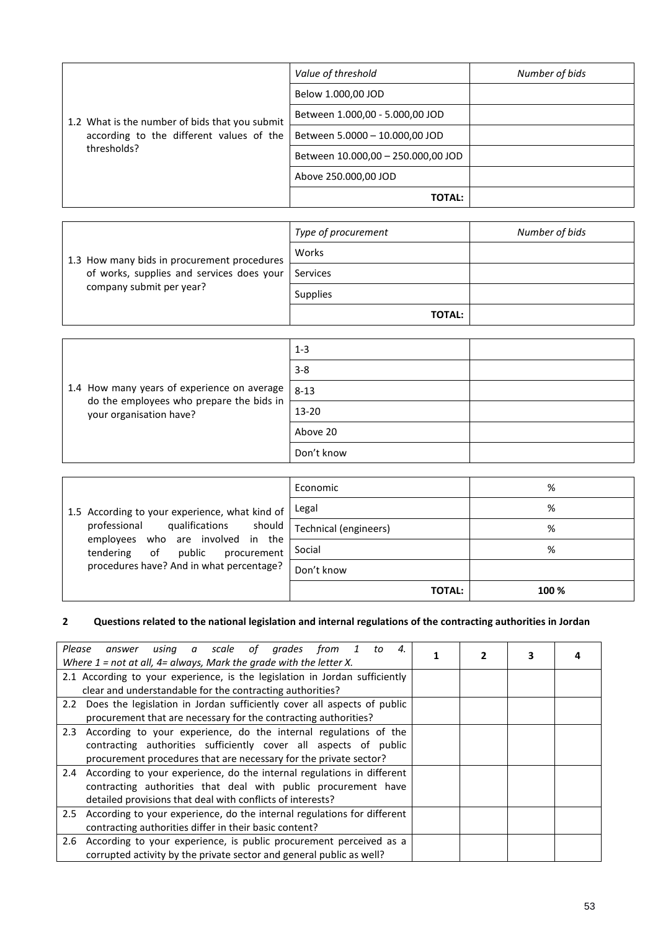|                                                                                            | Value of threshold                 | Number of bids |
|--------------------------------------------------------------------------------------------|------------------------------------|----------------|
|                                                                                            | Below 1.000,00 JOD                 |                |
| 1.2 What is the number of bids that you submit<br>according to the different values of the | Between 1.000,00 - 5.000,00 JOD    |                |
|                                                                                            | Between 5.0000 - 10.000,00 JOD     |                |
| thresholds?                                                                                | Between 10.000,00 - 250.000,00 JOD |                |
|                                                                                            | Above 250.000,00 JOD               |                |
|                                                                                            | <b>TOTAL:</b>                      |                |

|                                             | Type of procurement | Number of bids |
|---------------------------------------------|---------------------|----------------|
| 1.3 How many bids in procurement procedures | Works               |                |
| of works, supplies and services does your   | Services            |                |
| company submit per year?                    | <b>Supplies</b>     |                |
|                                             | <b>TOTAL:</b>       |                |

|                                                                     | $1 - 3$    |  |
|---------------------------------------------------------------------|------------|--|
|                                                                     | $3 - 8$    |  |
| 1.4 How many years of experience on average                         | $8 - 13$   |  |
| do the employees who prepare the bids in<br>your organisation have? | $13 - 20$  |  |
|                                                                     | Above 20   |  |
|                                                                     | Don't know |  |

|                                                                               | Economic              | %     |
|-------------------------------------------------------------------------------|-----------------------|-------|
| 1.5 According to your experience, what kind of                                | Legal                 | %     |
| professional qualifications should                                            | Technical (engineers) | %     |
| employees who are involved in the<br>public<br>of<br>procurement<br>tendering | Social                | %     |
| procedures have? And in what percentage?                                      | Don't know            |       |
|                                                                               | <b>TOTAL:</b>         | 100 % |

# **2 Questions related to the national legislation and internal regulations of the contracting authorities in Jordan**

| Please<br>using a scale of grades from 1<br>to<br>4.<br>answer<br>Where $1$ = not at all, $4$ = always, Mark the grade with the letter X. | 2 | 3 |  |
|-------------------------------------------------------------------------------------------------------------------------------------------|---|---|--|
| 2.1 According to your experience, is the legislation in Jordan sufficiently                                                               |   |   |  |
| clear and understandable for the contracting authorities?                                                                                 |   |   |  |
| 2.2 Does the legislation in Jordan sufficiently cover all aspects of public                                                               |   |   |  |
| procurement that are necessary for the contracting authorities?                                                                           |   |   |  |
| 2.3 According to your experience, do the internal regulations of the                                                                      |   |   |  |
| contracting authorities sufficiently cover all aspects of public                                                                          |   |   |  |
| procurement procedures that are necessary for the private sector?                                                                         |   |   |  |
| 2.4 According to your experience, do the internal regulations in different                                                                |   |   |  |
| contracting authorities that deal with public procurement have                                                                            |   |   |  |
| detailed provisions that deal with conflicts of interests?                                                                                |   |   |  |
| 2.5 According to your experience, do the internal regulations for different                                                               |   |   |  |
| contracting authorities differ in their basic content?                                                                                    |   |   |  |
| According to your experience, is public procurement perceived as a<br>2.6                                                                 |   |   |  |
| corrupted activity by the private sector and general public as well?                                                                      |   |   |  |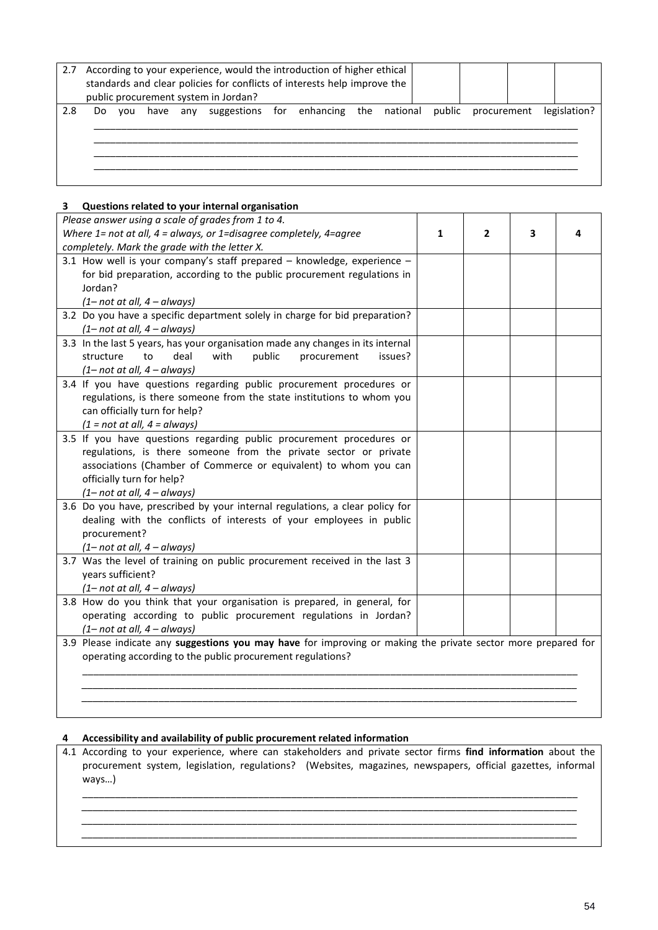| 2.7 |     |     |  | According to your experience, would the introduction of higher ethical<br>standards and clear policies for conflicts of interests help improve the<br>public procurement system in Jordan? |  |  |  |              |
|-----|-----|-----|--|--------------------------------------------------------------------------------------------------------------------------------------------------------------------------------------------|--|--|--|--------------|
| 2.8 | Do. | vou |  | have any suggestions for enhancing the national public procurement                                                                                                                         |  |  |  | legislation? |

#### **3 Questions related to your internal organisation**

| Please answer using a scale of grades from 1 to 4.                                                            |   |              |   |  |
|---------------------------------------------------------------------------------------------------------------|---|--------------|---|--|
| Where $1$ = not at all, $4$ = always, or $1$ =disagree completely, $4$ =agree                                 | 1 | $\mathbf{2}$ | 3 |  |
| completely. Mark the grade with the letter X.                                                                 |   |              |   |  |
| 3.1 How well is your company's staff prepared - knowledge, experience -                                       |   |              |   |  |
| for bid preparation, according to the public procurement regulations in                                       |   |              |   |  |
| Jordan?                                                                                                       |   |              |   |  |
| $(1 - not at all, 4 - always)$                                                                                |   |              |   |  |
| 3.2 Do you have a specific department solely in charge for bid preparation?                                   |   |              |   |  |
| $(1 - not at all, 4 - always)$                                                                                |   |              |   |  |
| 3.3 In the last 5 years, has your organisation made any changes in its internal                               |   |              |   |  |
| deal<br>with<br>public<br>structure<br>to<br>procurement<br>issues?                                           |   |              |   |  |
| $(1 - not at all, 4 - always)$                                                                                |   |              |   |  |
| 3.4 If you have questions regarding public procurement procedures or                                          |   |              |   |  |
| regulations, is there someone from the state institutions to whom you                                         |   |              |   |  |
| can officially turn for help?                                                                                 |   |              |   |  |
| $(1 = not at all, 4 = always)$                                                                                |   |              |   |  |
| 3.5 If you have questions regarding public procurement procedures or                                          |   |              |   |  |
| regulations, is there someone from the private sector or private                                              |   |              |   |  |
| associations (Chamber of Commerce or equivalent) to whom you can                                              |   |              |   |  |
| officially turn for help?<br>$(1 - not at all, 4 - always)$                                                   |   |              |   |  |
| 3.6 Do you have, prescribed by your internal regulations, a clear policy for                                  |   |              |   |  |
| dealing with the conflicts of interests of your employees in public                                           |   |              |   |  |
| procurement?                                                                                                  |   |              |   |  |
| $(1 - not at all, 4 - always)$                                                                                |   |              |   |  |
| 3.7 Was the level of training on public procurement received in the last 3                                    |   |              |   |  |
| years sufficient?                                                                                             |   |              |   |  |
| $(1 - not at all, 4 - always)$                                                                                |   |              |   |  |
| 3.8 How do you think that your organisation is prepared, in general, for                                      |   |              |   |  |
| operating according to public procurement regulations in Jordan?                                              |   |              |   |  |
| $(1 - not at all, 4 - always)$                                                                                |   |              |   |  |
| 3.9 Please indicate any suggestions you may have for improving or making the private sector more prepared for |   |              |   |  |
| operating according to the public procurement regulations?                                                    |   |              |   |  |
|                                                                                                               |   |              |   |  |
|                                                                                                               |   |              |   |  |
|                                                                                                               |   |              |   |  |
|                                                                                                               |   |              |   |  |

#### **4 Accessibility and availability of public procurement related information**

*\_\_\_\_\_\_\_\_\_\_\_\_\_\_\_\_\_\_\_\_\_\_\_\_\_\_\_\_\_\_\_\_\_\_\_\_\_\_\_\_\_\_\_\_\_\_\_\_\_\_\_\_\_\_\_\_\_\_\_\_\_\_\_\_\_\_\_\_\_\_\_\_\_\_\_\_\_\_\_\_\_\_\_\_\_\_\_\_\_\_*

4.1 According to your experience, where can stakeholders and private sector firms **find information** about the procurement system, legislation, regulations? (Websites, magazines, newspapers, official gazettes, informal ways…)

\_\_\_\_\_\_\_\_\_\_\_\_\_\_\_\_\_\_\_\_\_\_\_\_\_\_\_\_\_\_\_\_\_\_\_\_\_\_\_\_\_\_\_\_\_\_\_\_\_\_\_\_\_\_\_\_\_\_\_\_\_\_\_\_\_\_\_\_\_\_\_\_\_\_\_\_\_\_\_\_\_\_\_\_\_\_\_\_\_\_ *\_\_\_\_\_\_\_\_\_\_\_\_\_\_\_\_\_\_\_\_\_\_\_\_\_\_\_\_\_\_\_\_\_\_\_\_\_\_\_\_\_\_\_\_\_\_\_\_\_\_\_\_\_\_\_\_\_\_\_\_\_\_\_\_\_\_\_\_\_\_\_\_\_\_\_\_\_\_\_\_\_\_\_\_\_\_\_\_\_\_*

*\_\_\_\_\_\_\_\_\_\_\_\_\_\_\_\_\_\_\_\_\_\_\_\_\_\_\_\_\_\_\_\_\_\_\_\_\_\_\_\_\_\_\_\_\_\_\_\_\_\_\_\_\_\_\_\_\_\_\_\_\_\_\_\_\_\_\_\_\_\_\_\_\_\_\_\_\_\_\_\_\_\_\_\_\_\_\_\_\_\_*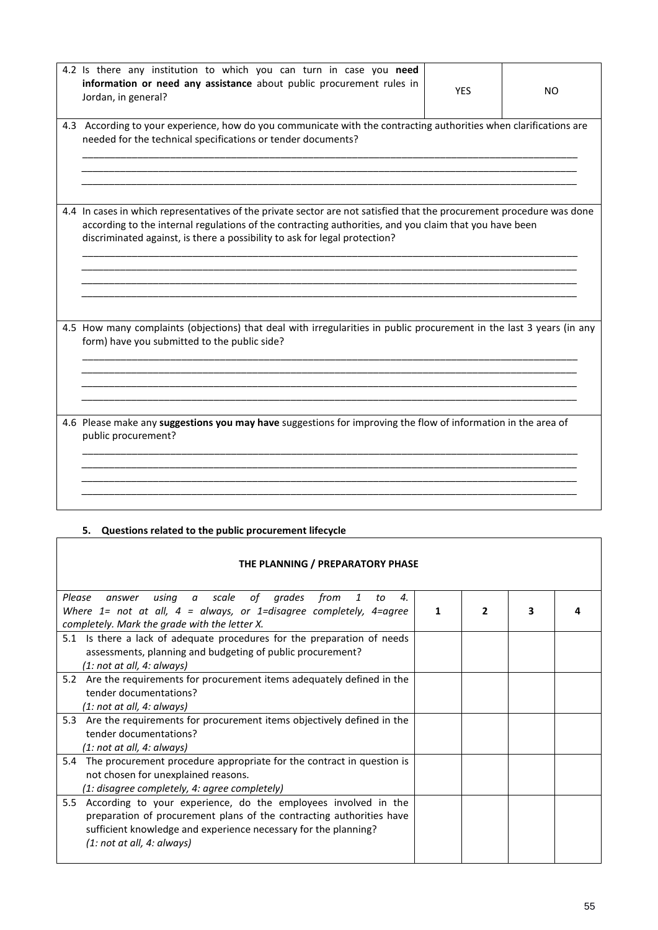| 4.2 Is there any institution to which you can turn in case you need<br>information or need any assistance about public procurement rules in<br>Jordan, in general?                                                                                                                                            | <b>YES</b> | NO |
|---------------------------------------------------------------------------------------------------------------------------------------------------------------------------------------------------------------------------------------------------------------------------------------------------------------|------------|----|
| 4.3 According to your experience, how do you communicate with the contracting authorities when clarifications are<br>needed for the technical specifications or tender documents?                                                                                                                             |            |    |
| 4.4 In cases in which representatives of the private sector are not satisfied that the procurement procedure was done<br>according to the internal regulations of the contracting authorities, and you claim that you have been<br>discriminated against, is there a possibility to ask for legal protection? |            |    |
| 4.5 How many complaints (objections) that deal with irregularities in public procurement in the last 3 years (in any<br>form) have you submitted to the public side?                                                                                                                                          |            |    |
| 4.6 Please make any suggestions you may have suggestions for improving the flow of information in the area of<br>public procurement?                                                                                                                                                                          |            |    |

# **5. Questions related to the public procurement lifecycle**

| THE PLANNING / PREPARATORY PHASE                                                                                                                                                                                                               |   |              |   |  |  |
|------------------------------------------------------------------------------------------------------------------------------------------------------------------------------------------------------------------------------------------------|---|--------------|---|--|--|
| using a scale of grades<br>Please<br>from<br>$\mathbf{4}$ .<br>1<br>to<br>answer<br>Where $1=$ not at all, $4=$ always, or 1=disagree completely, 4=agree                                                                                      | 1 | $\mathbf{2}$ | 3 |  |  |
| completely. Mark the grade with the letter X.<br>5.1 Is there a lack of adequate procedures for the preparation of needs<br>assessments, planning and budgeting of public procurement?<br>(1: not at all, 4: always)                           |   |              |   |  |  |
| Are the requirements for procurement items adequately defined in the<br>5.2<br>tender documentations?<br>(1: not at all, 4: always)                                                                                                            |   |              |   |  |  |
| Are the requirements for procurement items objectively defined in the<br>5.3<br>tender documentations?<br>(1: not at all, 4: always)                                                                                                           |   |              |   |  |  |
| The procurement procedure appropriate for the contract in question is<br>5.4<br>not chosen for unexplained reasons.<br>(1: disagree completely, 4: agree completely)                                                                           |   |              |   |  |  |
| According to your experience, do the employees involved in the<br>5.5<br>preparation of procurement plans of the contracting authorities have<br>sufficient knowledge and experience necessary for the planning?<br>(1: not at all, 4: always) |   |              |   |  |  |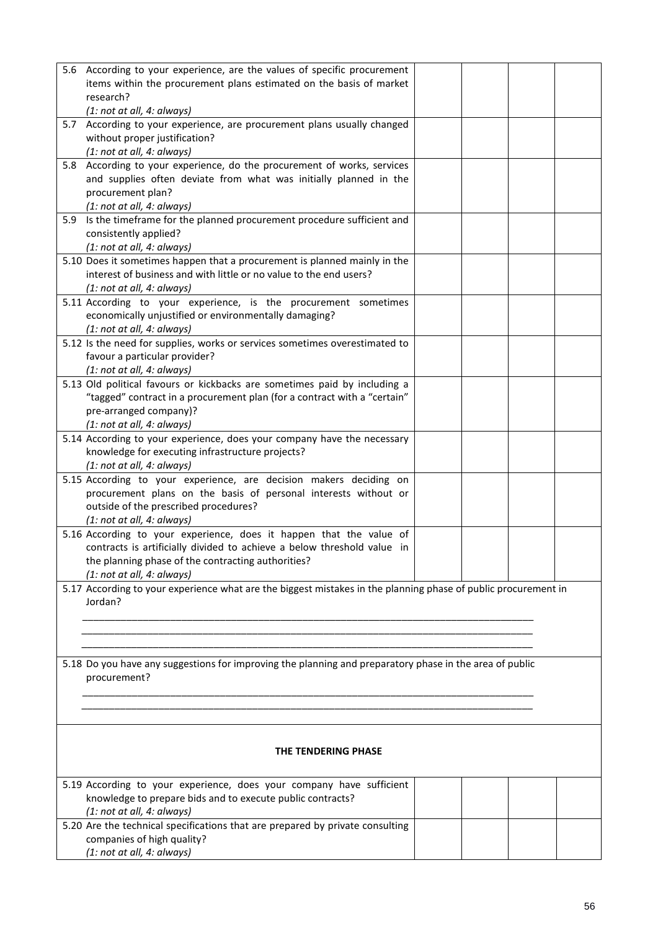|     | 5.6 According to your experience, are the values of specific procurement<br>items within the procurement plans estimated on the basis of market |  |  |
|-----|-------------------------------------------------------------------------------------------------------------------------------------------------|--|--|
|     | research?<br>(1: not at all, 4: always)                                                                                                         |  |  |
|     | 5.7 According to your experience, are procurement plans usually changed                                                                         |  |  |
|     | without proper justification?                                                                                                                   |  |  |
|     | (1: not at all, 4: always)                                                                                                                      |  |  |
| 5.8 | According to your experience, do the procurement of works, services<br>and supplies often deviate from what was initially planned in the        |  |  |
|     | procurement plan?                                                                                                                               |  |  |
|     | (1: not at all, 4: always)                                                                                                                      |  |  |
| 5.9 | Is the timeframe for the planned procurement procedure sufficient and                                                                           |  |  |
|     | consistently applied?                                                                                                                           |  |  |
|     | (1: not at all, 4: always)<br>5.10 Does it sometimes happen that a procurement is planned mainly in the                                         |  |  |
|     | interest of business and with little or no value to the end users?                                                                              |  |  |
|     | (1: not at all, 4: always)                                                                                                                      |  |  |
|     | 5.11 According to your experience, is the procurement sometimes                                                                                 |  |  |
|     | economically unjustified or environmentally damaging?                                                                                           |  |  |
|     | (1: not at all, 4: always)<br>5.12 Is the need for supplies, works or services sometimes overestimated to                                       |  |  |
|     | favour a particular provider?                                                                                                                   |  |  |
|     | (1: not at all, 4: always)                                                                                                                      |  |  |
|     | 5.13 Old political favours or kickbacks are sometimes paid by including a                                                                       |  |  |
|     | "tagged" contract in a procurement plan (for a contract with a "certain"                                                                        |  |  |
|     | pre-arranged company)?<br>(1: not at all, 4: always)                                                                                            |  |  |
|     | 5.14 According to your experience, does your company have the necessary                                                                         |  |  |
|     | knowledge for executing infrastructure projects?                                                                                                |  |  |
|     | (1: not at all, 4: always)                                                                                                                      |  |  |
|     | 5.15 According to your experience, are decision makers deciding on                                                                              |  |  |
|     | procurement plans on the basis of personal interests without or<br>outside of the prescribed procedures?                                        |  |  |
|     | (1: not at all, 4: always)                                                                                                                      |  |  |
|     | 5.16 According to your experience, does it happen that the value of                                                                             |  |  |
|     | contracts is artificially divided to achieve a below threshold value in                                                                         |  |  |
|     | the planning phase of the contracting authorities?                                                                                              |  |  |
|     | (1: not at all, 4: always)<br>5.17 According to your experience what are the biggest mistakes in the planning phase of public procurement in    |  |  |
|     | Jordan?                                                                                                                                         |  |  |
|     |                                                                                                                                                 |  |  |
|     |                                                                                                                                                 |  |  |
|     |                                                                                                                                                 |  |  |
|     | 5.18 Do you have any suggestions for improving the planning and preparatory phase in the area of public                                         |  |  |
|     | procurement?                                                                                                                                    |  |  |
|     |                                                                                                                                                 |  |  |
|     |                                                                                                                                                 |  |  |
|     |                                                                                                                                                 |  |  |
|     | THE TENDERING PHASE                                                                                                                             |  |  |
|     |                                                                                                                                                 |  |  |
|     | 5.19 According to your experience, does your company have sufficient                                                                            |  |  |
|     | knowledge to prepare bids and to execute public contracts?                                                                                      |  |  |
|     | (1: not at all, 4: always)<br>5.20 Are the technical specifications that are prepared by private consulting                                     |  |  |
|     | companies of high quality?                                                                                                                      |  |  |
|     | (1: not at all, 4: always)                                                                                                                      |  |  |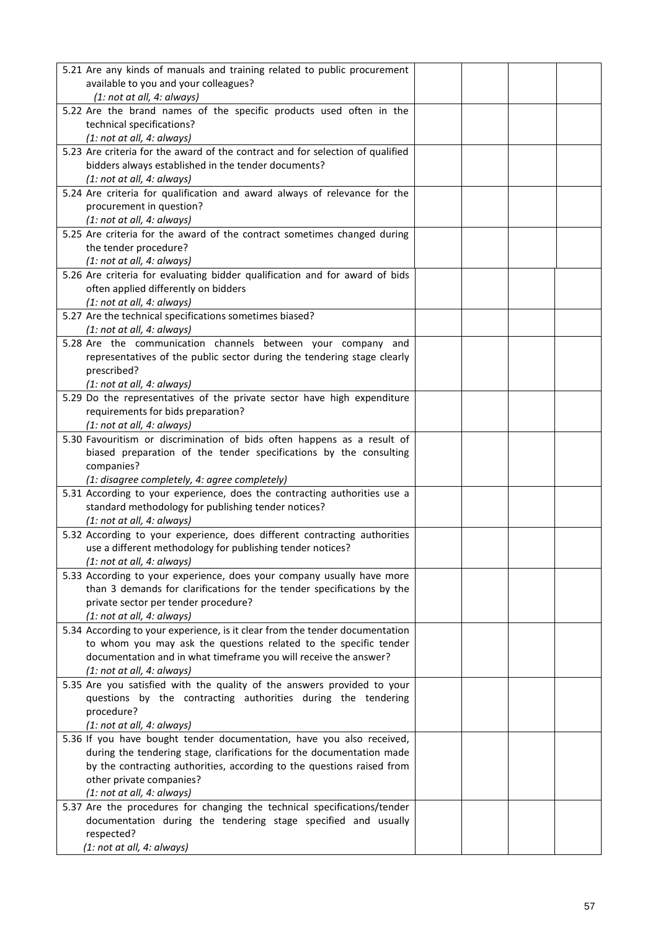| 5.21 Are any kinds of manuals and training related to public procurement       |  |  |
|--------------------------------------------------------------------------------|--|--|
| available to you and your colleagues?                                          |  |  |
| (1: not at all, 4: always)                                                     |  |  |
| 5.22 Are the brand names of the specific products used often in the            |  |  |
| technical specifications?                                                      |  |  |
| (1: not at all, 4: always)                                                     |  |  |
| 5.23 Are criteria for the award of the contract and for selection of qualified |  |  |
| bidders always established in the tender documents?                            |  |  |
|                                                                                |  |  |
| (1: not at all, 4: always)                                                     |  |  |
| 5.24 Are criteria for qualification and award always of relevance for the      |  |  |
| procurement in question?                                                       |  |  |
| (1: not at all, 4: always)                                                     |  |  |
| 5.25 Are criteria for the award of the contract sometimes changed during       |  |  |
| the tender procedure?                                                          |  |  |
| (1: not at all, 4: always)                                                     |  |  |
| 5.26 Are criteria for evaluating bidder qualification and for award of bids    |  |  |
| often applied differently on bidders                                           |  |  |
|                                                                                |  |  |
| (1: not at all, 4: always)                                                     |  |  |
| 5.27 Are the technical specifications sometimes biased?                        |  |  |
| (1: not at all, 4: always)                                                     |  |  |
| 5.28 Are the communication channels between your company and                   |  |  |
| representatives of the public sector during the tendering stage clearly        |  |  |
| prescribed?                                                                    |  |  |
| (1: not at all, 4: always)                                                     |  |  |
| 5.29 Do the representatives of the private sector have high expenditure        |  |  |
|                                                                                |  |  |
| requirements for bids preparation?                                             |  |  |
| (1: not at all, 4: always)                                                     |  |  |
| 5.30 Favouritism or discrimination of bids often happens as a result of        |  |  |
| biased preparation of the tender specifications by the consulting              |  |  |
| companies?                                                                     |  |  |
| (1: disagree completely, 4: agree completely)                                  |  |  |
| 5.31 According to your experience, does the contracting authorities use a      |  |  |
| standard methodology for publishing tender notices?                            |  |  |
| (1: not at all, 4: always)                                                     |  |  |
| 5.32 According to your experience, does different contracting authorities      |  |  |
|                                                                                |  |  |
| use a different methodology for publishing tender notices?                     |  |  |
| (1: not at all, 4: always)                                                     |  |  |
| 5.33 According to your experience, does your company usually have more         |  |  |
| than 3 demands for clarifications for the tender specifications by the         |  |  |
| private sector per tender procedure?                                           |  |  |
| (1: not at all, 4: always)                                                     |  |  |
| 5.34 According to your experience, is it clear from the tender documentation   |  |  |
| to whom you may ask the questions related to the specific tender               |  |  |
| documentation and in what timeframe you will receive the answer?               |  |  |
|                                                                                |  |  |
| (1: not at all, 4: always)                                                     |  |  |
| 5.35 Are you satisfied with the quality of the answers provided to your        |  |  |
| questions by the contracting authorities during the tendering                  |  |  |
| procedure?                                                                     |  |  |
| (1: not at all, 4: always)                                                     |  |  |
| 5.36 If you have bought tender documentation, have you also received,          |  |  |
| during the tendering stage, clarifications for the documentation made          |  |  |
| by the contracting authorities, according to the questions raised from         |  |  |
| other private companies?                                                       |  |  |
| (1: not at all, 4: always)                                                     |  |  |
| 5.37 Are the procedures for changing the technical specifications/tender       |  |  |
|                                                                                |  |  |
| documentation during the tendering stage specified and usually                 |  |  |
| respected?                                                                     |  |  |
| (1: not at all, 4: always)                                                     |  |  |